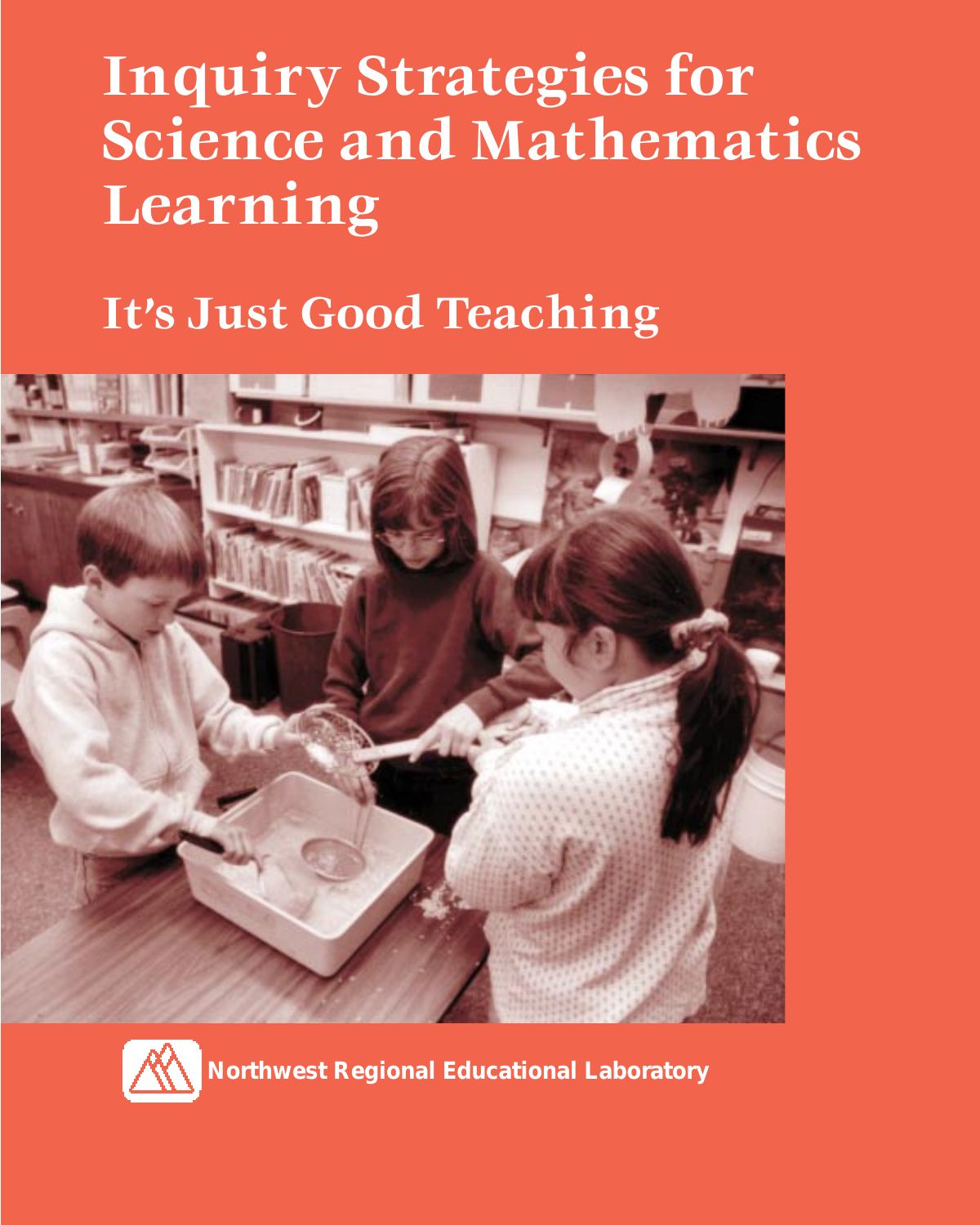# **Inquiry Strategies for Science and Mathematics Learning**

### **It's Just Good Teaching**





**Northwest Regional Educational Laboratory**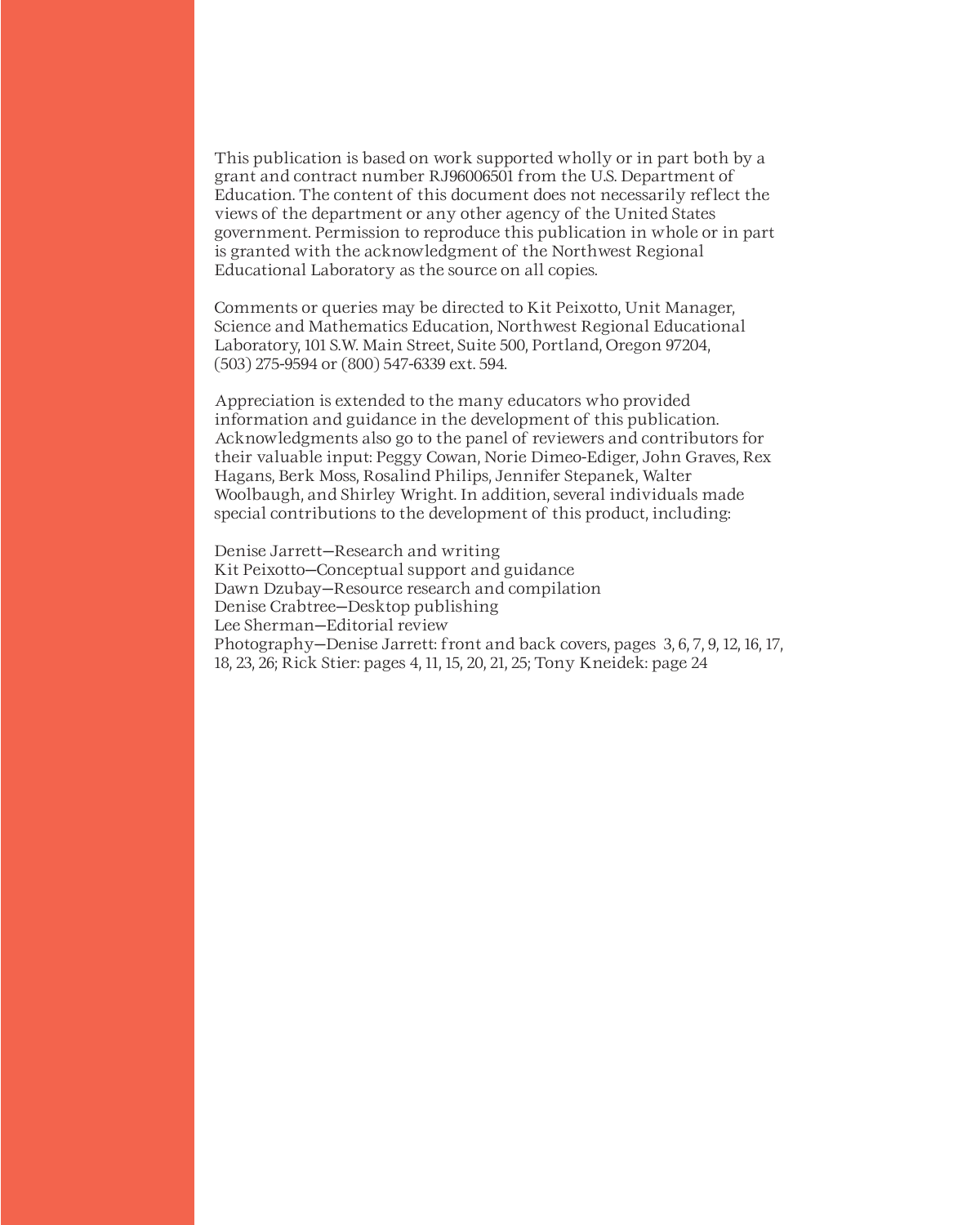This publication is based on work supported wholly or in part both by a grant and contract number RJ96006501 from the U.S. Department of Education. The content of this document does not necessarily reflect the views of the department or any other agency of the United States government. Permission to reproduce this publication in whole or in part is granted with the acknowledgment of the Northwest Regional Educational Laboratory as the source on all copies.

Comments or queries may be directed to Kit Peixotto, Unit Manager, Science and Mathematics Education, Northwest Regional Educational Laboratory, 101 S.W. Main Street, Suite 500, Portland, Oregon 97204, (503) 275-9594 or (800) 547-6339 ext. 594.

Appreciation is extended to the many educators who provided information and guidance in the development of this publication. Acknowledgments also go to the panel of reviewers and contributors for their valuable input: Peggy Cowan, Norie Dimeo-Ediger, John Graves, Rex Hagans, Berk Moss, Rosalind Philips, Jennifer Stepanek, Walter Woolbaugh, and Shirley Wright. In addition, several individuals made special contributions to the development of this product, including:

Denise Jarrett—Research and writing Kit Peixotto—Conceptual support and guidance Dawn Dzubay—Resource research and compilation Denise Crabtree—Desktop publishing Lee Sherman—Editorial review Photography—Denise Jarrett: front and back covers, pages 3, 6, 7, 9, 12, 16, 17, 18, 23, 26; Rick Stier: pages 4, 11, 15, 20, 21, 25; Tony Kneidek: page 24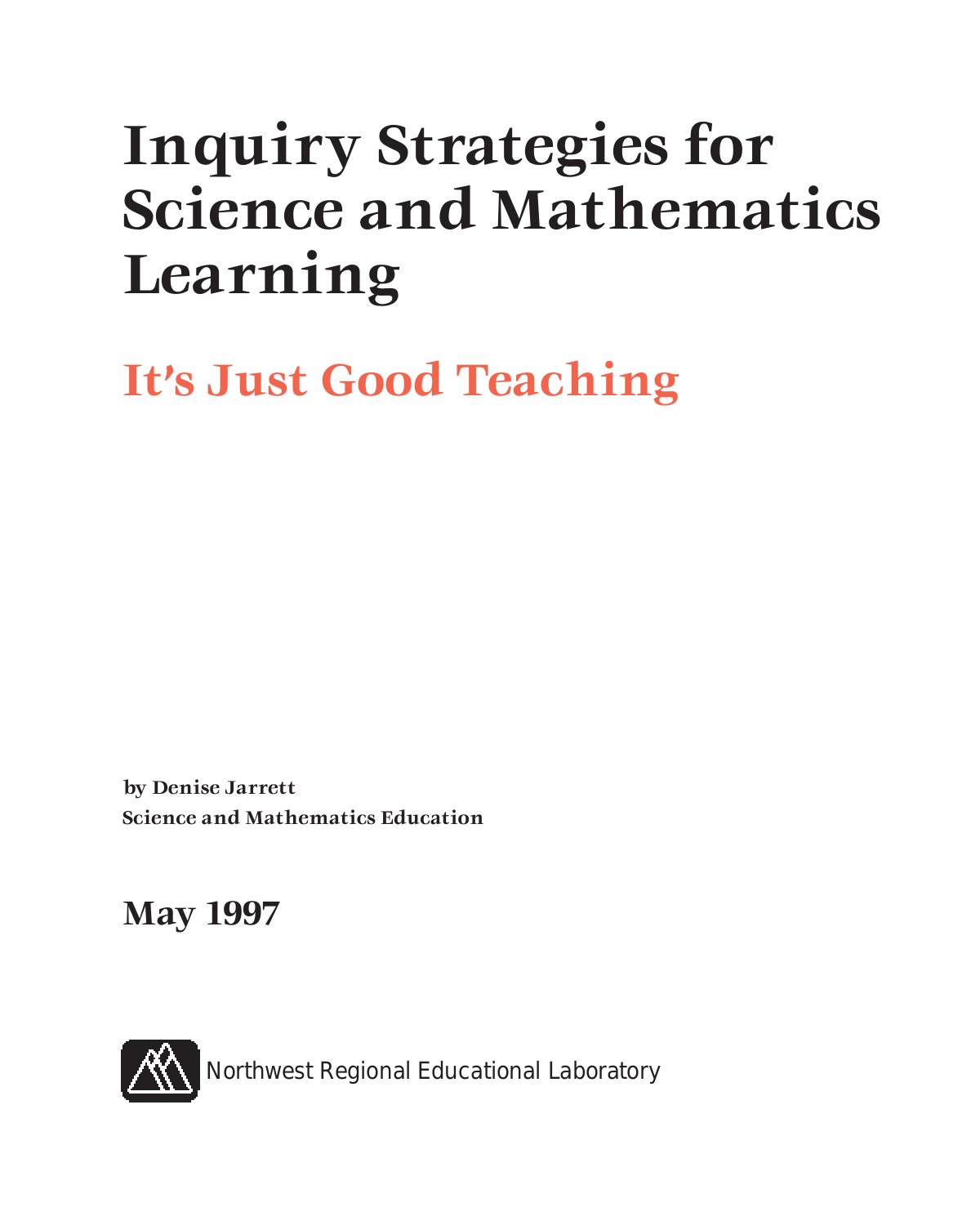# **Inquiry Strategies for Science and Mathematics Learning**

**It's Just Good Teaching**

**by Denise Jarrett Science and Mathematics Education**

**May 1997**

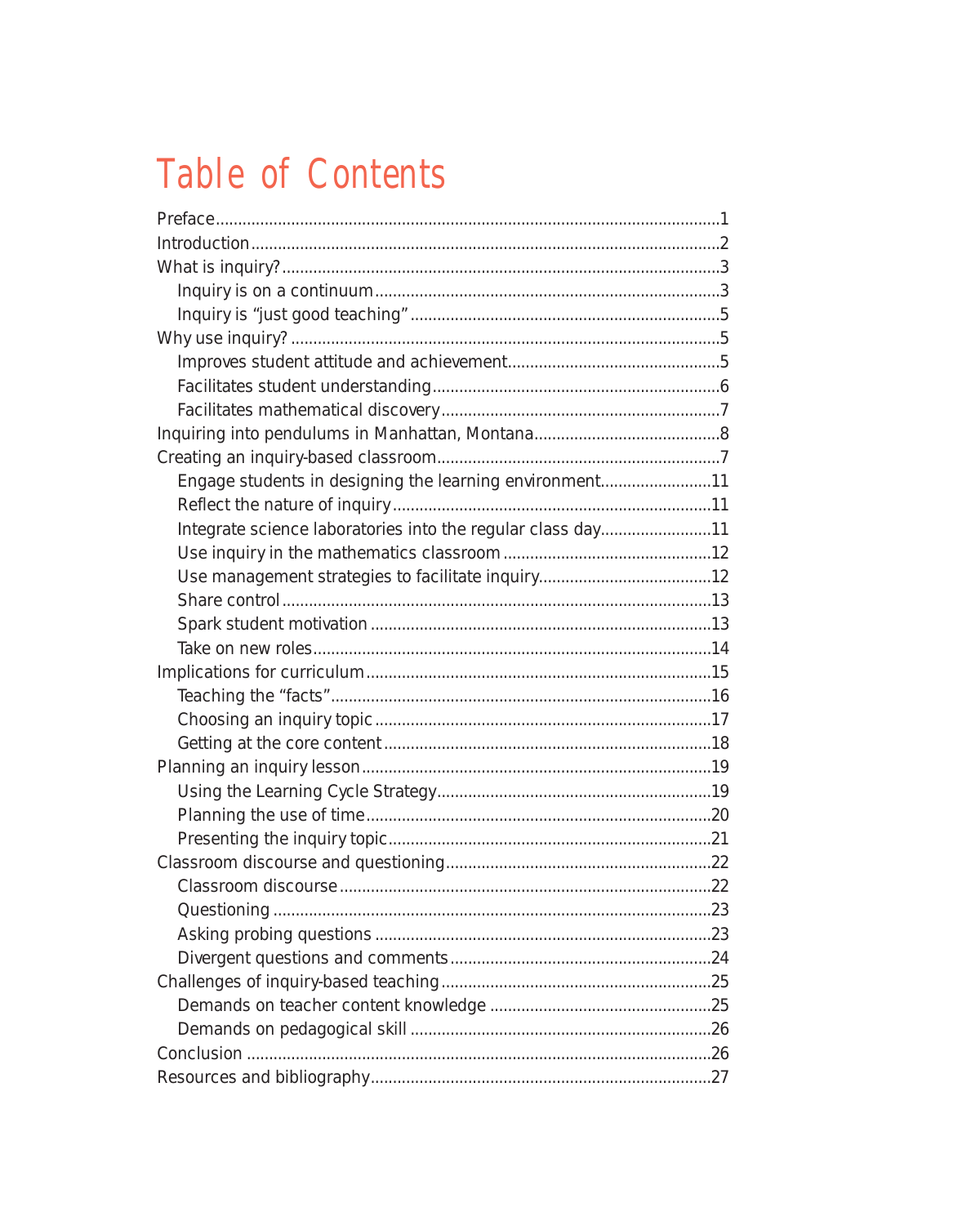### **Table of Contents**

| Engage students in designing the learning environment11     |  |
|-------------------------------------------------------------|--|
|                                                             |  |
| Integrate science laboratories into the regular class day11 |  |
|                                                             |  |
|                                                             |  |
|                                                             |  |
|                                                             |  |
|                                                             |  |
|                                                             |  |
|                                                             |  |
|                                                             |  |
|                                                             |  |
|                                                             |  |
|                                                             |  |
|                                                             |  |
|                                                             |  |
|                                                             |  |
|                                                             |  |
|                                                             |  |
|                                                             |  |
|                                                             |  |
|                                                             |  |
|                                                             |  |
|                                                             |  |
|                                                             |  |
|                                                             |  |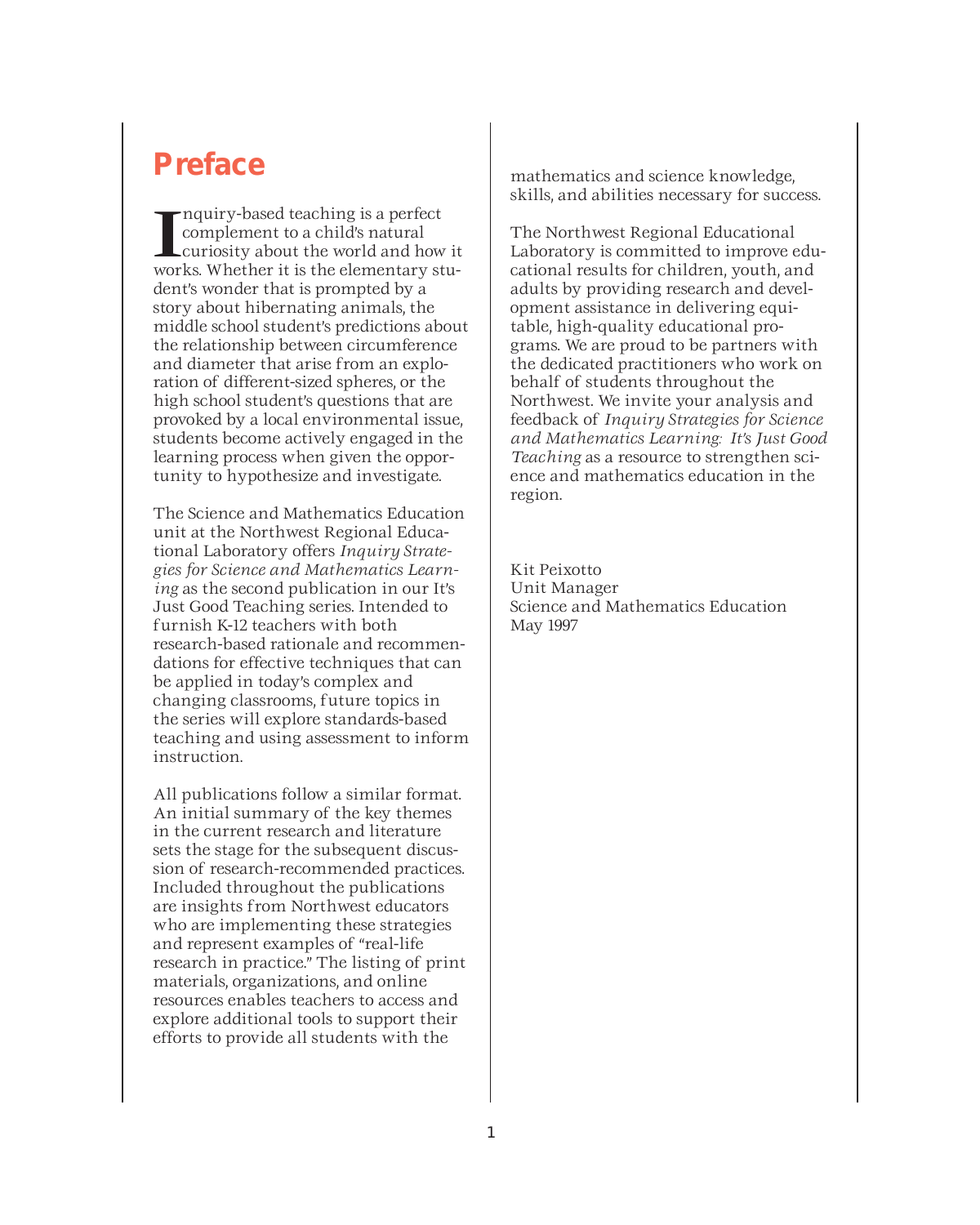### **Preface**

II nquiry-based teaching is a perfect<br>complement to a child's natural<br>works. Whether it is the elementary stunquiry-based teaching is a perfect complement to a child's natural curiosity about the world and how it dent's wonder that is prompted by a story about hibernating animals, the middle school student's predictions about the relationship between circumference and diameter that arise from an exploration of different-sized spheres, or the high school student's questions that are provoked by a local environmental issue, students become actively engaged in the learning process when given the opportunity to hypothesize and investigate.

The Science and Mathematics Education unit at the Northwest Regional Educational Laboratory offers *Inquiry Strategies for Science and Mathematics Learning* as the second publication in our It's Just Good Teaching series. Intended to furnish K-12 teachers with both research-based rationale and recommendations for effective techniques that can be applied in today's complex and changing classrooms, future topics in the series will explore standards-based teaching and using assessment to inform instruction.

All publications follow a similar format. An initial summary of the key themes in the current research and literature sets the stage for the subsequent discussion of research-recommended practices. Included throughout the publications are insights from Northwest educators who are implementing these strategies and represent examples of "real-life research in practice." The listing of print materials, organizations, and online resources enables teachers to access and explore additional tools to support their efforts to provide all students with the

mathematics and science knowledge, skills, and abilities necessary for success.

The Northwest Regional Educational Laboratory is committed to improve educational results for children, youth, and adults by providing research and development assistance in delivering equitable, high-quality educational programs. We are proud to be partners with the dedicated practitioners who work on behalf of students throughout the Northwest. We invite your analysis and feedback of *Inquiry Strategies for Science and Mathematics Learning: It's Just Good Teaching* as a resource to strengthen science and mathematics education in the region.

Kit Peixotto Unit Manager Science and Mathematics Education May 1997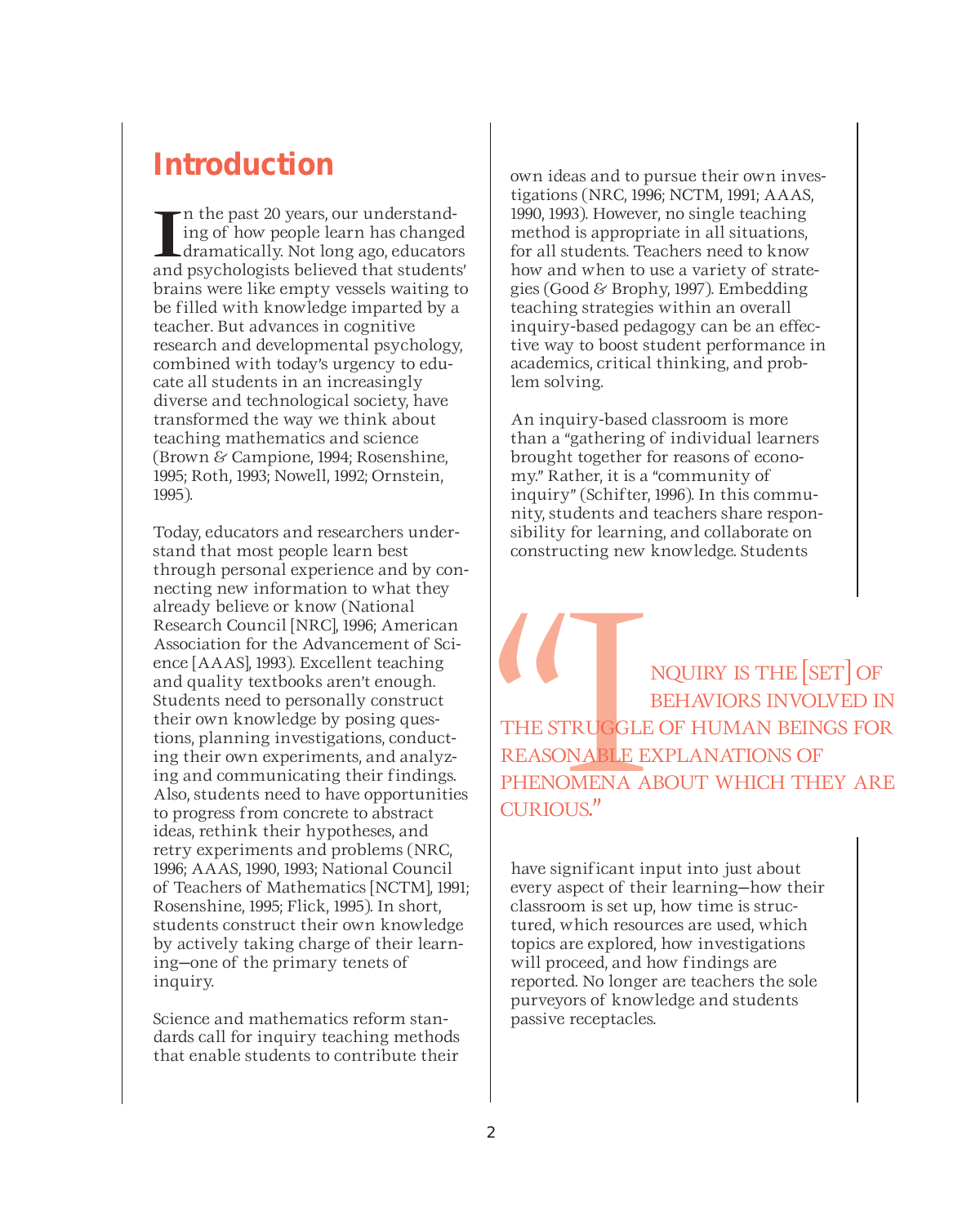### **Introduction**

In the past 20 years, our understanding of how people learn has changed<br>dramatically. Not long ago, educators<br>and psychologists believed that students' n the past 20 years, our understanding of how people learn has changed dramatically. Not long ago, educators brains were like empty vessels waiting to be filled with knowledge imparted by a teacher. But advances in cognitive research and developmental psychology, combined with today's urgency to educate all students in an increasingly diverse and technological society, have transformed the way we think about teaching mathematics and science (Brown & Campione, 1994; Rosenshine, 1995; Roth, 1993; Nowell, 1992; Ornstein, 1995).

Today, educators and researchers understand that most people learn best through personal experience and by connecting new information to what they already believe or know (National Research Council [NRC], 1996; American Association for the Advancement of Science [AAAS], 1993). Excellent teaching and quality textbooks aren't enough. Students need to personally construct their own knowledge by posing questions, planning investigations, conducting their own experiments, and analyzing and communicating their findings. Also, students need to have opportunities to progress from concrete to abstract ideas, rethink their hypotheses, and retry experiments and problems (NRC, 1996; AAAS, 1990, 1993; National Council of Teachers of Mathematics [NCTM], 1991; Rosenshine, 1995; Flick, 1995). In short, students construct their own knowledge by actively taking charge of their learning—one of the primary tenets of inquiry.

Science and mathematics reform standards call for inquiry teaching methods that enable students to contribute their

own ideas and to pursue their own investigations (NRC, 1996; NCTM, 1991; AAAS, 1990, 1993). However, no single teaching method is appropriate in all situations, for all students. Teachers need to know how and when to use a variety of strategies (Good & Brophy, 1997). Embedding teaching strategies within an overall inquiry-based pedagogy can be an effective way to boost student performance in academics, critical thinking, and problem solving.

An inquiry-based classroom is more than a "gathering of individual learners brought together for reasons of economy." Rather, it is a "community of inquiry" (Schifter, 1996). In this community, students and teachers share responsibility for learning, and collaborate on constructing new knowledge. Students

NQUIRY IS THE [SET] OF BEHAVIORS INVOLVED II<br>THE STRUGGLE OF HUMAN BEINGS FOI<br>REASONABLE EXPLANATIONS OF<br>PHENOMENA ABOUT WHICH THEY AR<br>CURIOUS." BEHAVIORS INVOLVED IN THE STRUGGLE OF HUMAN BEINGS FOR REASONABLE EXPLANATIONS OF PHENOMENA ABOUT WHICH THEY ARE CURIOUS."

have significant input into just about every aspect of their learning—how their classroom is set up, how time is structured, which resources are used, which topics are explored, how investigations will proceed, and how findings are reported. No longer are teachers the sole purveyors of knowledge and students passive receptacles.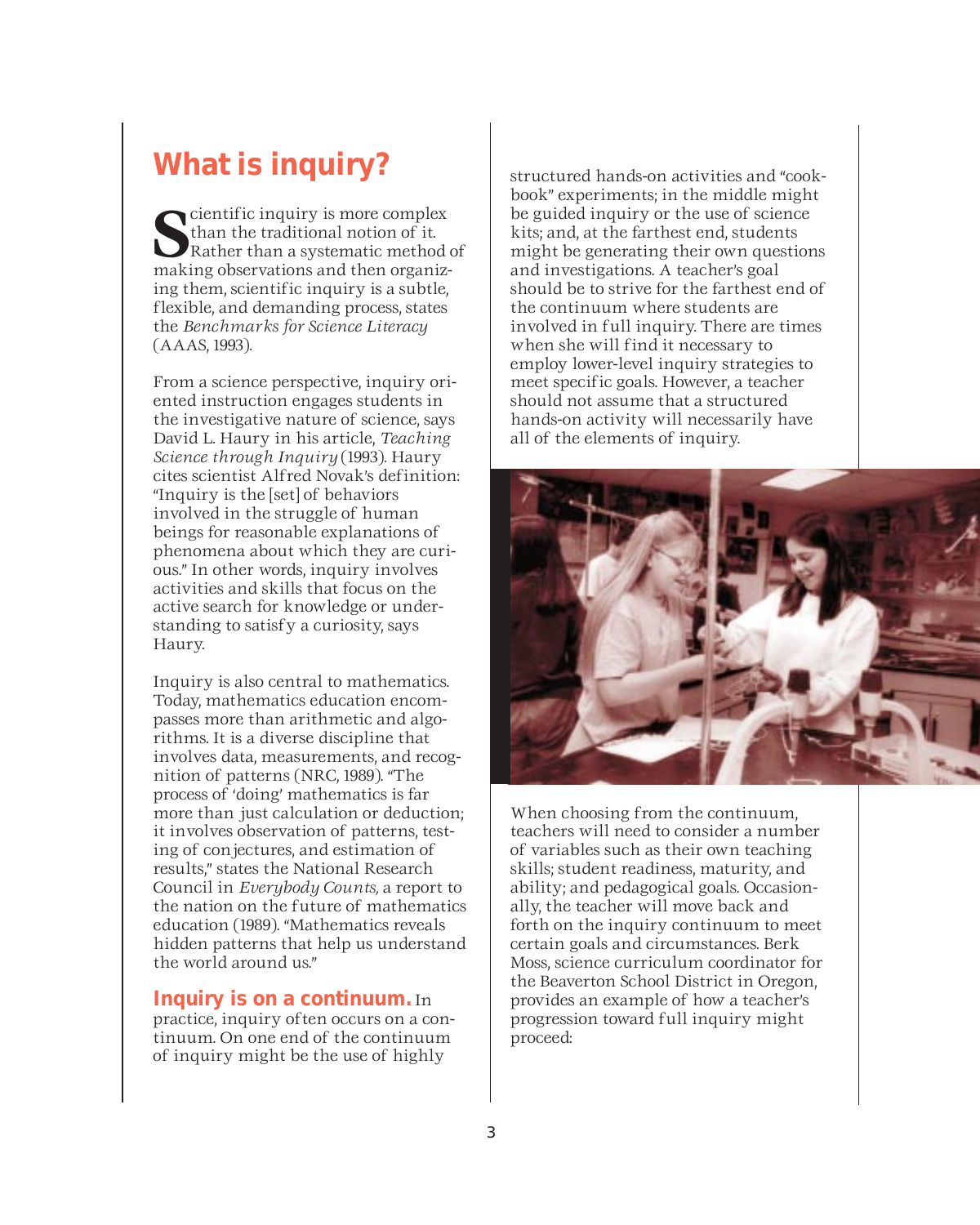### **What is inquiry?**

**S**<br> **S** than the traditional notion of it.<br>
Rather than a systematic method of<br>
making observations and then organizcientific inquiry is more complex than the traditional notion of it. Rather than a systematic method of ing them, scientific inquiry is a subtle, flexible, and demanding process, states the *Benchmarks for Science Literacy* (AAAS, 1993).

From a science perspective, inquiry oriented instruction engages students in the investigative nature of science, says David L. Haury in his article, *Teaching Science through Inquiry* (1993). Haury cites scientist Alfred Novak's definition: "Inquiry is the [set] of behaviors involved in the struggle of human beings for reasonable explanations of phenomena about which they are curious." In other words, inquiry involves activities and skills that focus on the active search for knowledge or understanding to satisfy a curiosity, says Haury.

Inquiry is also central to mathematics. Today, mathematics education encompasses more than arithmetic and algorithms. It is a diverse discipline that involves data, measurements, and recognition of patterns (NRC, 1989). "The process of 'doing' mathematics is far more than just calculation or deduction; it involves observation of patterns, testing of conjectures, and estimation of results," states the National Research Council in *Everybody Counts,* a report to the nation on the future of mathematics education (1989). "Mathematics reveals hidden patterns that help us understand the world around us."

### **Inquiry is on a continuum.** In

practice, inquiry often occurs on a continuum. On one end of the continuum of inquiry might be the use of highly

structured hands-on activities and "cookbook" experiments; in the middle might be guided inquiry or the use of science kits; and, at the farthest end, students might be generating their own questions and investigations. A teacher's goal should be to strive for the farthest end of the continuum where students are involved in full inquiry. There are times when she will find it necessary to employ lower-level inquiry strategies to meet specific goals. However, a teacher should not assume that a structured hands-on activity will necessarily have all of the elements of inquiry.



When choosing from the continuum, teachers will need to consider a number of variables such as their own teaching skills; student readiness, maturity, and ability; and pedagogical goals. Occasionally, the teacher will move back and forth on the inquiry continuum to meet certain goals and circumstances. Berk Moss, science curriculum coordinator for the Beaverton School District in Oregon, provides an example of how a teacher's progression toward full inquiry might proceed: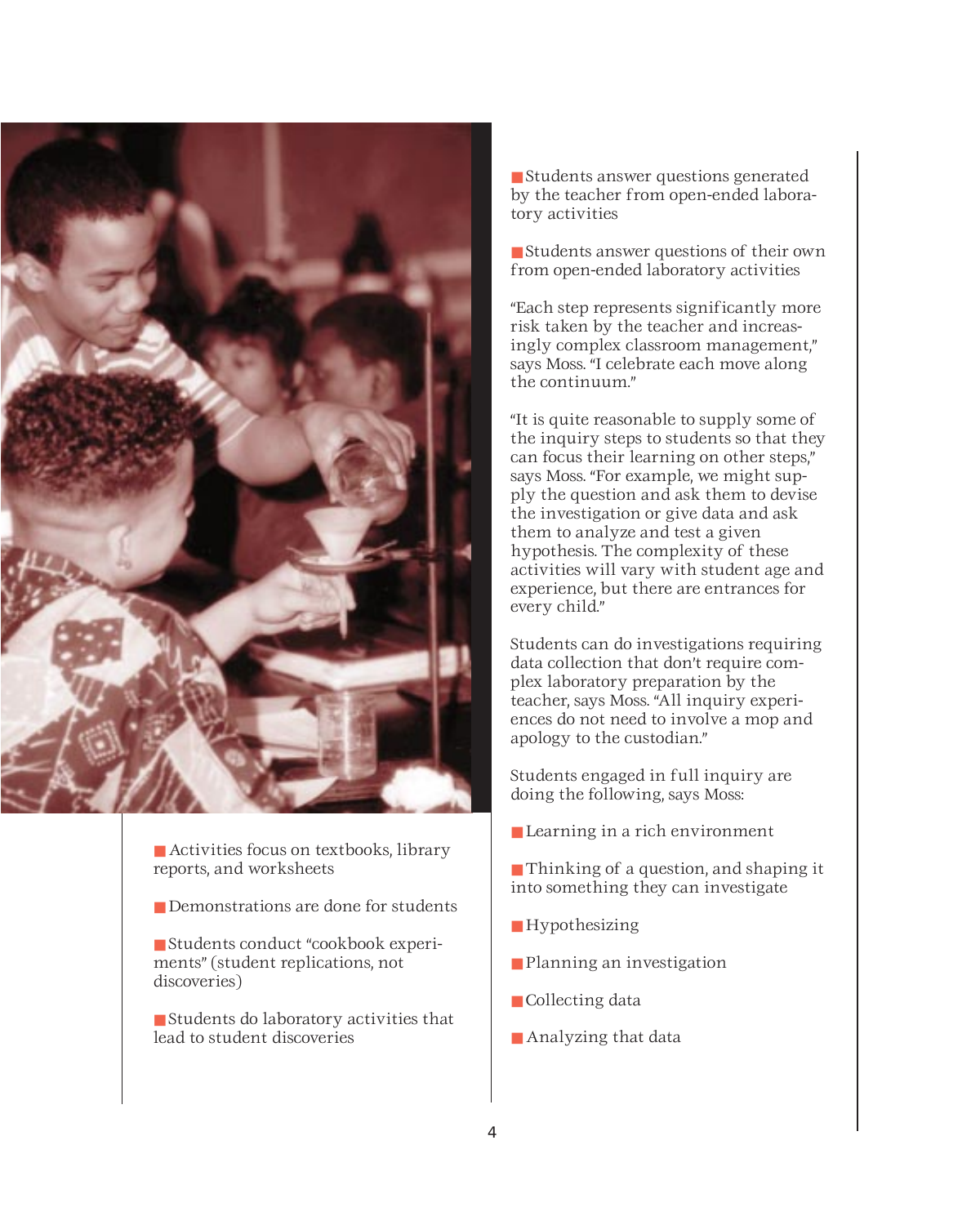

- Activities focus on textbooks, library reports, and worksheets
- Demonstrations are done for students
- Students conduct "cookbook experiments" (student replications, not discoveries)
- Students do laboratory activities that lead to student discoveries

■ Students answer questions generated by the teacher from open-ended laboratory activities

■ Students answer questions of their own from open-ended laboratory activities

"Each step represents significantly more risk taken by the teacher and increasingly complex classroom management," says Moss. "I celebrate each move along the continuum."

"It is quite reasonable to supply some of the inquiry steps to students so that they can focus their learning on other steps," says Moss. "For example, we might supply the question and ask them to devise the investigation or give data and ask them to analyze and test a given hypothesis. The complexity of these activities will vary with student age and experience, but there are entrances for every child."

Students can do investigations requiring data collection that don't require complex laboratory preparation by the teacher, says Moss. "All inquiry experiences do not need to involve a mop and apology to the custodian."

Students engaged in full inquiry are doing the following, says Moss:

- Learning in a rich environment
- Thinking of a question, and shaping it into something they can investigate
- Hypothesizing
- Planning an investigation
- Collecting data
- Analyzing that data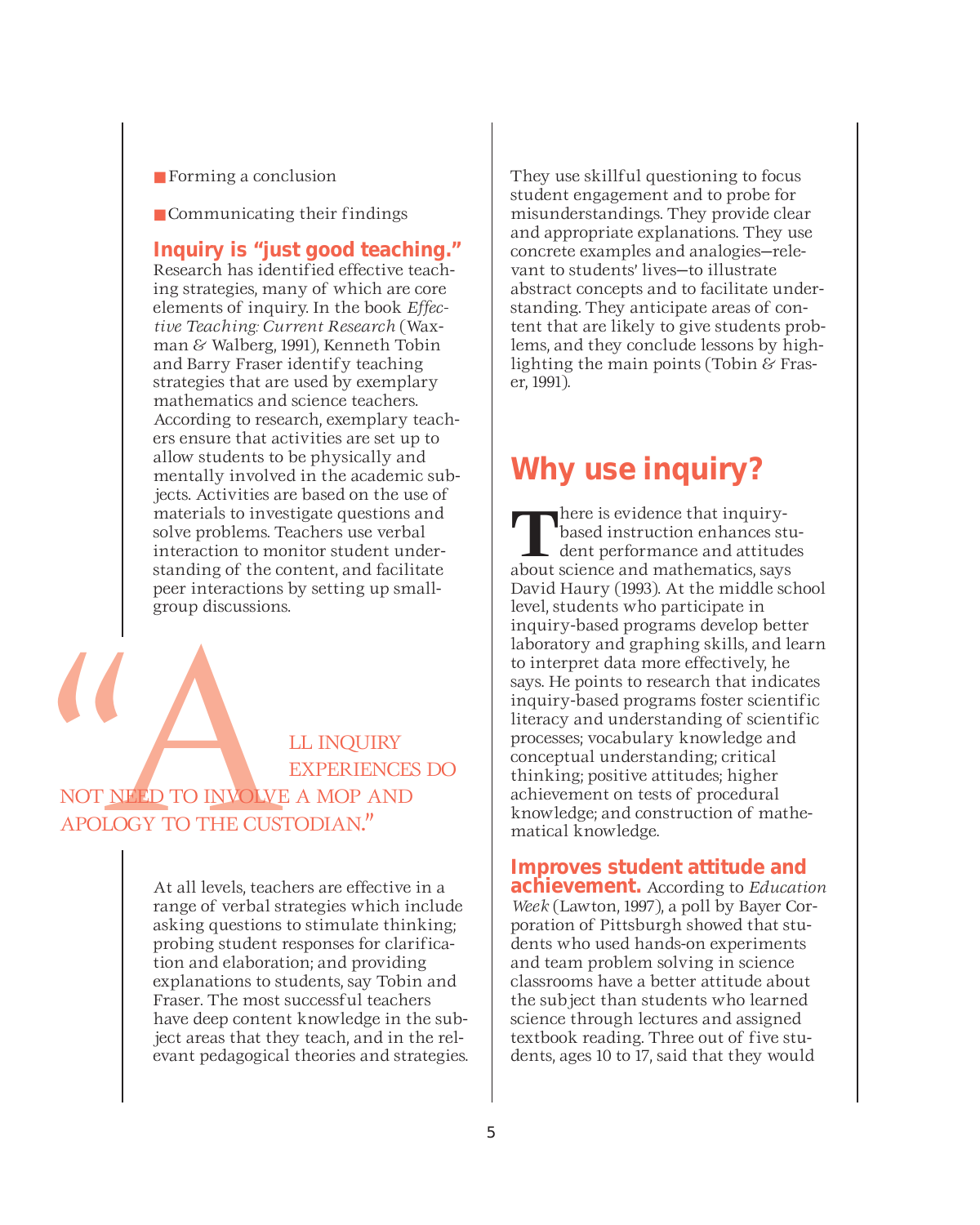- Forming a conclusion
- Communicating their findings

**Inquiry is "just good teaching."** Research has identified effective teaching strategies, many of which are core elements of inquiry. In the book *Effective Teaching: Current Research* (Waxman & Walberg, 1991), Kenneth Tobin and Barry Fraser identify teaching strategies that are used by exemplary mathematics and science teachers. According to research, exemplary teachers ensure that activities are set up to allow students to be physically and mentally involved in the academic subjects. Activities are based on the use of materials to investigate questions and solve problems. Teachers use verbal interaction to monitor student understanding of the content, and facilitate peer interactions by setting up smallgroup discussions.

LE INQUIRY<br>
NOT NEED TO INVOLVE A MOP ANI<br>
APOLOGY TO THE CUSTODIAN." EXPERIENCES DO NOT NEED TO INVOLVE A MOP AND APOLOGY TO THE CUSTODIAN."

> At all levels, teachers are effective in a range of verbal strategies which include asking questions to stimulate thinking; probing student responses for clarification and elaboration; and providing explanations to students, say Tobin and Fraser. The most successful teachers have deep content knowledge in the subject areas that they teach, and in the relevant pedagogical theories and strategies.

They use skillful questioning to focus student engagement and to probe for misunderstandings. They provide clear and appropriate explanations. They use concrete examples and analogies—relevant to students' lives—to illustrate abstract concepts and to facilitate understanding. They anticipate areas of content that are likely to give students problems, and they conclude lessons by highlighting the main points (Tobin & Fraser, 1991).

### **Why use inquiry?**

**T**here is evidence that inquirybased instruction enhances student performance and attitudes about science and mathematics, says David Haury (1993). At the middle school level, students who participate in inquiry-based programs develop better laboratory and graphing skills, and learn to interpret data more effectively, he says. He points to research that indicates inquiry-based programs foster scientific literacy and understanding of scientific processes; vocabulary knowledge and conceptual understanding; critical thinking; positive attitudes; higher achievement on tests of procedural knowledge; and construction of mathematical knowledge.

### **Improves student attitude and**

**achievement.** According to *Education Week* (Lawton, 1997), a poll by Bayer Corporation of Pittsburgh showed that students who used hands-on experiments and team problem solving in science classrooms have a better attitude about the subject than students who learned science through lectures and assigned textbook reading. Three out of five students, ages 10 to 17, said that they would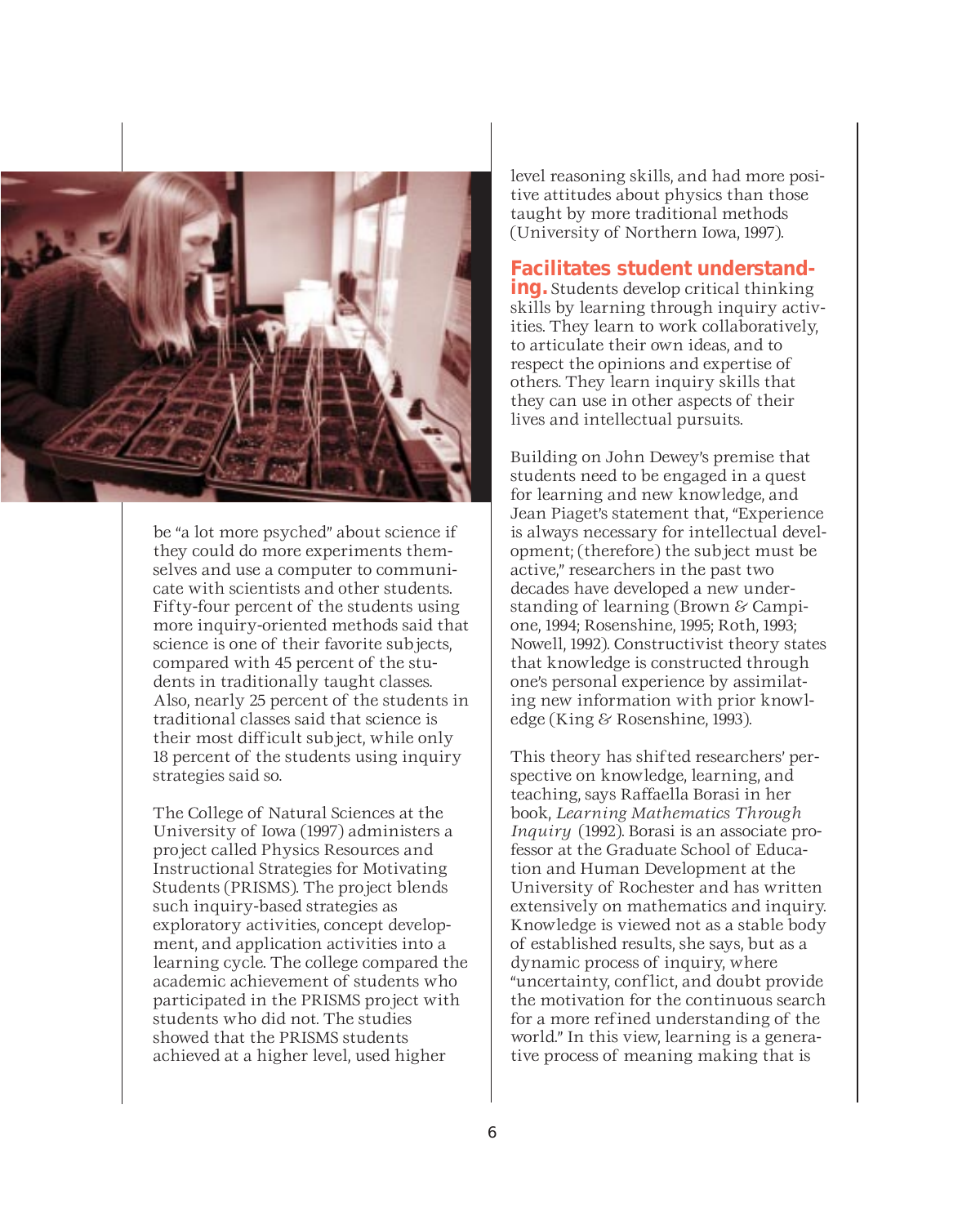

be "a lot more psyched" about science if they could do more experiments themselves and use a computer to communicate with scientists and other students. Fifty-four percent of the students using more inquiry-oriented methods said that science is one of their favorite subjects, compared with 45 percent of the students in traditionally taught classes. Also, nearly 25 percent of the students in traditional classes said that science is their most difficult subject, while only 18 percent of the students using inquiry strategies said so.

The College of Natural Sciences at the University of Iowa (1997) administers a project called Physics Resources and Instructional Strategies for Motivating Students (PRISMS). The project blends such inquiry-based strategies as exploratory activities, concept development, and application activities into a learning cycle. The college compared the academic achievement of students who participated in the PRISMS project with students who did not. The studies showed that the PRISMS students achieved at a higher level, used higher

level reasoning skills, and had more positive attitudes about physics than those taught by more traditional methods (University of Northern Iowa, 1997).

### **Facilitates student understand- ing.** Students develop critical thinking

skills by learning through inquiry activities. They learn to work collaboratively, to articulate their own ideas, and to respect the opinions and expertise of others. They learn inquiry skills that they can use in other aspects of their lives and intellectual pursuits.

Building on John Dewey's premise that students need to be engaged in a quest for learning and new knowledge, and Jean Piaget's statement that, "Experience is always necessary for intellectual development; (therefore) the subject must be active," researchers in the past two decades have developed a new understanding of learning (Brown & Campione, 1994; Rosenshine, 1995; Roth, 1993; Nowell, 1992). Constructivist theory states that knowledge is constructed through one's personal experience by assimilating new information with prior knowledge (King & Rosenshine, 1993).

This theory has shifted researchers' perspective on knowledge, learning, and teaching, says Raffaella Borasi in her book, *Learning Mathematics Through Inquiry* (1992). Borasi is an associate professor at the Graduate School of Education and Human Development at the University of Rochester and has written extensively on mathematics and inquiry. Knowledge is viewed not as a stable body of established results, she says, but as a dynamic process of inquiry, where "uncertainty, conflict, and doubt provide the motivation for the continuous search for a more refined understanding of the world." In this view, learning is a generative process of meaning making that is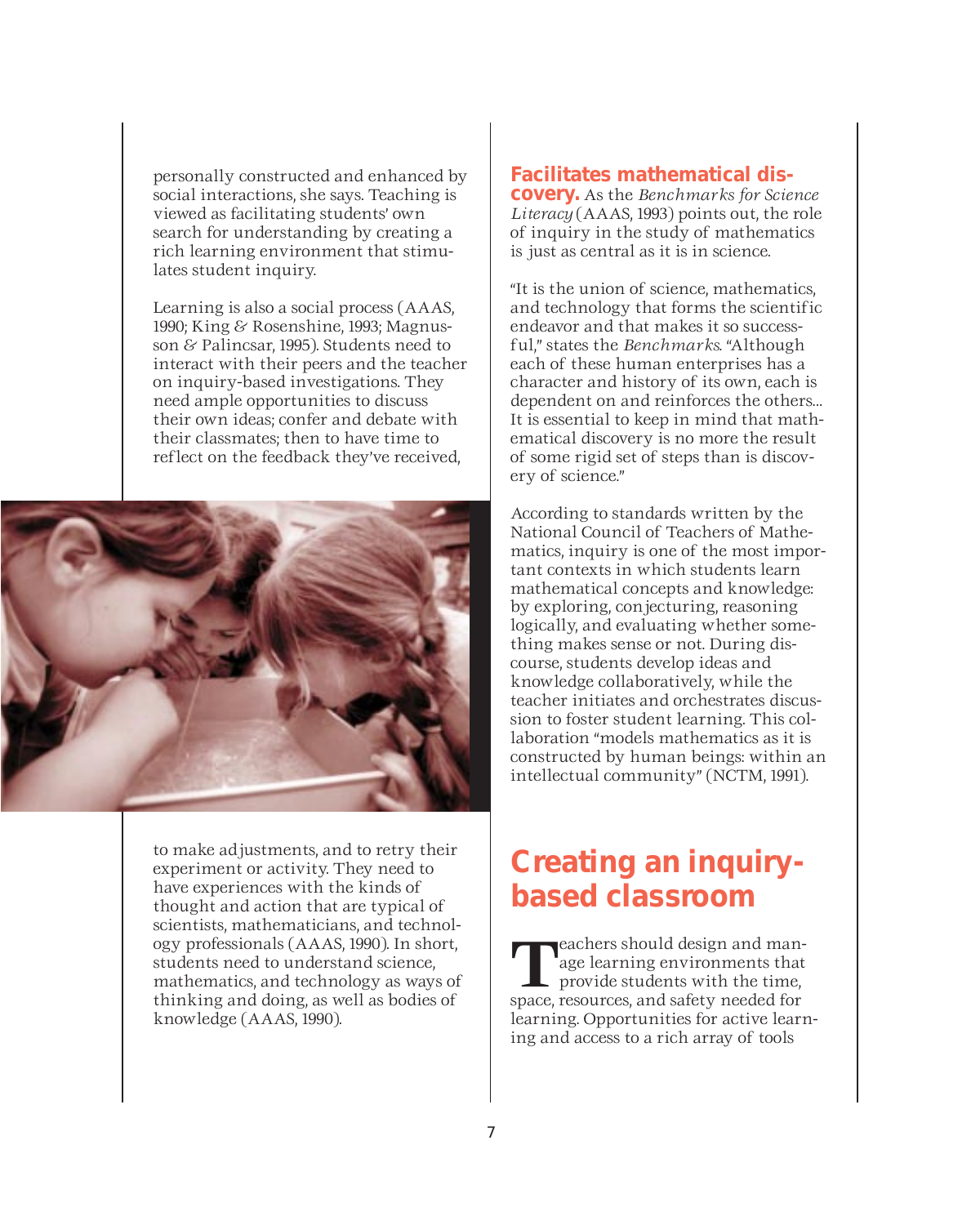personally constructed and enhanced by social interactions, she says. Teaching is viewed as facilitating students' own search for understanding by creating a rich learning environment that stimulates student inquiry.

Learning is also a social process (AAAS, 1990; King & Rosenshine, 1993; Magnusson & Palincsar, 1995). Students need to interact with their peers and the teacher on inquiry-based investigations. They need ample opportunities to discuss their own ideas; confer and debate with their classmates; then to have time to reflect on the feedback they've received,



to make adjustments, and to retry their experiment or activity. They need to have experiences with the kinds of thought and action that are typical of scientists, mathematicians, and technology professionals (AAAS, 1990). In short, students need to understand science, mathematics, and technology as ways of thinking and doing, as well as bodies of knowledge (AAAS, 1990).

### **Facilitates mathematical dis- covery.** As the *Benchmarks for Science*

*Literacy* (AAAS, 1993) points out, the role of inquiry in the study of mathematics is just as central as it is in science.

"It is the union of science, mathematics, and technology that forms the scientific endeavor and that makes it so successful," states the *Benchmarks*. "Although each of these human enterprises has a character and history of its own, each is dependent on and reinforces the others… It is essential to keep in mind that mathematical discovery is no more the result of some rigid set of steps than is discovery of science."

According to standards written by the National Council of Teachers of Mathematics, inquiry is one of the most important contexts in which students learn mathematical concepts and knowledge: by exploring, conjecturing, reasoning logically, and evaluating whether something makes sense or not. During discourse, students develop ideas and knowledge collaboratively, while the teacher initiates and orchestrates discussion to foster student learning. This collaboration "models mathematics as it is constructed by human beings: within an intellectual community" (NCTM, 1991).

### **Creating an inquirybased classroom**

**T**eachers should design and man-<br>age learning environments that<br>provide students with the time, age learning environments that space, resources, and safety needed for learning. Opportunities for active learning and access to a rich array of tools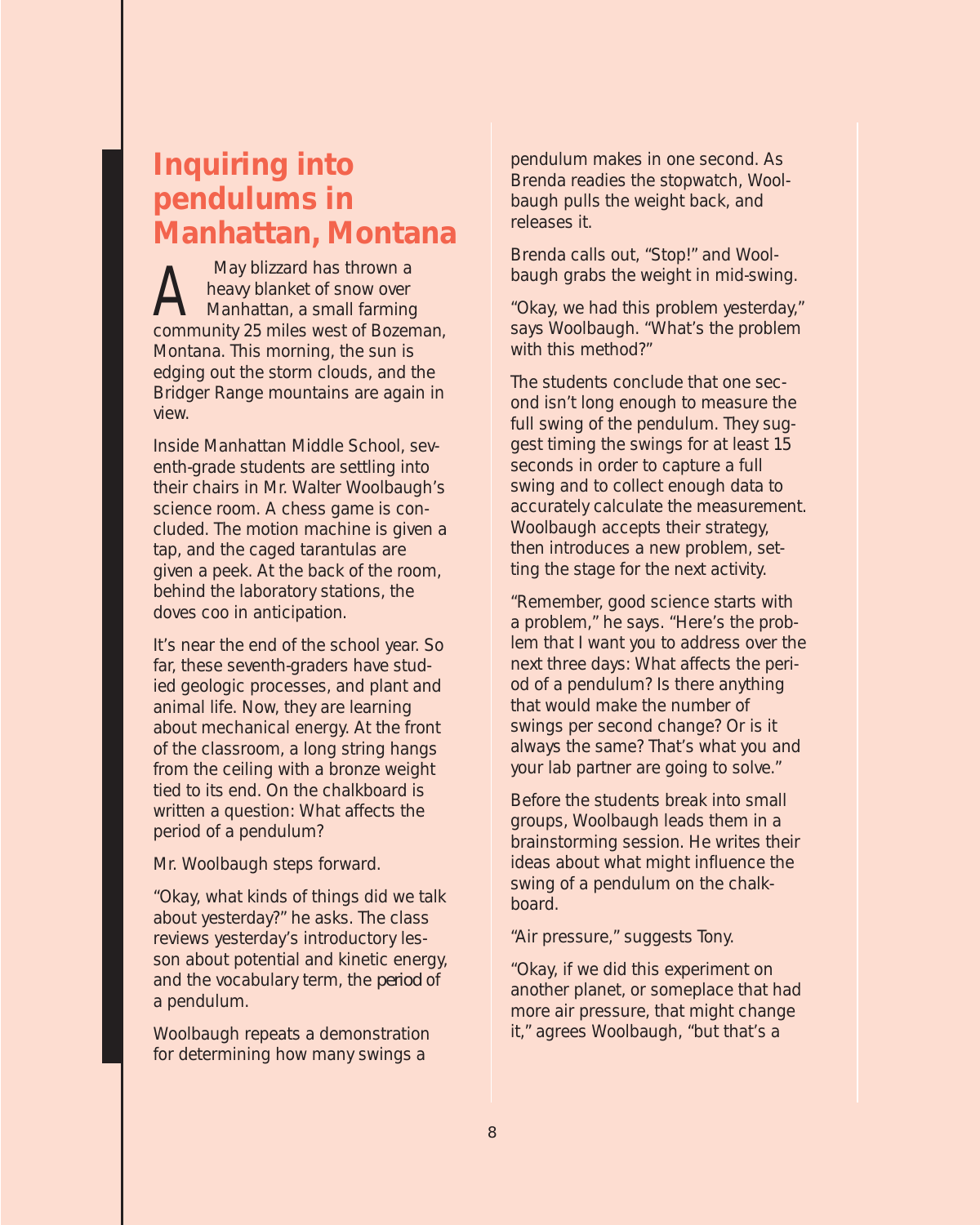### **Inquiring into pendulums in Manhattan, Montana**

May blizzard has thrown a<br>heavy blanket of snow over<br>Manhattan, a small farming heavy blanket of snow over Manhattan, a small farming community 25 miles west of Bozeman, Montana. This morning, the sun is edging out the storm clouds, and the Bridger Range mountains are again in view.

Inside Manhattan Middle School, seventh-grade students are settling into their chairs in Mr. Walter Woolbaugh's science room. A chess game is concluded. The motion machine is given a tap, and the caged tarantulas are given a peek. At the back of the room, behind the laboratory stations, the doves coo in anticipation.

It's near the end of the school year. So far, these seventh-graders have studied geologic processes, and plant and animal life. Now, they are learning about mechanical energy. At the front of the classroom, a long string hangs from the ceiling with a bronze weight tied to its end. On the chalkboard is written a question: What affects the period of a pendulum?

Mr. Woolbaugh steps forward.

"Okay, what kinds of things did we talk about yesterday?" he asks. The class reviews yesterday's introductory lesson about potential and kinetic energy, and the vocabulary term, the *period* of a pendulum.

Woolbaugh repeats a demonstration for determining how many swings a

pendulum makes in one second. As Brenda readies the stopwatch, Woolbaugh pulls the weight back, and releases it.

Brenda calls out, "Stop!" and Woolbaugh grabs the weight in mid-swing.

"Okay, we had this problem yesterday," says Woolbaugh. "What's the problem with this method?"

The students conclude that one second isn't long enough to measure the full swing of the pendulum. They suggest timing the swings for at least 15 seconds in order to capture a full swing and to collect enough data to accurately calculate the measurement. Woolbaugh accepts their strategy, then introduces a new problem, setting the stage for the next activity.

"Remember, good science starts with a problem," he says. "Here's the problem that I want you to address over the next three days: What affects the period of a pendulum? Is there anything that would make the number of swings per second change? Or is it always the same? That's what you and your lab partner are going to solve."

Before the students break into small groups, Woolbaugh leads them in a brainstorming session. He writes their ideas about what might influence the swing of a pendulum on the chalkboard.

"Air pressure," suggests Tony.

"Okay, if we did this experiment on another planet, or someplace that had more air pressure, that might change it," agrees Woolbaugh, "but that's a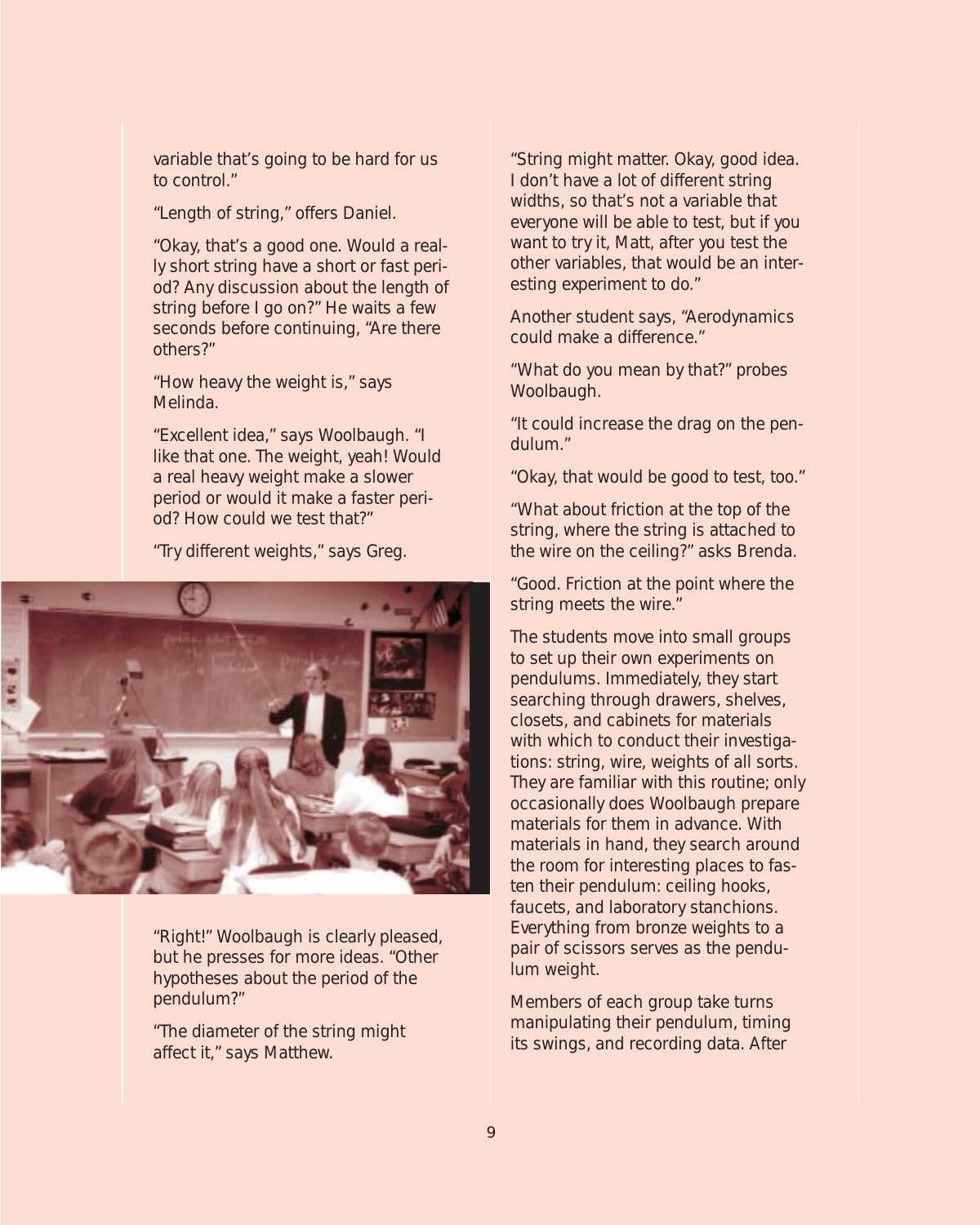variable that's going to be hard for us to control."

"Length of string," offers Daniel.

"Okay, that's a good one. Would a really short string have a short or fast period? Any discussion about the length of string before I go on?" He waits a few seconds before continuing, "Are there others?"

"How heavy the weight is," says Melinda.

"Excellent idea," says Woolbaugh. "I like that one. The weight, yeah! Would a real heavy weight make a slower period or would it make a faster period? How could we test that?"

"Try different weights," says Greg.



"Right!" Woolbaugh is clearly pleased, but he presses for more ideas. "Other hypotheses about the period of the pendulum?"

"The diameter of the string might affect it," says Matthew.

"String might matter. Okay, good idea. I don't have a lot of different string widths, so that's not a variable that everyone will be able to test, but if you want to try it, Matt, after you test the other variables, that would be an interesting experiment to do."

Another student says, "Aerodynamics could make a difference."

"What do you mean by that?" probes Woolbaugh.

"It could increase the drag on the pendulum."

"Okay, that would be good to test, too."

"What about friction at the top of the string, where the string is attached to the wire on the ceiling?" asks Brenda.

"Good. Friction at the point where the string meets the wire."

The students move into small groups to set up their own experiments on pendulums. Immediately, they start searching through drawers, shelves, closets, and cabinets for materials with which to conduct their investigations: string, wire, weights of all sorts. They are familiar with this routine; only occasionally does Woolbaugh prepare materials for them in advance. With materials in hand, they search around the room for interesting places to fasten their pendulum: ceiling hooks, faucets, and laboratory stanchions. Everything from bronze weights to a pair of scissors serves as the pendulum weight.

Members of each group take turns manipulating their pendulum, timing its swings, and recording data. After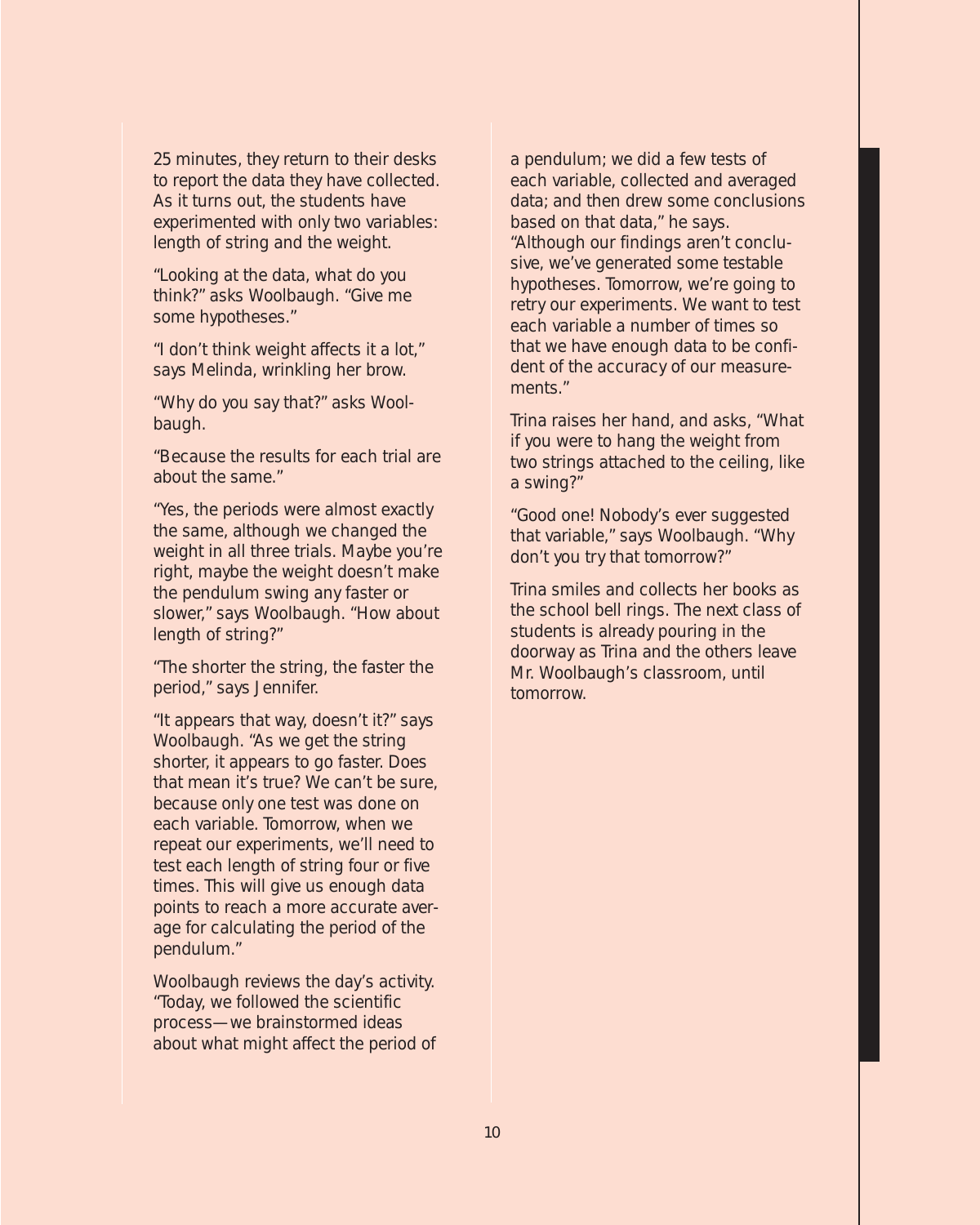25 minutes, they return to their desks to report the data they have collected. As it turns out, the students have experimented with only two variables: length of string and the weight.

"Looking at the data, what do you think?" asks Woolbaugh. "Give me some hypotheses."

"I don't think weight affects it a lot," says Melinda, wrinkling her brow.

"Why do you say that?" asks Woolbaugh.

"Because the results for each trial are about the same."

"Yes, the periods were almost exactly the same, although we changed the weight in all three trials. Maybe you're right, maybe the weight doesn't make the pendulum swing any faster or slower," says Woolbaugh. "How about length of string?"

"The shorter the string, the faster the period," says Jennifer.

"It appears that way, doesn't it?" says Woolbaugh. "As we get the string shorter, it appears to go faster. Does that mean it's true? We can't be sure, because only one test was done on each variable. Tomorrow, when we repeat our experiments, we'll need to test each length of string four or five times. This will give us enough data points to reach a more accurate average for calculating the period of the pendulum."

Woolbaugh reviews the day's activity. "Today, we followed the scientific process—we brainstormed ideas about what might affect the period of a pendulum; we did a few tests of each variable, collected and averaged data; and then drew some conclusions based on that data," he says. "Although our findings aren't conclusive, we've generated some testable hypotheses. Tomorrow, we're going to retry our experiments. We want to test each variable a number of times so that we have enough data to be confident of the accuracy of our measurements."

Trina raises her hand, and asks, "What if you were to hang the weight from two strings attached to the ceiling, like a swing?"

"Good one! Nobody's ever suggested that variable," says Woolbaugh. "Why don't you try that tomorrow?"

Trina smiles and collects her books as the school bell rings. The next class of students is already pouring in the doorway as Trina and the others leave Mr. Woolbaugh's classroom, until tomorrow.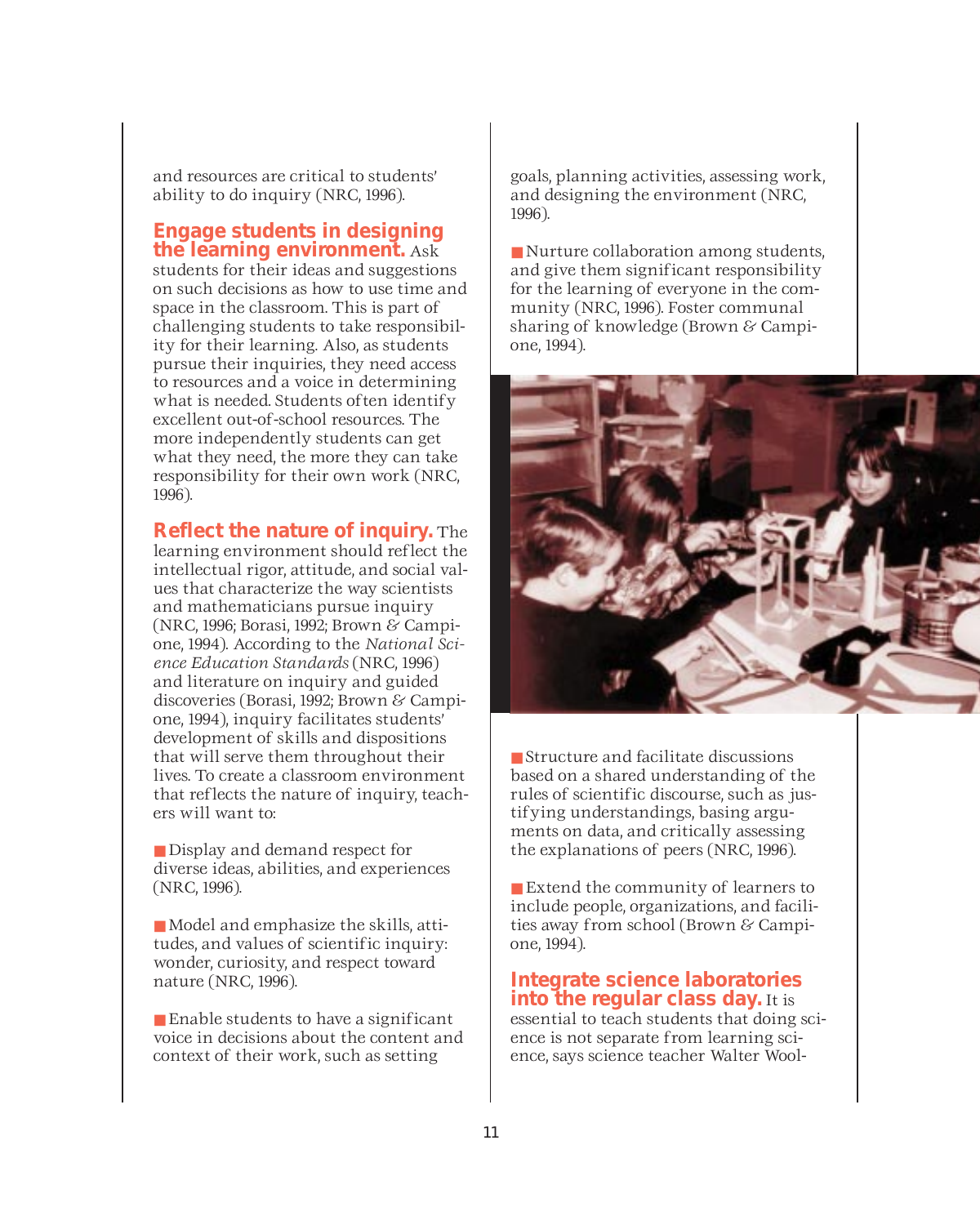and resources are critical to students' ability to do inquiry (NRC, 1996).

### **Engage students in designing the learning environment.** Ask

students for their ideas and suggestions on such decisions as how to use time and space in the classroom. This is part of challenging students to take responsibility for their learning. Also, as students pursue their inquiries, they need access to resources and a voice in determining what is needed. Students often identify excellent out-of-school resources. The more independently students can get what they need, the more they can take responsibility for their own work (NRC, 1996).

**Reflect the nature of inquiry.** The

learning environment should reflect the intellectual rigor, attitude, and social values that characterize the way scientists and mathematicians pursue inquiry (NRC, 1996; Borasi, 1992; Brown & Campione, 1994). According to the *National Science Education Standards* (NRC, 1996) and literature on inquiry and guided discoveries (Borasi, 1992; Brown & Campione, 1994), inquiry facilitates students' development of skills and dispositions that will serve them throughout their lives. To create a classroom environment that reflects the nature of inquiry, teachers will want to:

■ Display and demand respect for diverse ideas, abilities, and experiences (NRC, 1996).

■ Model and emphasize the skills, attitudes, and values of scientific inquiry: wonder, curiosity, and respect toward nature (NRC, 1996).

■ Enable students to have a significant voice in decisions about the content and context of their work, such as setting

goals, planning activities, assessing work, and designing the environment (NRC, 1996).

■ Nurture collaboration among students, and give them significant responsibility for the learning of everyone in the community (NRC, 1996). Foster communal sharing of knowledge (Brown & Campione, 1994).



■ Structure and facilitate discussions based on a shared understanding of the rules of scientific discourse, such as justifying understandings, basing arguments on data, and critically assessing the explanations of peers (NRC, 1996).

■ Extend the community of learners to include people, organizations, and facilities away from school (Brown & Campione, 1994).

**Integrate science laboratories into the regular class day.** It is essential to teach students that doing science is not separate from learning science, says science teacher Walter Wool-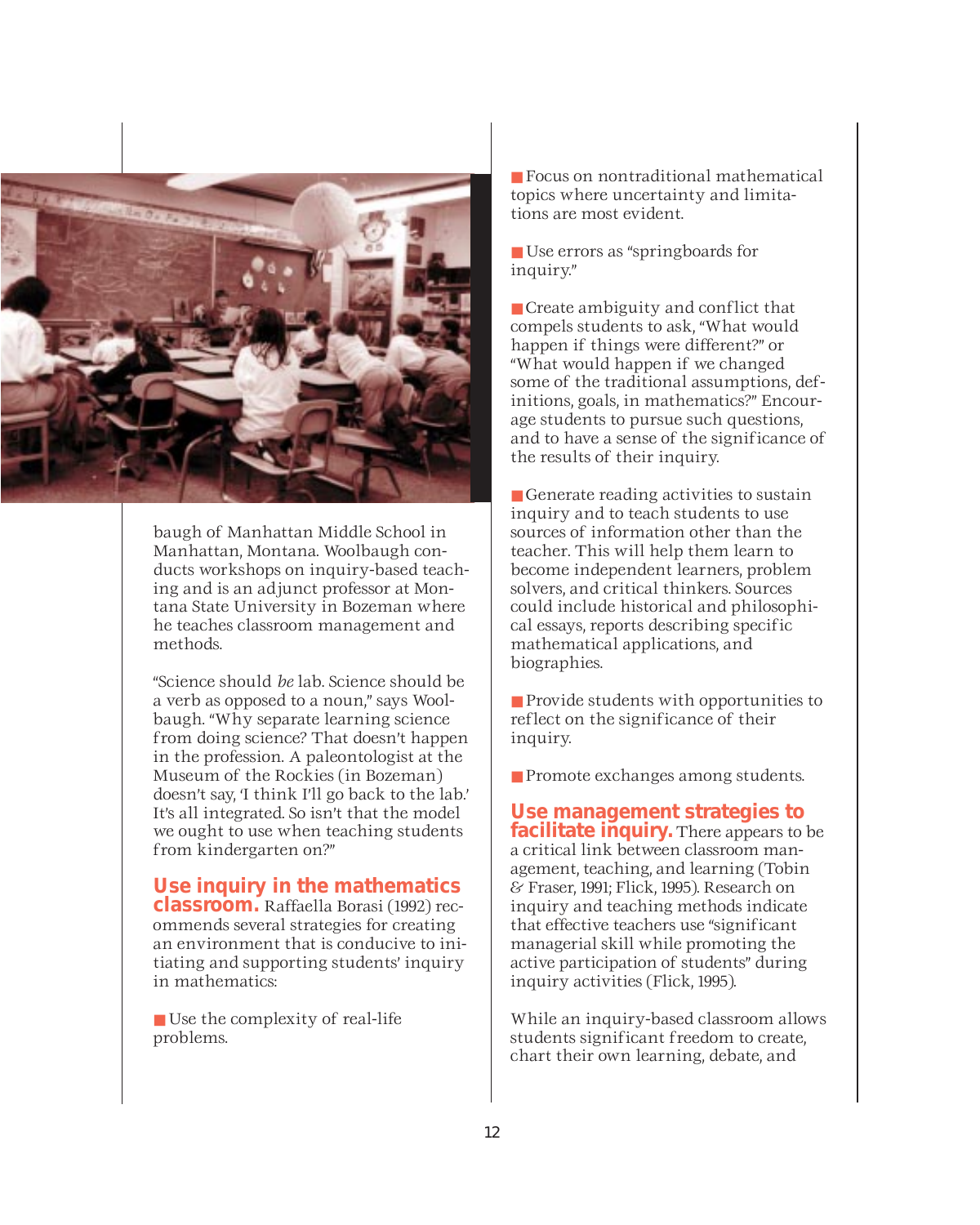

baugh of Manhattan Middle School in Manhattan, Montana. Woolbaugh conducts workshops on inquiry-based teaching and is an adjunct professor at Montana State University in Bozeman where he teaches classroom management and methods.

"Science should *be* lab. Science should be a verb as opposed to a noun," says Woolbaugh. "Why separate learning science from doing science? That doesn't happen in the profession. A paleontologist at the Museum of the Rockies (in Bozeman) doesn't say, 'I think I'll go back to the lab.' It's all integrated. So isn't that the model we ought to use when teaching students from kindergarten on?"

### **Use inquiry in the mathematics classroom.** Raffaella Borasi (1992) rec-

ommends several strategies for creating an environment that is conducive to initiating and supporting students' inquiry in mathematics:

■ Use the complexity of real-life problems.

■ Focus on nontraditional mathematical topics where uncertainty and limitations are most evident.

■ Use errors as "springboards for inquiry."

■ Create ambiguity and conflict that compels students to ask, "What would happen if things were different?" or "What would happen if we changed some of the traditional assumptions, definitions, goals, in mathematics?" Encourage students to pursue such questions, and to have a sense of the significance of the results of their inquiry.

■ Generate reading activities to sustain inquiry and to teach students to use sources of information other than the teacher. This will help them learn to become independent learners, problem solvers, and critical thinkers. Sources could include historical and philosophical essays, reports describing specific mathematical applications, and biographies.

■ Provide students with opportunities to reflect on the significance of their inquiry.

■ Promote exchanges among students.

#### **Use management strategies to facilitate inquiry.** There appears to be

a critical link between classroom management, teaching, and learning (Tobin & Fraser, 1991; Flick, 1995). Research on inquiry and teaching methods indicate that effective teachers use "significant managerial skill while promoting the active participation of students" during inquiry activities (Flick, 1995).

While an inquiry-based classroom allows students significant freedom to create, chart their own learning, debate, and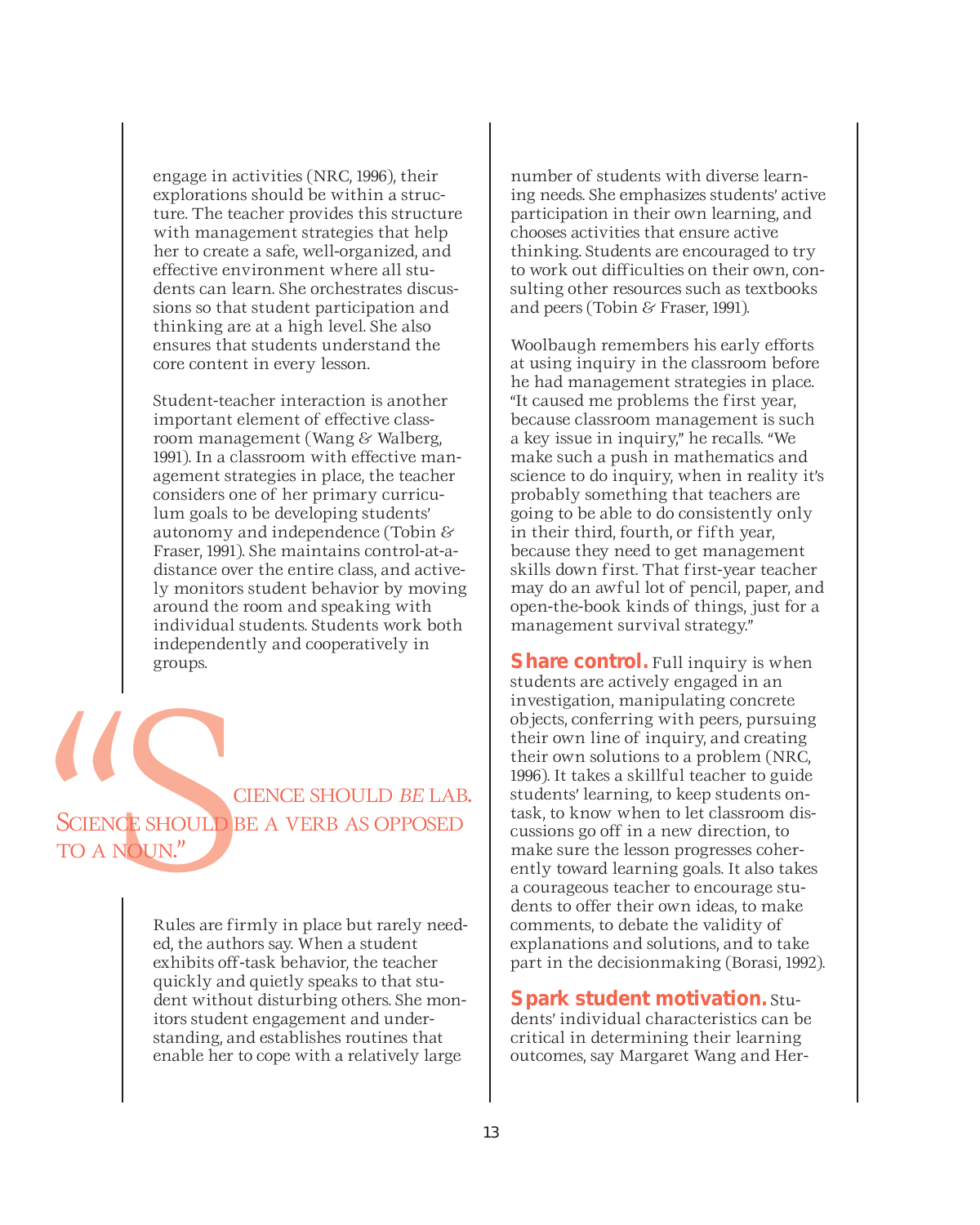engage in activities (NRC, 1996), their explorations should be within a structure. The teacher provides this structure with management strategies that help her to create a safe, well-organized, and effective environment where all students can learn. She orchestrates discussions so that student participation and thinking are at a high level. She also ensures that students understand the core content in every lesson.

Student-teacher interaction is another important element of effective classroom management (Wang & Walberg, 1991). In a classroom with effective management strategies in place, the teacher considers one of her primary curriculum goals to be developing students' autonomy and independence (Tobin & Fraser, 1991). She maintains control-at-adistance over the entire class, and actively monitors student behavior by moving around the room and speaking with individual students. Students work both independently and cooperatively in groups.

CIENCE SHOULD *BE* LAB.<br>SCIENCE SHOULD BE A VERB AS OPPOSED<br>TO A NOUN." SCIENCE SHOULD BE A VERB AS OPPOSED TO A NOUN."

> Rules are firmly in place but rarely needed, the authors say. When a student exhibits off-task behavior, the teacher quickly and quietly speaks to that student without disturbing others. She monitors student engagement and understanding, and establishes routines that enable her to cope with a relatively large

number of students with diverse learning needs. She emphasizes students' active participation in their own learning, and chooses activities that ensure active thinking. Students are encouraged to try to work out difficulties on their own, consulting other resources such as textbooks and peers (Tobin & Fraser, 1991).

Woolbaugh remembers his early efforts at using inquiry in the classroom before he had management strategies in place. "It caused me problems the first year, because classroom management is such a key issue in inquiry," he recalls. "We make such a push in mathematics and science to do inquiry, when in reality it's probably something that teachers are going to be able to do consistently only in their third, fourth, or fifth year, because they need to get management skills down first. That first-year teacher may do an awful lot of pencil, paper, and open-the-book kinds of things, just for a management survival strategy."

**Share control.** Full inquiry is when students are actively engaged in an investigation, manipulating concrete objects, conferring with peers, pursuing their own line of inquiry, and creating their own solutions to a problem (NRC, 1996). It takes a skillful teacher to guide students' learning, to keep students ontask, to know when to let classroom discussions go off in a new direction, to make sure the lesson progresses coherently toward learning goals. It also takes a courageous teacher to encourage students to offer their own ideas, to make comments, to debate the validity of explanations and solutions, and to take part in the decisionmaking (Borasi, 1992).

**Spark student motivation.** Students' individual characteristics can be critical in determining their learning outcomes, say Margaret Wang and Her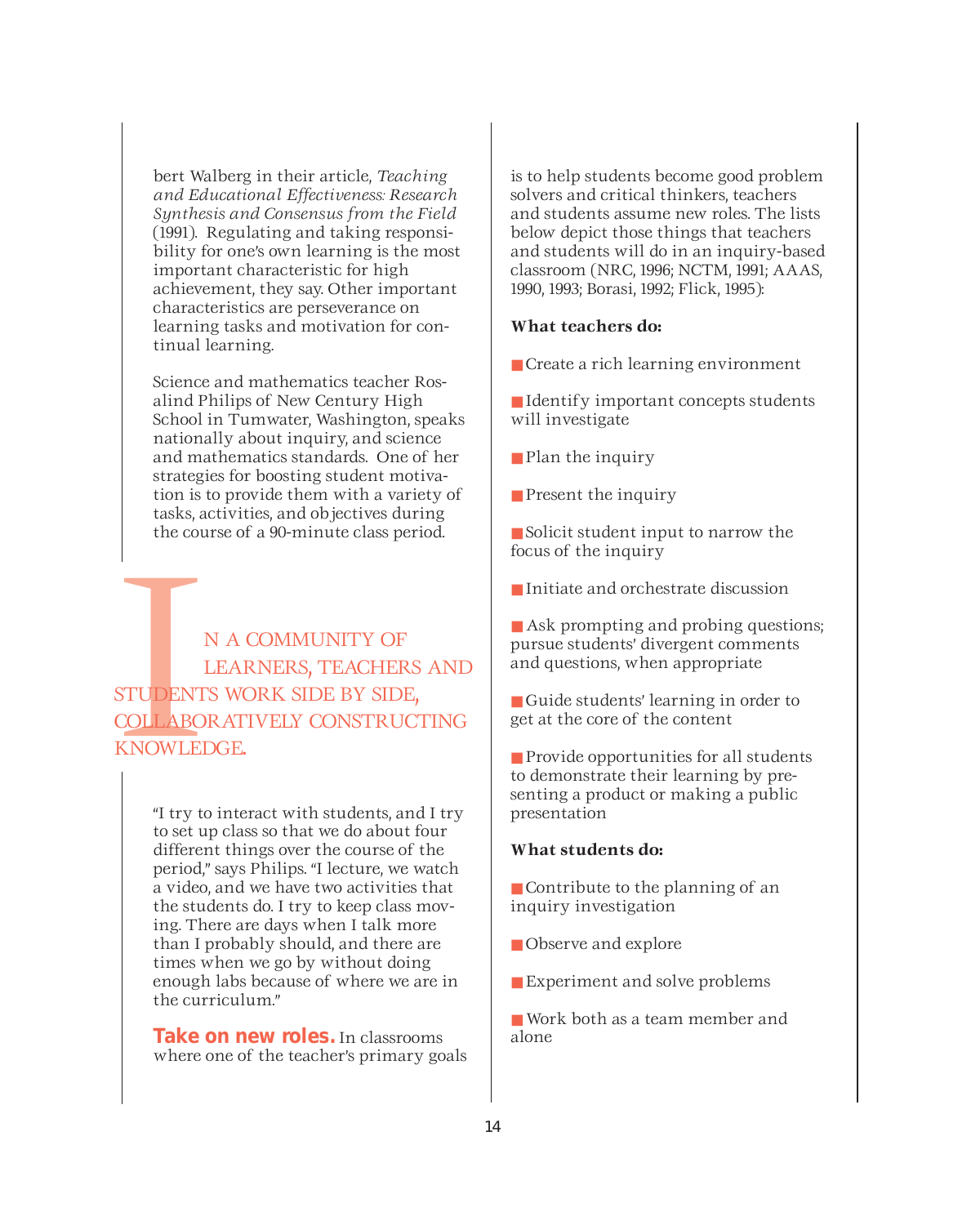bert Walberg in their article, *Teaching and Educational Effectiveness: Research Synthesis and Consensus from the Field* (1991). Regulating and taking responsibility for one's own learning is the most important characteristic for high achievement, they say. Other important characteristics are perseverance on learning tasks and motivation for continual learning.

Science and mathematics teacher Rosalind Philips of New Century High School in Tumwater, Washington, speaks nationally about inquiry, and science and mathematics standards. One of her strategies for boosting student motivation is to provide them with a variety of tasks, activities, and objectives during the course of a 90-minute class period.

STUDENT<br>ISTUDENT<br>ISTUDENT<br>ISTUDENT N A COMMUNITY OF LEARNERS, TEACHERS AND STUDENTS WORK SIDE BY SIDE, COLLABORATIVELY CONSTRUCTING KNOWLEDGE.

> "I try to interact with students, and I try to set up class so that we do about four different things over the course of the period," says Philips. "I lecture, we watch a video, and we have two activities that the students do. I try to keep class moving. There are days when I talk more than I probably should, and there are times when we go by without doing enough labs because of where we are in the curriculum."

> **Take on new roles.** In classrooms where one of the teacher's primary goals

is to help students become good problem solvers and critical thinkers, teachers and students assume new roles. The lists below depict those things that teachers and students will do in an inquiry-based classroom (NRC, 1996; NCTM, 1991; AAAS, 1990, 1993; Borasi, 1992; Flick, 1995):

#### **What teachers do:**

- Create a rich learning environment
- Identify important concepts students will investigate
- Plan the inquiry
- Present the inquiry

■ Solicit student input to narrow the focus of the inquiry

- Initiate and orchestrate discussion
- Ask prompting and probing questions; pursue students' divergent comments and questions, when appropriate
- Guide students' learning in order to get at the core of the content

■ Provide opportunities for all students to demonstrate their learning by presenting a product or making a public presentation

### **What students do:**

■ Contribute to the planning of an inquiry investigation

- Observe and explore
- Experiment and solve problems
- Work both as a team member and alone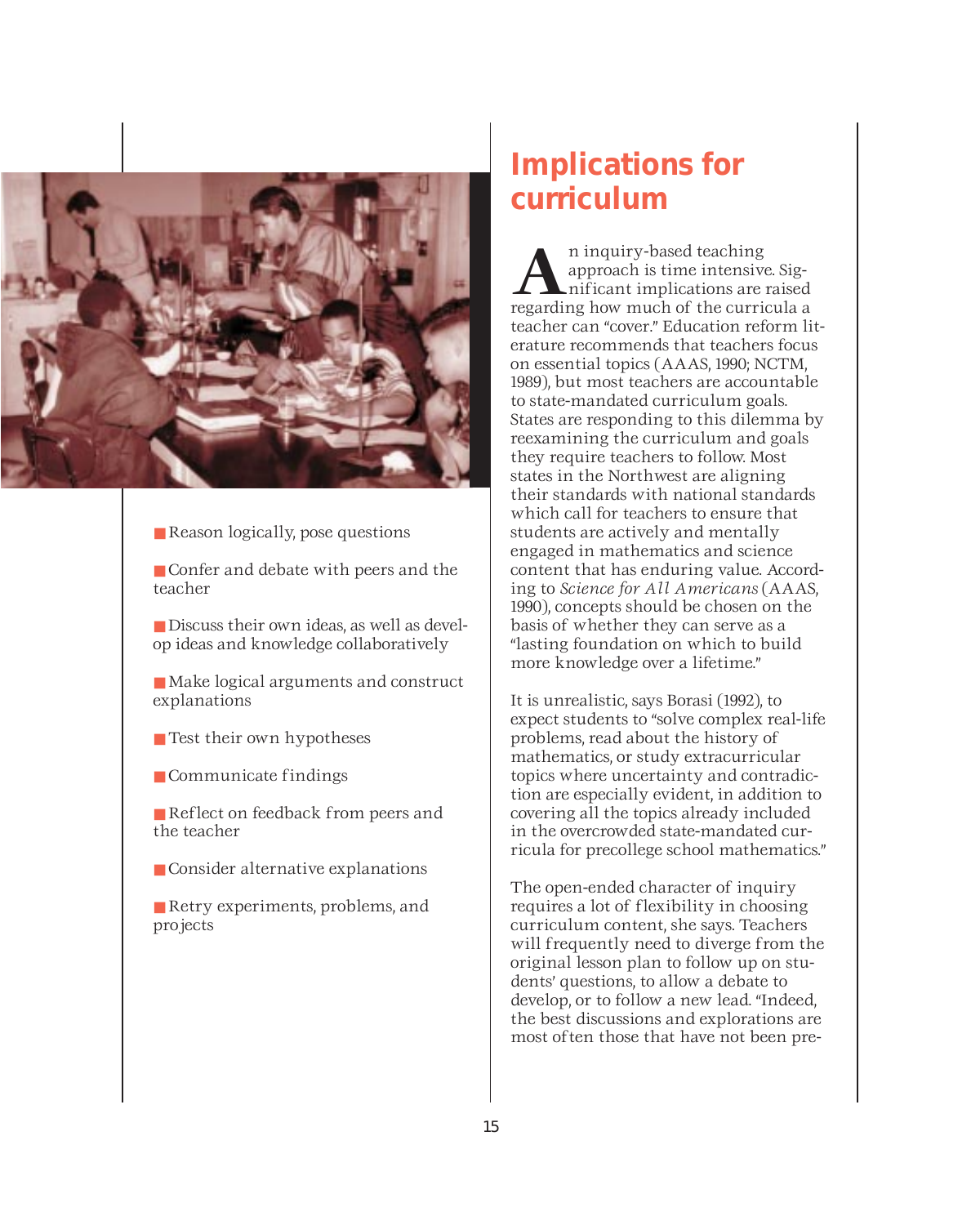

- Reason logically, pose questions
- Confer and debate with peers and the teacher
- Discuss their own ideas, as well as develop ideas and knowledge collaboratively
- Make logical arguments and construct explanations
- Test their own hypotheses
- Communicate findings
- Reflect on feedback from peers and the teacher
- Consider alternative explanations
- Retry experiments, problems, and projects

### **Implications for curriculum**

**A**n inquiry-based teaching<br>approach is time intensive<br>inficant implications are<br>recording hour much of the curri approach is time intensive. Significant implications are raised regarding how much of the curricula a teacher can "cover." Education reform literature recommends that teachers focus on essential topics (AAAS, 1990; NCTM, 1989), but most teachers are accountable to state-mandated curriculum goals. States are responding to this dilemma by reexamining the curriculum and goals they require teachers to follow. Most states in the Northwest are aligning their standards with national standards which call for teachers to ensure that students are actively and mentally engaged in mathematics and science content that has enduring value. According to *Science for All Americans* (AAAS, 1990), concepts should be chosen on the basis of whether they can serve as a "lasting foundation on which to build more knowledge over a lifetime."

It is unrealistic, says Borasi (1992), to expect students to "solve complex real-life problems, read about the history of mathematics, or study extracurricular topics where uncertainty and contradiction are especially evident, in addition to covering all the topics already included in the overcrowded state-mandated curricula for precollege school mathematics."

The open-ended character of inquiry requires a lot of flexibility in choosing curriculum content, she says. Teachers will frequently need to diverge from the original lesson plan to follow up on students' questions, to allow a debate to develop, or to follow a new lead. "Indeed, the best discussions and explorations are most often those that have not been pre-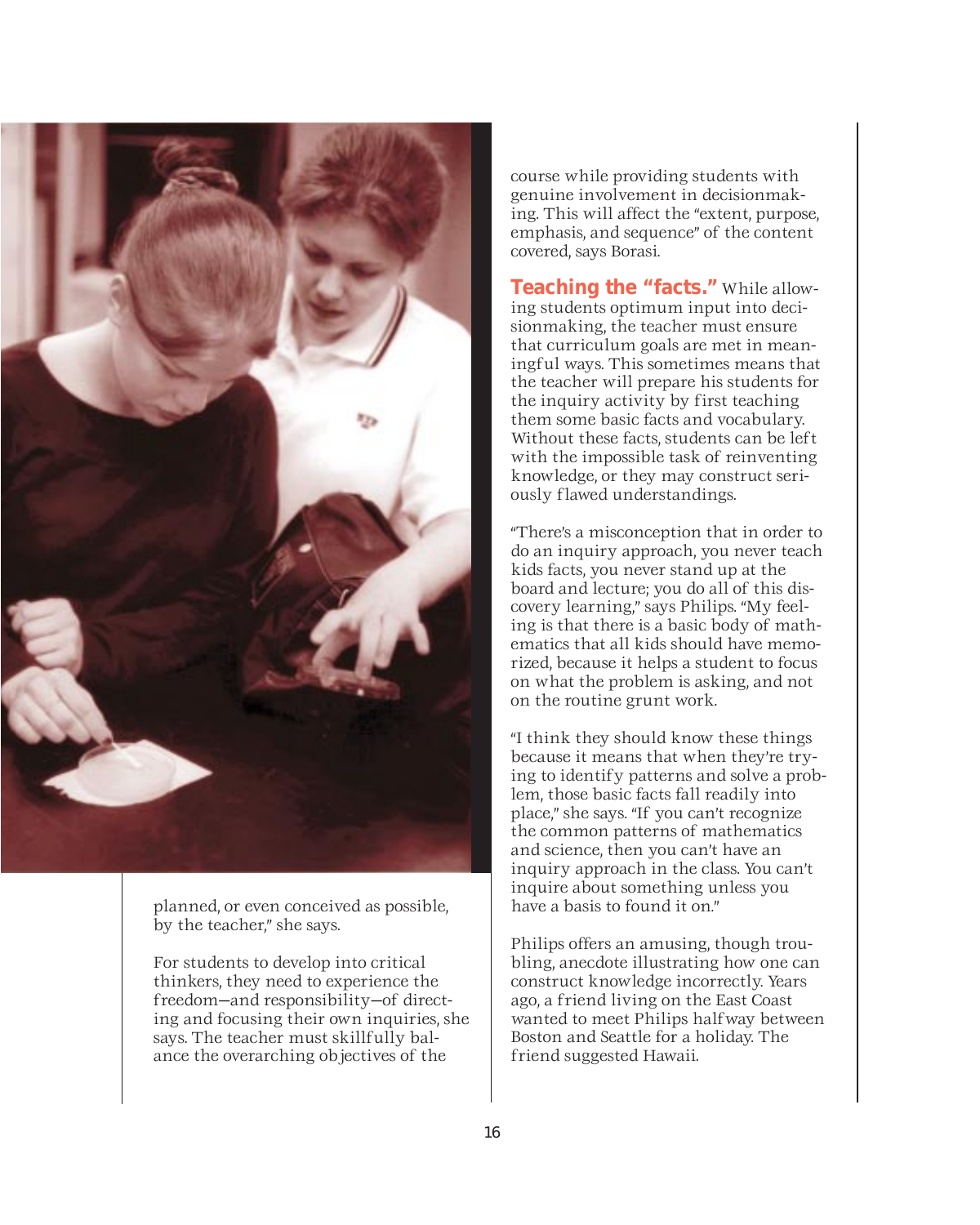

planned, or even conceived as possible, by the teacher," she says.

For students to develop into critical thinkers, they need to experience the freedom—and responsibility—of directing and focusing their own inquiries, she says. The teacher must skillfully balance the overarching objectives of the

course while providing students with genuine involvement in decisionmaking. This will affect the "extent, purpose, emphasis, and sequence" of the content covered, says Borasi.

**Teaching the "facts."** While allowing students optimum input into decisionmaking, the teacher must ensure that curriculum goals are met in meaningful ways. This sometimes means that the teacher will prepare his students for the inquiry activity by first teaching them some basic facts and vocabulary. Without these facts, students can be left with the impossible task of reinventing knowledge, or they may construct seriously flawed understandings.

"There's a misconception that in order to do an inquiry approach, you never teach kids facts, you never stand up at the board and lecture; you do all of this discovery learning," says Philips. "My feeling is that there is a basic body of mathematics that all kids should have memorized, because it helps a student to focus on what the problem is asking, and not on the routine grunt work.

"I think they should know these things because it means that when they're trying to identify patterns and solve a problem, those basic facts fall readily into place," she says. "If you can't recognize the common patterns of mathematics and science, then you can't have an inquiry approach in the class. You can't inquire about something unless you have a basis to found it on."

Philips offers an amusing, though troubling, anecdote illustrating how one can construct knowledge incorrectly. Years ago, a friend living on the East Coast wanted to meet Philips halfway between Boston and Seattle for a holiday. The friend suggested Hawaii.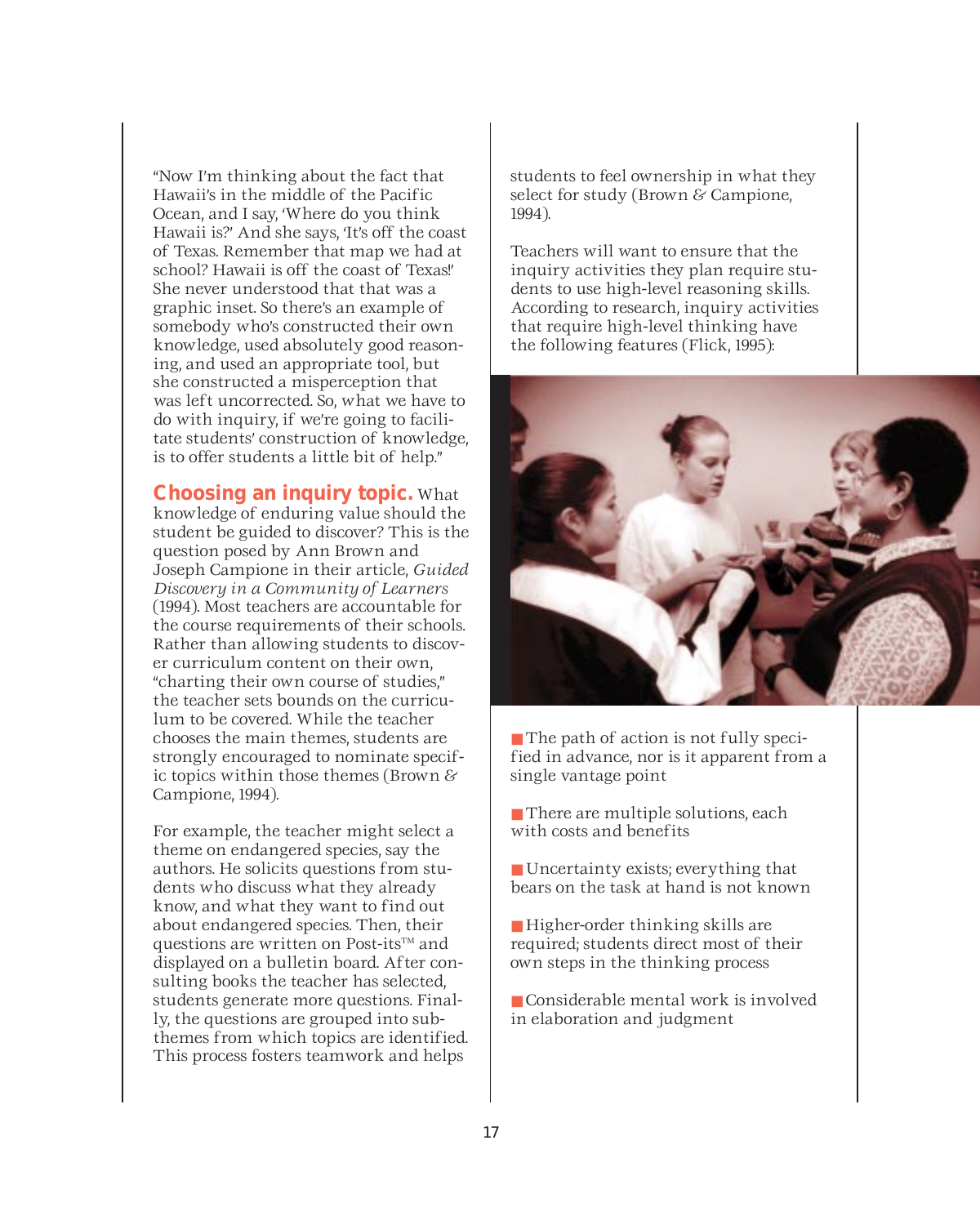"Now I'm thinking about the fact that Hawaii's in the middle of the Pacific Ocean, and I say, 'Where do you think Hawaii is?' And she says, 'It's off the coast of Texas. Remember that map we had at school? Hawaii is off the coast of Texas!' She never understood that that was a graphic inset. So there's an example of somebody who's constructed their own knowledge, used absolutely good reasoning, and used an appropriate tool, but she constructed a misperception that was left uncorrected. So, what we have to do with inquiry, if we're going to facilitate students' construction of knowledge, is to offer students a little bit of help."

**Choosing an inquiry topic.** What knowledge of enduring value should the student be guided to discover? This is the question posed by Ann Brown and Joseph Campione in their article, *Guided Discovery in a Community of Learners* (1994). Most teachers are accountable for the course requirements of their schools. Rather than allowing students to discover curriculum content on their own, "charting their own course of studies," the teacher sets bounds on the curriculum to be covered. While the teacher chooses the main themes, students are strongly encouraged to nominate specific topics within those themes (Brown & Campione, 1994).

For example, the teacher might select a theme on endangered species, say the authors. He solicits questions from students who discuss what they already know, and what they want to find out about endangered species. Then, their questions are written on Post-its<sup>TM</sup> and displayed on a bulletin board. After consulting books the teacher has selected, students generate more questions. Finally, the questions are grouped into subthemes from which topics are identified. This process fosters teamwork and helps

students to feel ownership in what they select for study (Brown & Campione, 1994).

Teachers will want to ensure that the inquiry activities they plan require students to use high-level reasoning skills. According to research, inquiry activities that require high-level thinking have the following features (Flick, 1995):



■ The path of action is not fully specified in advance, nor is it apparent from a single vantage point

■ There are multiple solutions, each with costs and benefits

■ Uncertainty exists; everything that bears on the task at hand is not known

- Higher-order thinking skills are required; students direct most of their own steps in the thinking process
- Considerable mental work is involved in elaboration and judgment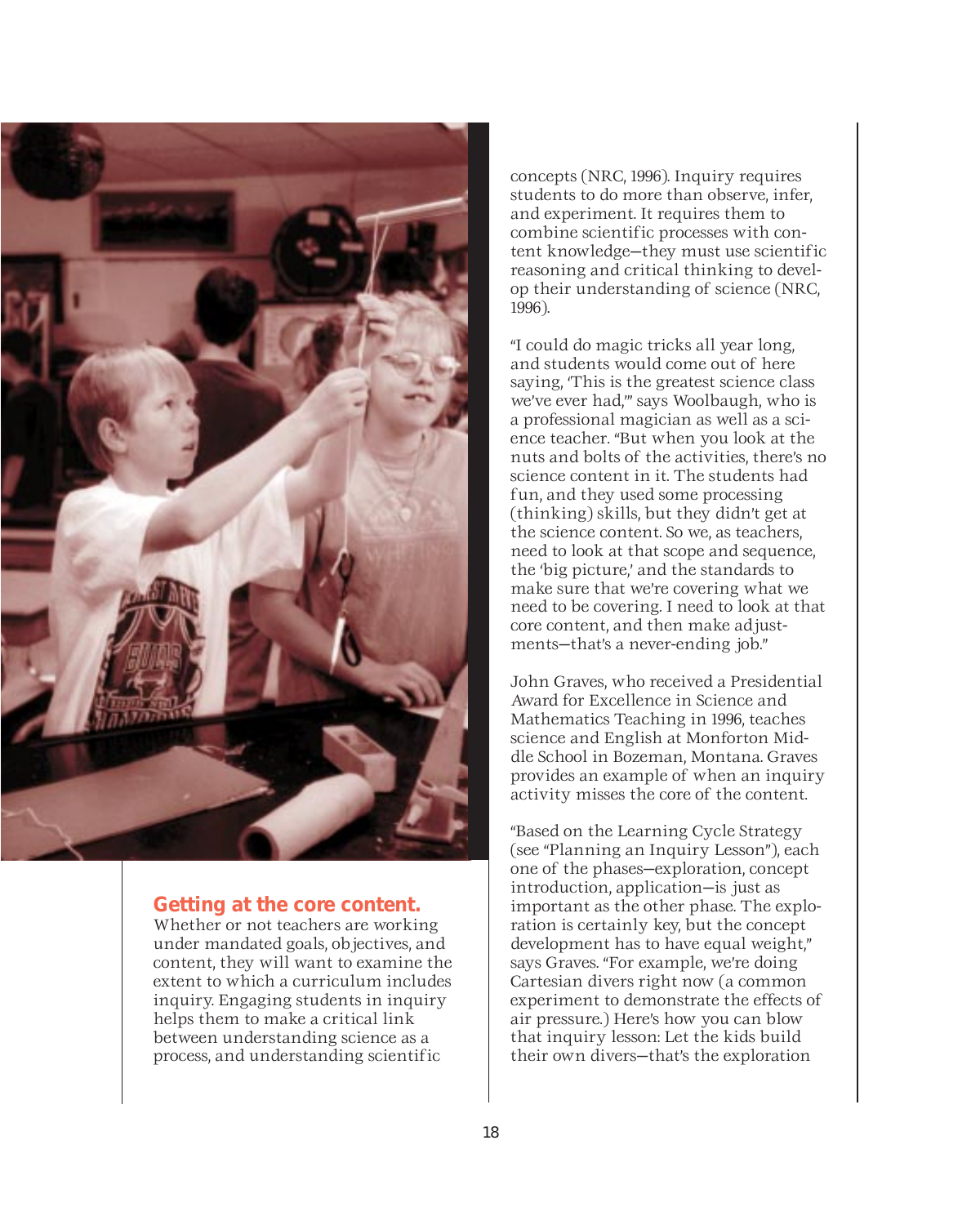

### **Getting at the core content.**

Whether or not teachers are working under mandated goals, objectives, and content, they will want to examine the extent to which a curriculum includes inquiry. Engaging students in inquiry helps them to make a critical link between understanding science as a process, and understanding scientific

concepts (NRC, 1996). Inquiry requires students to do more than observe, infer, and experiment. It requires them to combine scientific processes with content knowledge—they must use scientific reasoning and critical thinking to develop their understanding of science (NRC, 1996).

"I could do magic tricks all year long, and students would come out of here saying, 'This is the greatest science class we've ever had,'" says Woolbaugh, who is a professional magician as well as a science teacher. "But when you look at the nuts and bolts of the activities, there's no science content in it. The students had fun, and they used some processing (thinking) skills, but they didn't get at the science content. So we, as teachers, need to look at that scope and sequence, the 'big picture,' and the standards to make sure that we're covering what we need to be covering. I need to look at that core content, and then make adjustments—that's a never-ending job."

John Graves, who received a Presidential Award for Excellence in Science and Mathematics Teaching in 1996, teaches science and English at Monforton Middle School in Bozeman, Montana. Graves provides an example of when an inquiry activity misses the core of the content.

"Based on the Learning Cycle Strategy (see "Planning an Inquiry Lesson"), each one of the phases—exploration, concept introduction, application—is just as important as the other phase. The exploration is certainly key, but the concept development has to have equal weight," says Graves. "For example, we're doing Cartesian divers right now (a common experiment to demonstrate the effects of air pressure.) Here's how you can blow that inquiry lesson: Let the kids build their own divers—that's the exploration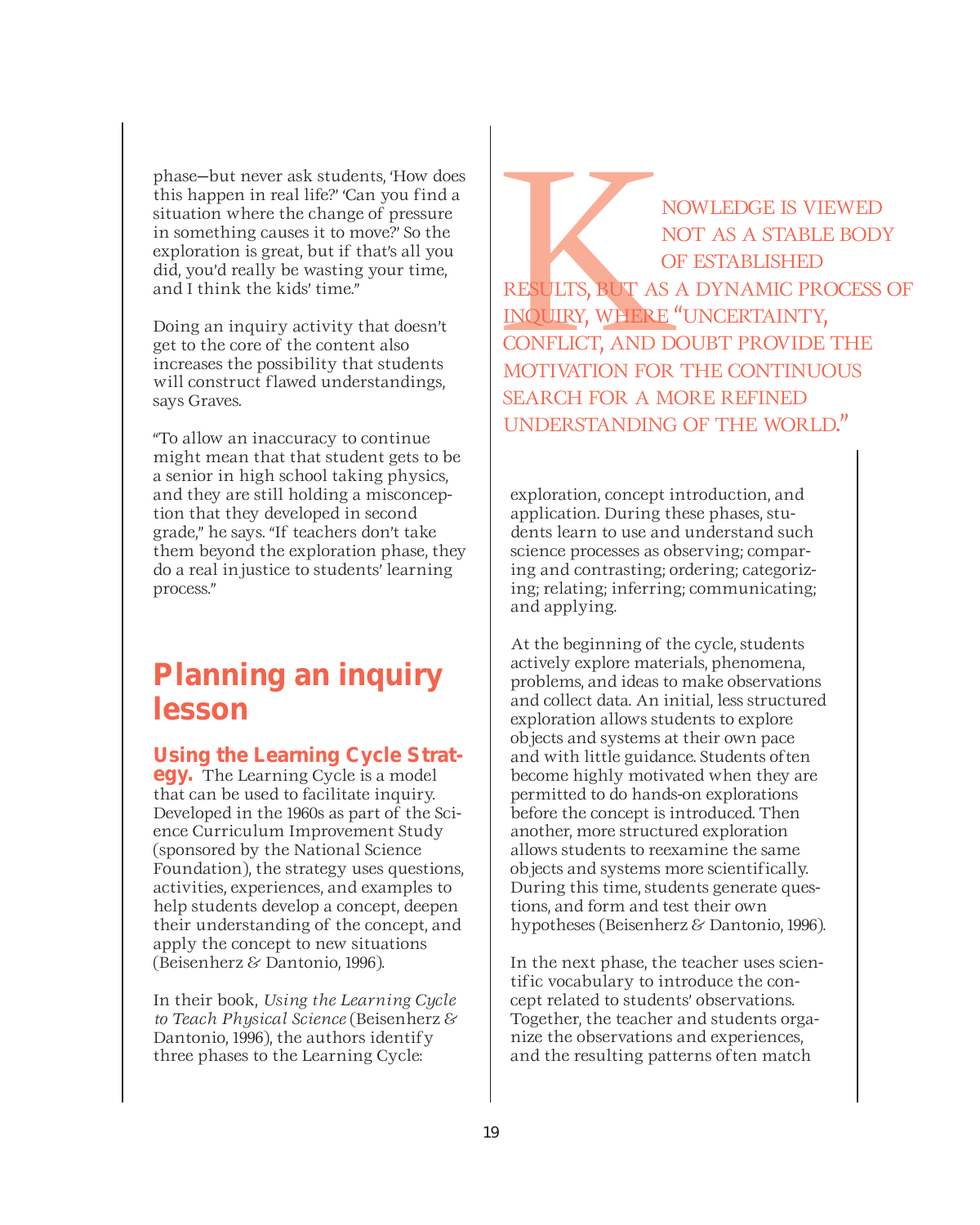phase—but never ask students, 'How does this happen in real life?' 'Can you find a situation where the change of pressure in something causes it to move?' So the exploration is great, but if that's all you did, you'd really be wasting your time, and I think the kids' time."

Doing an inquiry activity that doesn't get to the core of the content also increases the possibility that students will construct flawed understandings, says Graves.

"To allow an inaccuracy to continue might mean that that student gets to be a senior in high school taking physics, and they are still holding a misconception that they developed in second grade," he says. "If teachers don't take them beyond the exploration phase, they do a real injustice to students' learning process."

### **Planning an inquiry lesson**

**Using the Learning Cycle Strat- egy.** The Learning Cycle is a model

that can be used to facilitate inquiry. Developed in the 1960s as part of the Science Curriculum Improvement Study (sponsored by the National Science Foundation), the strategy uses questions, activities, experiences, and examples to help students develop a concept, deepen their understanding of the concept, and apply the concept to new situations (Beisenherz & Dantonio, 1996).

In their book, *Using the Learning Cycle to Teach Physical Science* (Beisenherz & Dantonio, 1996), the authors identify three phases to the Learning Cycle:

NOWLEDGE IS VIEWED<br>NOT AS A STABLE BOD<br>OF ESTABLISHED<br>RESULTS, BUT AS A DYNAMIC PROCESS<br>INQUIRY, WHERE "UNCERTAINTY,<br>CONFLICT, AND DOUBT PROVIDE THE<br>MOTIVATION FOR THE CONTINUOUS NOT AS A STABLE BODY OF ESTABLISHED RESULTS, BUT AS A DYNAMIC PROCESS OF INQUIRY, WHERE "UNCERTAINTY, CONFLICT, AND DOUBT PROVIDE THE MOTIVATION FOR THE CONTINUOUS SEARCH FOR A MORE REFINED UNDERSTANDING OF THE WORLD."

exploration, concept introduction, and application. During these phases, students learn to use and understand such science processes as observing; comparing and contrasting; ordering; categorizing; relating; inferring; communicating; and applying.

At the beginning of the cycle, students actively explore materials, phenomena, problems, and ideas to make observations and collect data. An initial, less structured exploration allows students to explore objects and systems at their own pace and with little guidance. Students often become highly motivated when they are permitted to do hands-on explorations before the concept is introduced. Then another, more structured exploration allows students to reexamine the same objects and systems more scientifically. During this time, students generate questions, and form and test their own hypotheses (Beisenherz & Dantonio, 1996).

In the next phase, the teacher uses scientific vocabulary to introduce the concept related to students' observations. Together, the teacher and students organize the observations and experiences, and the resulting patterns often match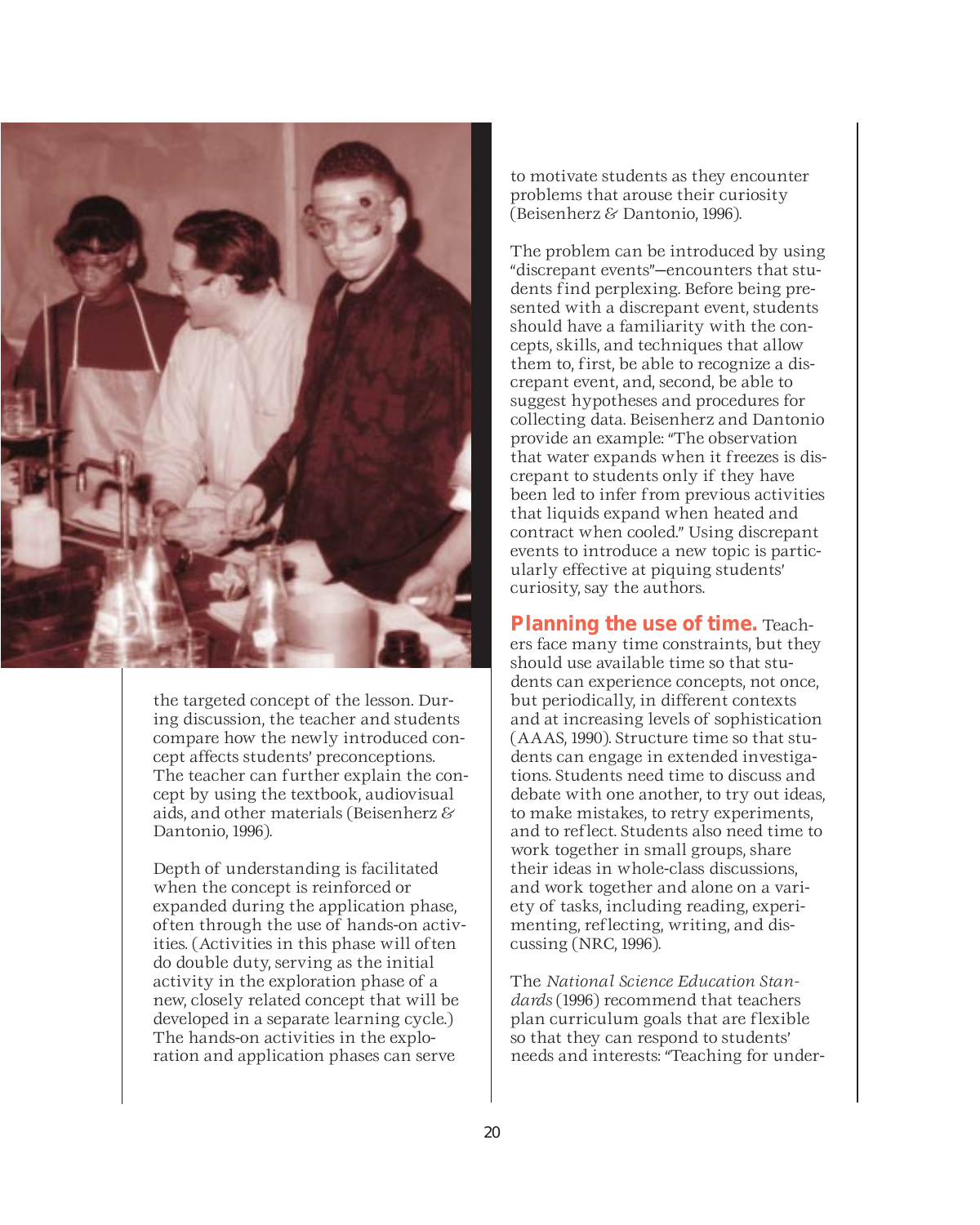

the targeted concept of the lesson. During discussion, the teacher and students compare how the newly introduced concept affects students' preconceptions. The teacher can further explain the concept by using the textbook, audiovisual aids, and other materials (Beisenherz & Dantonio, 1996).

Depth of understanding is facilitated when the concept is reinforced or expanded during the application phase, often through the use of hands-on activities. (Activities in this phase will often do double duty, serving as the initial activity in the exploration phase of a new, closely related concept that will be developed in a separate learning cycle.) The hands-on activities in the exploration and application phases can serve

to motivate students as they encounter problems that arouse their curiosity (Beisenherz & Dantonio, 1996).

The problem can be introduced by using "discrepant events"—encounters that students find perplexing. Before being presented with a discrepant event, students should have a familiarity with the concepts, skills, and techniques that allow them to, first, be able to recognize a discrepant event, and, second, be able to suggest hypotheses and procedures for collecting data. Beisenherz and Dantonio provide an example: "The observation that water expands when it freezes is discrepant to students only if they have been led to infer from previous activities that liquids expand when heated and contract when cooled." Using discrepant events to introduce a new topic is particularly effective at piquing students' curiosity, say the authors.

**Planning the use of time.** Teachers face many time constraints, but they should use available time so that students can experience concepts, not once, but periodically, in different contexts and at increasing levels of sophistication (AAAS, 1990). Structure time so that students can engage in extended investigations. Students need time to discuss and debate with one another, to try out ideas, to make mistakes, to retry experiments, and to reflect. Students also need time to work together in small groups, share their ideas in whole-class discussions, and work together and alone on a variety of tasks, including reading, experimenting, reflecting, writing, and discussing (NRC, 1996).

The *National Science Education Standards* (1996) recommend that teachers plan curriculum goals that are flexible so that they can respond to students' needs and interests: "Teaching for under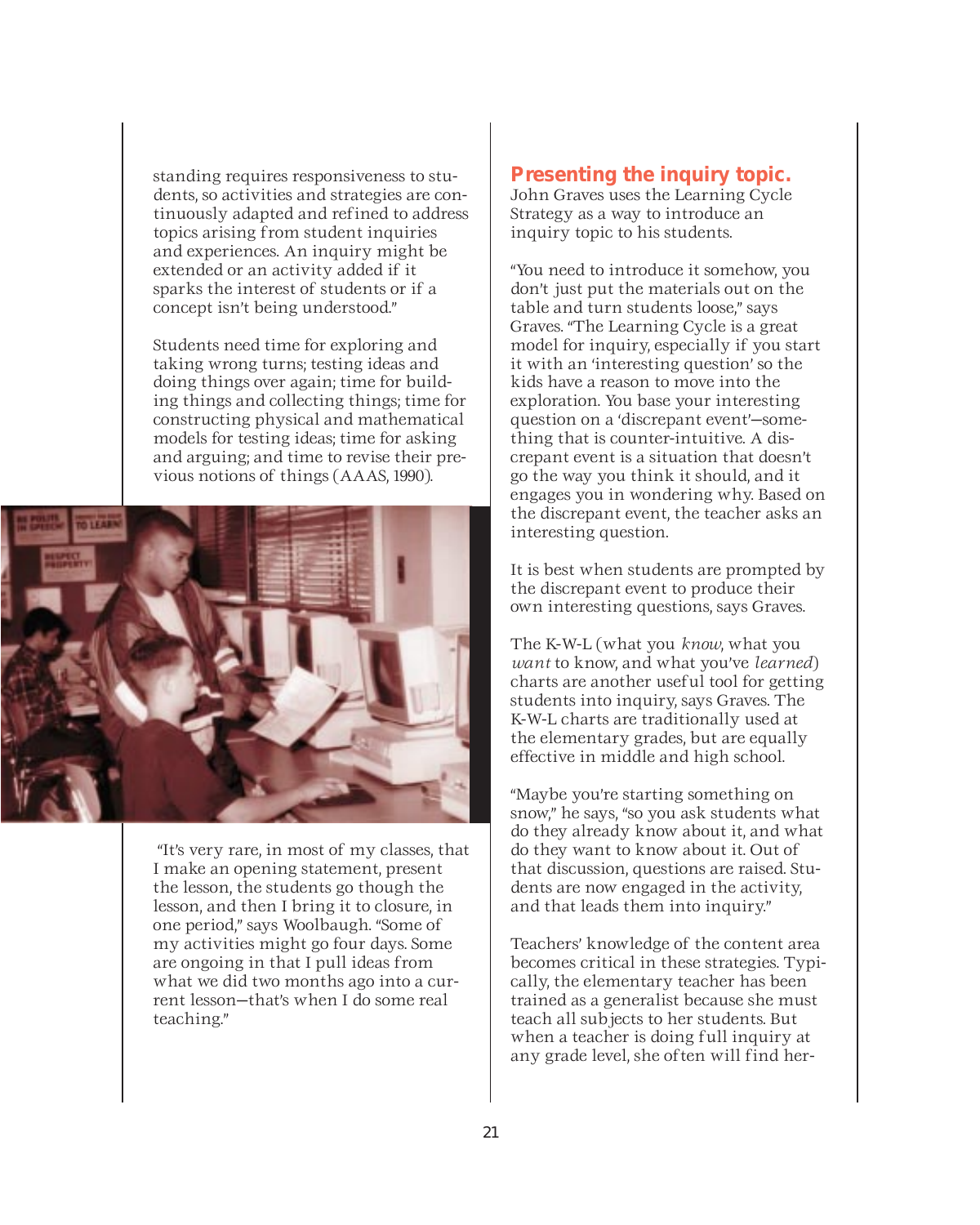standing requires responsiveness to students, so activities and strategies are continuously adapted and refined to address topics arising from student inquiries and experiences. An inquiry might be extended or an activity added if it sparks the interest of students or if a concept isn't being understood."

Students need time for exploring and taking wrong turns; testing ideas and doing things over again; time for building things and collecting things; time for constructing physical and mathematical models for testing ideas; time for asking and arguing; and time to revise their previous notions of things (AAAS, 1990).



"It's very rare, in most of my classes, that I make an opening statement, present the lesson, the students go though the lesson, and then I bring it to closure, in one period," says Woolbaugh. "Some of my activities might go four days. Some are ongoing in that I pull ideas from what we did two months ago into a current lesson—that's when I do some real teaching."

### **Presenting the inquiry topic.**

John Graves uses the Learning Cycle Strategy as a way to introduce an inquiry topic to his students.

"You need to introduce it somehow, you don't just put the materials out on the table and turn students loose," says Graves. "The Learning Cycle is a great model for inquiry, especially if you start it with an 'interesting question' so the kids have a reason to move into the exploration. You base your interesting question on a 'discrepant event'—something that is counter-intuitive. A discrepant event is a situation that doesn't go the way you think it should, and it engages you in wondering why. Based on the discrepant event, the teacher asks an interesting question.

It is best when students are prompted by the discrepant event to produce their own interesting questions, says Graves.

The K-W-L (what you *know*, what you *want* to know, and what you've *learned*) charts are another useful tool for getting students into inquiry, says Graves. The K-W-L charts are traditionally used at the elementary grades, but are equally effective in middle and high school.

"Maybe you're starting something on snow," he says, "so you ask students what do they already know about it, and what do they want to know about it. Out of that discussion, questions are raised. Students are now engaged in the activity, and that leads them into inquiry."

Teachers' knowledge of the content area becomes critical in these strategies. Typically, the elementary teacher has been trained as a generalist because she must teach all subjects to her students. But when a teacher is doing full inquiry at any grade level, she often will find her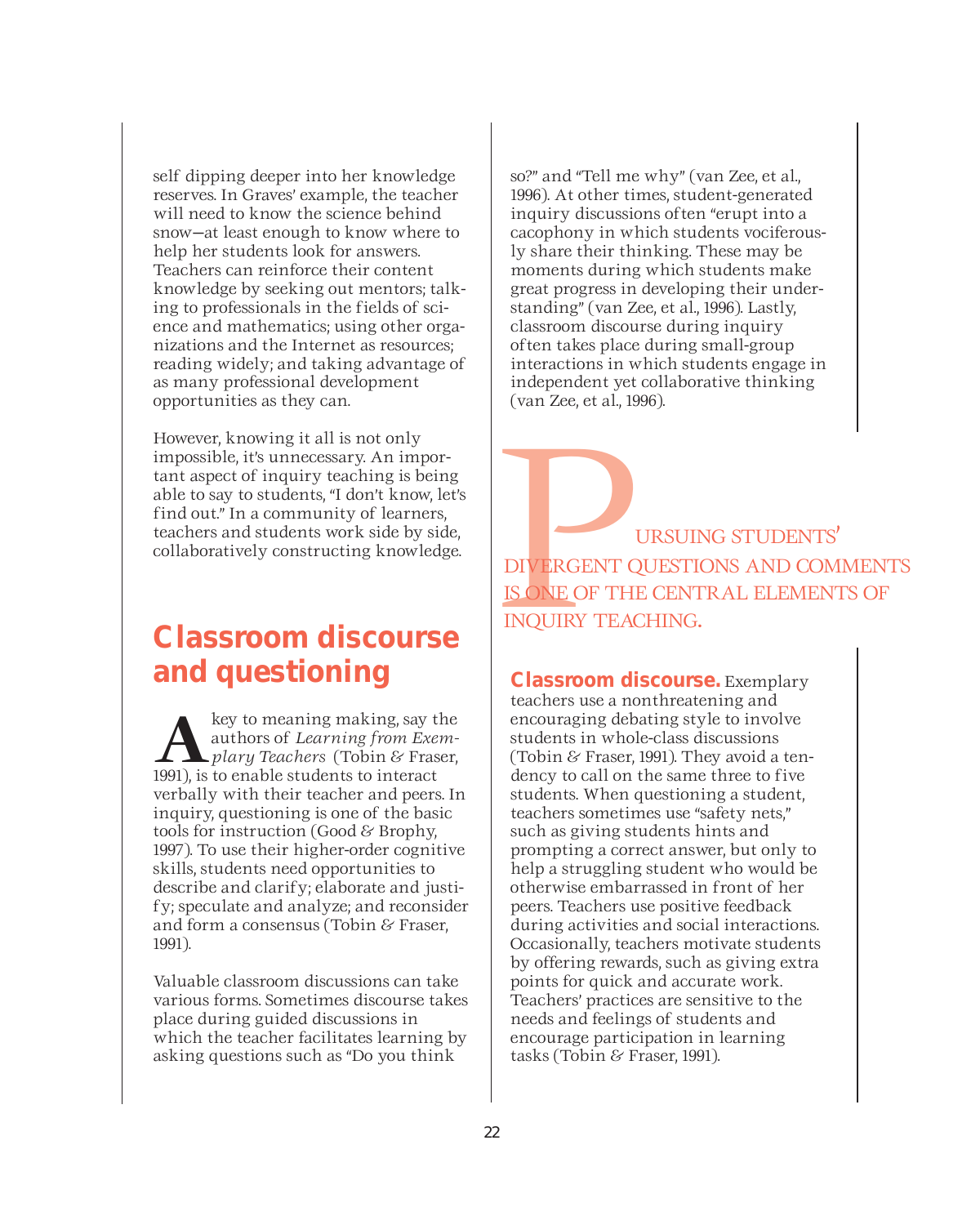self dipping deeper into her knowledge reserves. In Graves' example, the teacher will need to know the science behind snow—at least enough to know where to help her students look for answers. Teachers can reinforce their content knowledge by seeking out mentors; talking to professionals in the fields of science and mathematics; using other organizations and the Internet as resources; reading widely; and taking advantage of as many professional development opportunities as they can.

However, knowing it all is not only impossible, it's unnecessary. An important aspect of inquiry teaching is being able to say to students, "I don't know, let's find out." In a community of learners, teachers and students work side by side, collaboratively constructing knowledge.

### **Classroom discourse and questioning**

**A** key to meaning making, say the<br> *plary Teachers* (Tobin & Fraser,<br>
1991) is to enable students to interact authors of *Learning from Exem-*1991), is to enable students to interact verbally with their teacher and peers. In inquiry, questioning is one of the basic tools for instruction (Good & Brophy, 1997). To use their higher-order cognitive skills, students need opportunities to describe and clarify; elaborate and justify; speculate and analyze; and reconsider and form a consensus (Tobin & Fraser, 1991).

Valuable classroom discussions can take various forms. Sometimes discourse takes place during guided discussions in which the teacher facilitates learning by asking questions such as "Do you think

so?" and "Tell me why" (van Zee, et al., 1996). At other times, student-generated inquiry discussions often "erupt into a cacophony in which students vociferously share their thinking. These may be moments during which students make great progress in developing their understanding" (van Zee, et al., 1996). Lastly, classroom discourse during inquiry often takes place during small-group interactions in which students engage in independent yet collaborative thinking (van Zee, et al., 1996).

URSUING STUDENTS'<br>DIVERGENT QUESTIONS AND COM<br>IS ONE OF THE CENTRAL ELEMENT<br>INQUIRY TEACHING. DIVERGENT QUESTIONS AND COMMENTS IS ONE OF THE CENTRAL ELEMENTS OF INQUIRY TEACHING.

**Classroom discourse.** Exemplary teachers use a nonthreatening and encouraging debating style to involve students in whole-class discussions (Tobin & Fraser, 1991). They avoid a tendency to call on the same three to five students. When questioning a student, teachers sometimes use "safety nets," such as giving students hints and prompting a correct answer, but only to help a struggling student who would be otherwise embarrassed in front of her peers. Teachers use positive feedback during activities and social interactions. Occasionally, teachers motivate students by offering rewards, such as giving extra points for quick and accurate work. Teachers' practices are sensitive to the needs and feelings of students and encourage participation in learning tasks (Tobin & Fraser, 1991).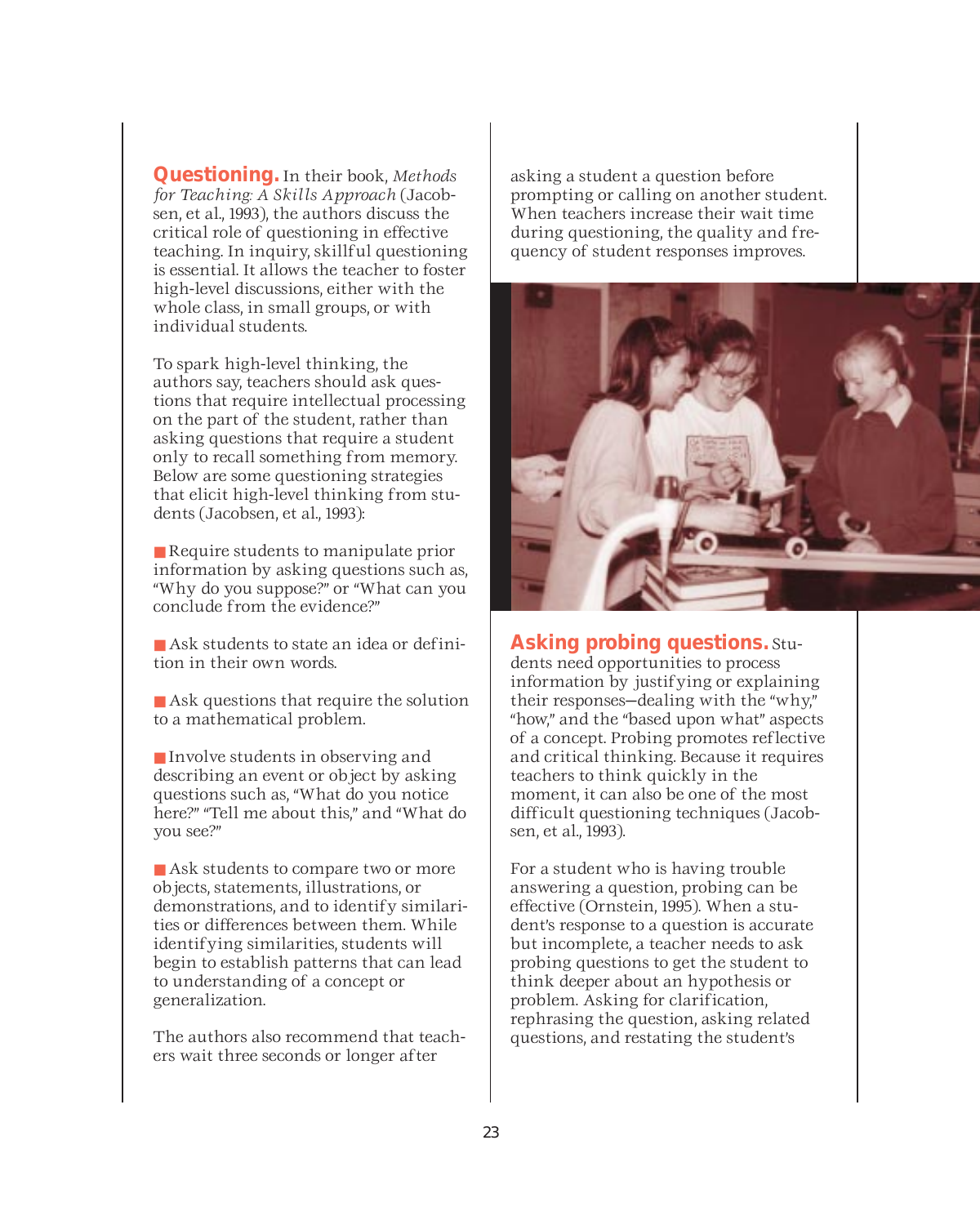**Questioning.** In their book, *Methods for Teaching: A Skills Approach* (Jacobsen, et al., 1993), the authors discuss the critical role of questioning in effective teaching. In inquiry, skillful questioning is essential. It allows the teacher to foster high-level discussions, either with the whole class, in small groups, or with individual students.

To spark high-level thinking, the authors say, teachers should ask questions that require intellectual processing on the part of the student, rather than asking questions that require a student only to recall something from memory. Below are some questioning strategies that elicit high-level thinking from students (Jacobsen, et al., 1993):

■ Require students to manipulate prior information by asking questions such as, "Why do you suppose?" or "What can you conclude from the evidence?"

- Ask students to state an idea or definition in their own words.
- Ask questions that require the solution to a mathematical problem.

■ Involve students in observing and describing an event or object by asking questions such as, "What do you notice here?" "Tell me about this," and "What do you see?"

■ Ask students to compare two or more objects, statements, illustrations, or demonstrations, and to identify similarities or differences between them. While identifying similarities, students will begin to establish patterns that can lead to understanding of a concept or generalization.

The authors also recommend that teachers wait three seconds or longer after

asking a student a question before prompting or calling on another student. When teachers increase their wait time during questioning, the quality and frequency of student responses improves.



**Asking probing questions.** Students need opportunities to process information by justifying or explaining their responses—dealing with the "why," "how," and the "based upon what" aspects of a concept. Probing promotes reflective and critical thinking. Because it requires teachers to think quickly in the moment, it can also be one of the most difficult questioning techniques (Jacobsen, et al., 1993).

For a student who is having trouble answering a question, probing can be effective (Ornstein, 1995). When a student's response to a question is accurate but incomplete, a teacher needs to ask probing questions to get the student to think deeper about an hypothesis or problem. Asking for clarification, rephrasing the question, asking related questions, and restating the student's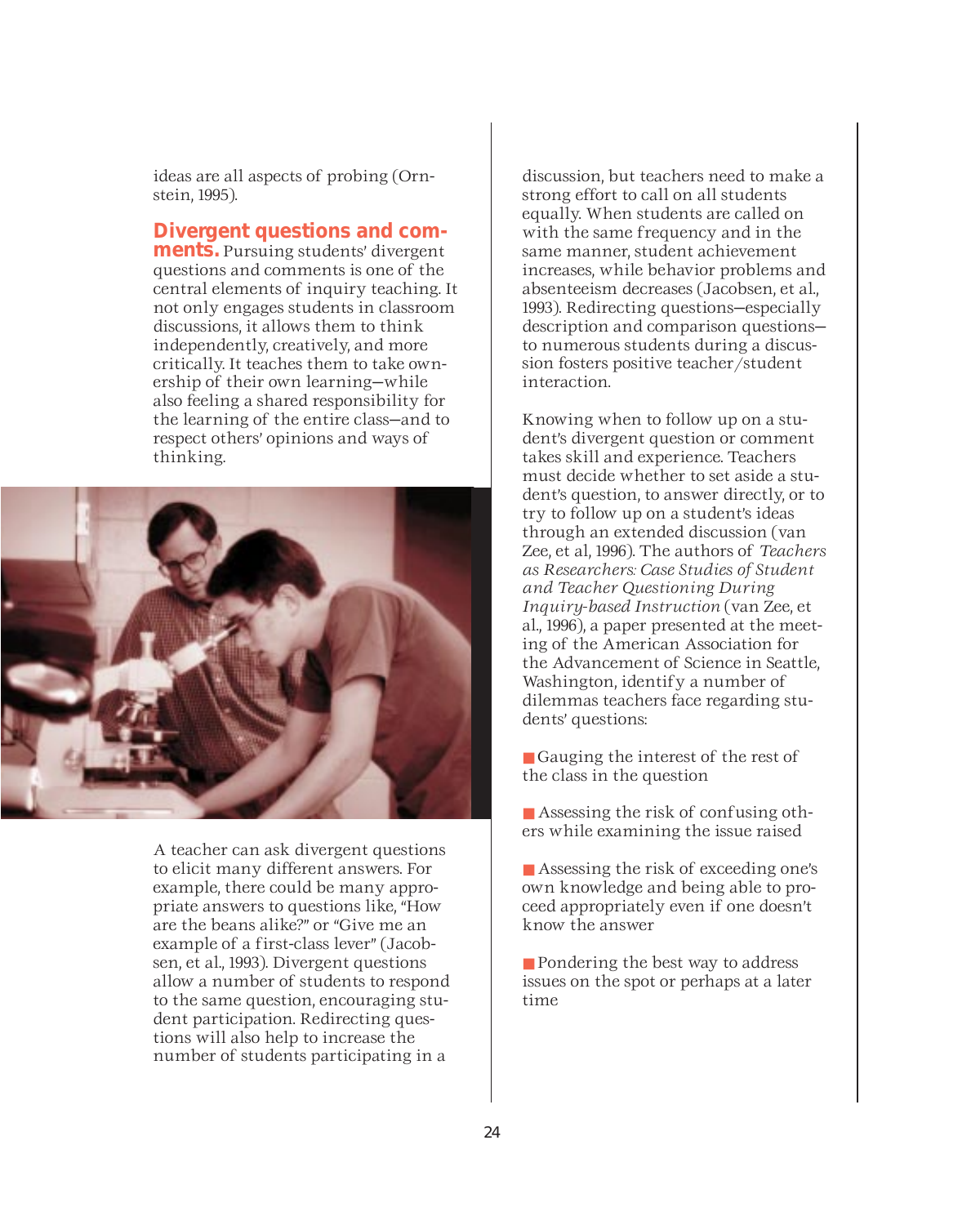ideas are all aspects of probing (Ornstein, 1995).

**Divergent questions and com-**<br>**ments**. Pursuing students' divergent

questions and comments is one of the central elements of inquiry teaching. It not only engages students in classroom discussions, it allows them to think independently, creatively, and more critically. It teaches them to take ownership of their own learning—while also feeling a shared responsibility for the learning of the entire class—and to respect others' opinions and ways of thinking.



A teacher can ask divergent questions to elicit many different answers. For example, there could be many appropriate answers to questions like, "How are the beans alike?" or "Give me an example of a first-class lever" (Jacobsen, et al., 1993). Divergent questions allow a number of students to respond to the same question, encouraging student participation. Redirecting questions will also help to increase the number of students participating in a

discussion, but teachers need to make a strong effort to call on all students equally. When students are called on with the same frequency and in the same manner, student achievement increases, while behavior problems and absenteeism decreases (Jacobsen, et al., 1993). Redirecting questions—especially description and comparison questions to numerous students during a discussion fosters positive teacher/student interaction.

Knowing when to follow up on a student's divergent question or comment takes skill and experience. Teachers must decide whether to set aside a student's question, to answer directly, or to try to follow up on a student's ideas through an extended discussion (van Zee, et al, 1996). The authors of *Teachers as Researchers: Case Studies of Student and Teacher Questioning During Inquiry-based Instruction* (van Zee, et al., 1996), a paper presented at the meeting of the American Association for the Advancement of Science in Seattle, Washington, identify a number of dilemmas teachers face regarding students' questions:

■ Gauging the interest of the rest of the class in the question

■ Assessing the risk of confusing others while examining the issue raised

■ Assessing the risk of exceeding one's own knowledge and being able to proceed appropriately even if one doesn't know the answer

■ Pondering the best way to address issues on the spot or perhaps at a later time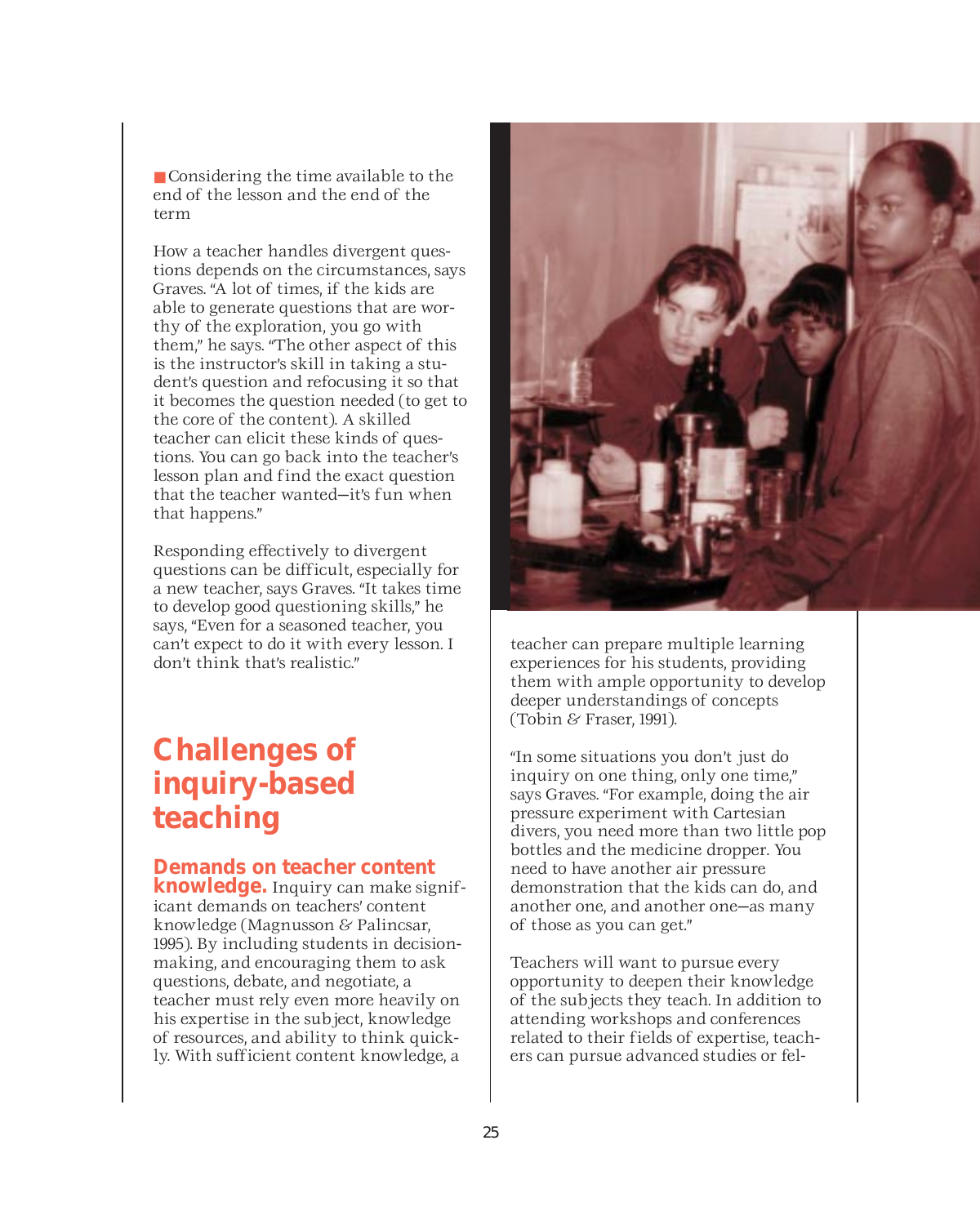■ Considering the time available to the end of the lesson and the end of the term

How a teacher handles divergent questions depends on the circumstances, says Graves. "A lot of times, if the kids are able to generate questions that are worthy of the exploration, you go with them," he says. "The other aspect of this is the instructor's skill in taking a student's question and refocusing it so that it becomes the question needed (to get to the core of the content). A skilled teacher can elicit these kinds of questions. You can go back into the teacher's lesson plan and find the exact question that the teacher wanted—it's fun when that happens."

Responding effectively to divergent questions can be difficult, especially for a new teacher, says Graves. "It takes time to develop good questioning skills," he says, "Even for a seasoned teacher, you can't expect to do it with every lesson. I don't think that's realistic."

### **Challenges of inquiry-based teaching**

### **Demands on teacher content**

**knowledge.** Inquiry can make significant demands on teachers' content knowledge (Magnusson & Palincsar, 1995). By including students in decisionmaking, and encouraging them to ask questions, debate, and negotiate, a teacher must rely even more heavily on his expertise in the subject, knowledge of resources, and ability to think quickly. With sufficient content knowledge, a



teacher can prepare multiple learning experiences for his students, providing them with ample opportunity to develop deeper understandings of concepts (Tobin & Fraser, 1991).

"In some situations you don't just do inquiry on one thing, only one time," says Graves. "For example, doing the air pressure experiment with Cartesian divers, you need more than two little pop bottles and the medicine dropper. You need to have another air pressure demonstration that the kids can do, and another one, and another one—as many of those as you can get."

Teachers will want to pursue every opportunity to deepen their knowledge of the subjects they teach. In addition to attending workshops and conferences related to their fields of expertise, teachers can pursue advanced studies or fel-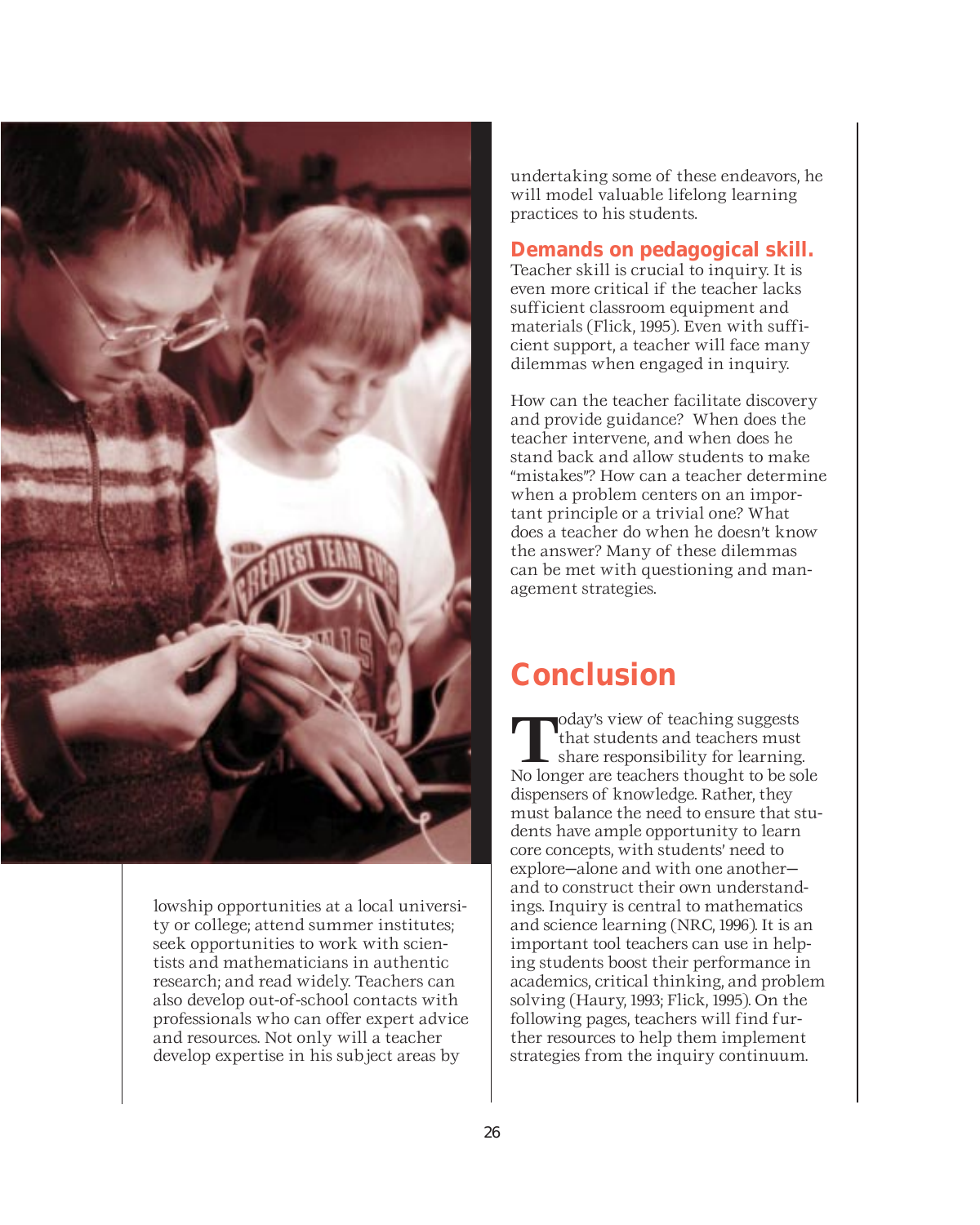

lowship opportunities at a local university or college; attend summer institutes; seek opportunities to work with scientists and mathematicians in authentic research; and read widely. Teachers can also develop out-of-school contacts with professionals who can offer expert advice and resources. Not only will a teacher develop expertise in his subject areas by

undertaking some of these endeavors, he will model valuable lifelong learning practices to his students.

### **Demands on pedagogical skill.**

Teacher skill is crucial to inquiry. It is even more critical if the teacher lacks sufficient classroom equipment and materials (Flick, 1995). Even with sufficient support, a teacher will face many dilemmas when engaged in inquiry.

How can the teacher facilitate discovery and provide guidance? When does the teacher intervene, and when does he stand back and allow students to make "mistakes"? How can a teacher determine when a problem centers on an important principle or a trivial one? What does a teacher do when he doesn't know the answer? Many of these dilemmas can be met with questioning and management strategies.

### **Conclusion**

**T**oday's view of teaching suggests<br>that students and teachers must<br>share responsibility for learning. that students and teachers must No longer are teachers thought to be sole dispensers of knowledge. Rather, they must balance the need to ensure that students have ample opportunity to learn core concepts, with students' need to explore—alone and with one another and to construct their own understandings. Inquiry is central to mathematics and science learning (NRC, 1996). It is an important tool teachers can use in helping students boost their performance in academics, critical thinking, and problem solving (Haury, 1993; Flick, 1995). On the following pages, teachers will find further resources to help them implement strategies from the inquiry continuum.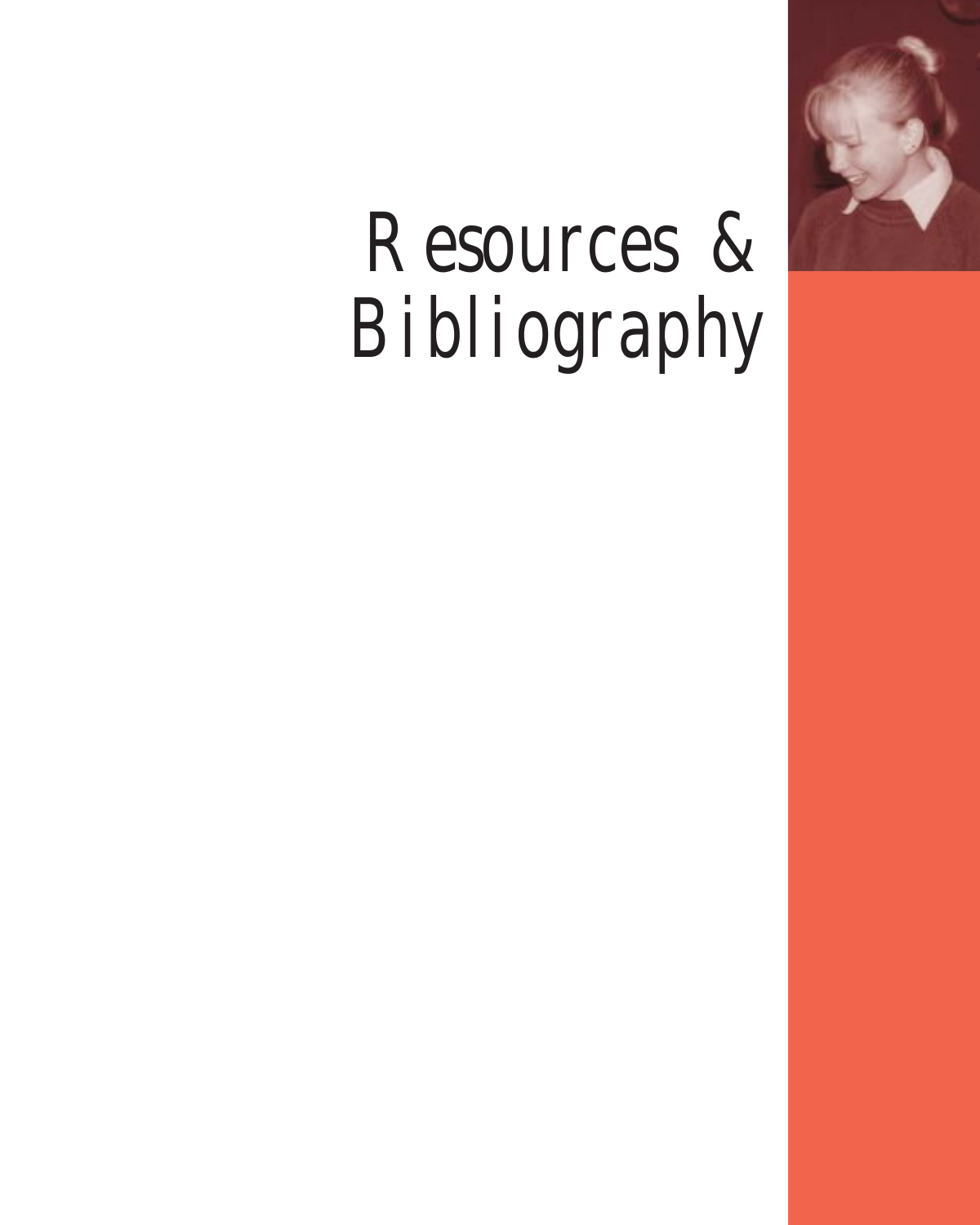

# Resources & Bibliography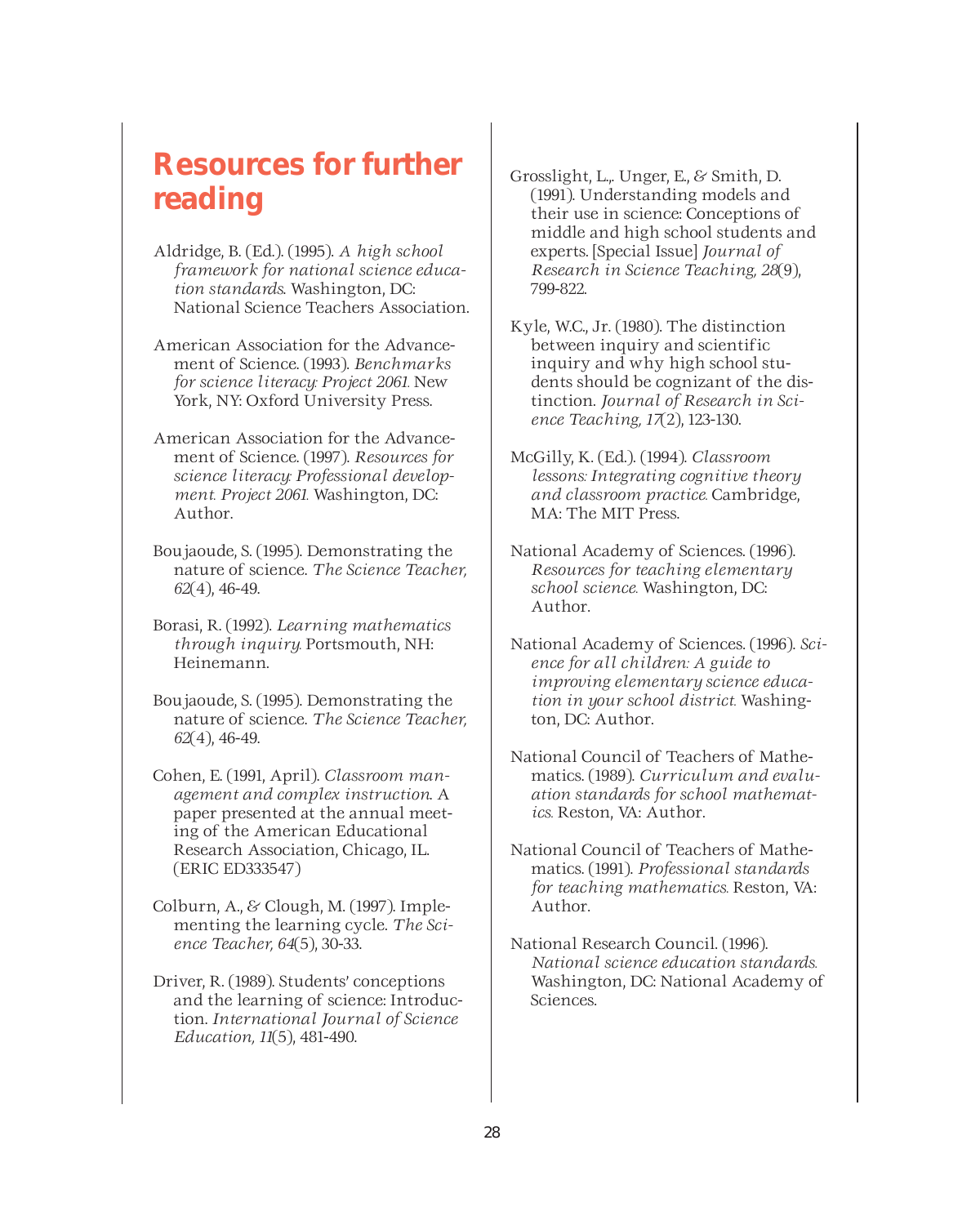### **Resources for further reading**

- Aldridge, B. (Ed.). (1995). *A high school framework for national science education standards*. Washington, DC: National Science Teachers Association.
- American Association for the Advancement of Science. (1993). *Benchmarks for science literacy: Project 2061.* New York, NY: Oxford University Press.
- American Association for the Advancement of Science. (1997). *Resources for science literacy: Professional development. Project 2061.* Washington, DC: Author.
- Boujaoude, S. (1995). Demonstrating the nature of science. *The Science Teacher, 62*(4), 46-49.
- Borasi, R. (1992). *Learning mathematics through inquiry.* Portsmouth, NH: Heinemann.
- Boujaoude, S. (1995). Demonstrating the nature of science. *The Science Teacher, 62*(4), 46-49.
- Cohen, E. (1991, April). *Classroom management and complex instruction*. A paper presented at the annual meeting of the American Educational Research Association, Chicago, IL. (ERIC ED333547)
- Colburn, A., & Clough, M. (1997). Implementing the learning cycle. *The Science Teacher, 64*(5), 30-33.
- Driver, R. (1989). Students' conceptions and the learning of science: Introduction. *International Journal of Science Education, 11*(5), 481-490.
- Grosslight, L.,. Unger, E., & Smith, D. (1991). Understanding models and their use in science: Conceptions of middle and high school students and experts. [Special Issue] *Journal of Research in Science Teaching, 28*(9), 799-822.
- Kyle, W.C., Jr. (1980). The distinction between inquiry and scientific inquiry and why high school students should be cognizant of the distinction. *Journal of Research in Science Teaching, 17*(2), 123-130.
- McGilly, K. (Ed.). (1994). *Classroom lessons: Integrating cognitive theory and classroom practice.* Cambridge, MA: The MIT Press.
- National Academy of Sciences. (1996). *Resources for teaching elementary school science.* Washington, DC: Author.
- National Academy of Sciences. (1996). *Science for all children: A guide to improving elementary science education in your school district.* Washington, DC: Author.
- National Council of Teachers of Mathematics. (1989). *Curriculum and evaluation standards for school mathematics.* Reston, VA: Author.
- National Council of Teachers of Mathematics. (1991). *Professional standards for teaching mathematics.* Reston, VA: Author.
- National Research Council. (1996). *National science education standards.* Washington, DC: National Academy of Sciences.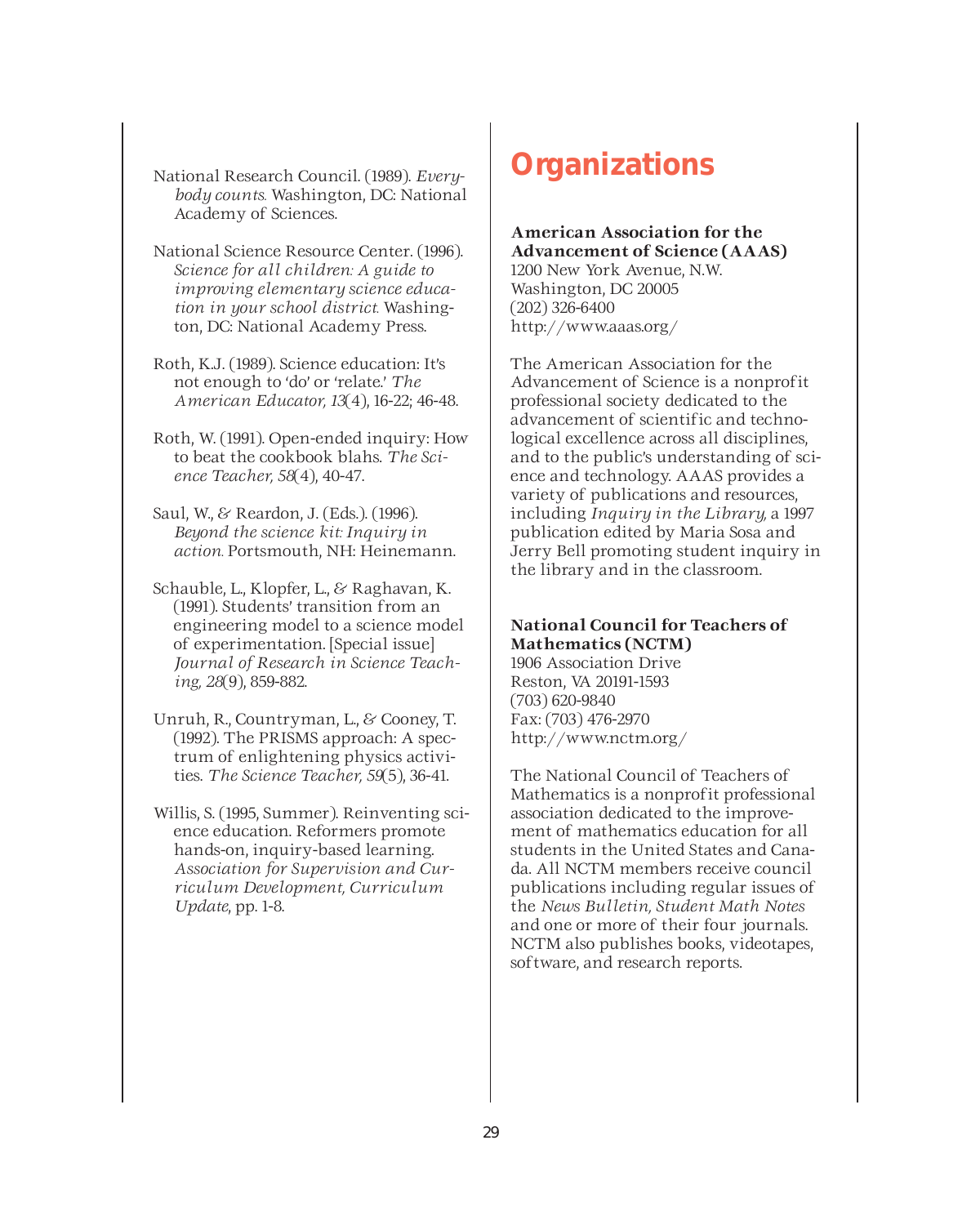National Research Council. (1989). *Everybody counts.* Washington, DC: National Academy of Sciences.

National Science Resource Center. (1996). *Science for all children: A guide to improving elementary science education in your school district.* Washington, DC: National Academy Press.

Roth, K.J. (1989). Science education: It's not enough to 'do' or 'relate.' *The American Educator, 13*(4), 16-22; 46-48.

Roth, W. (1991). Open-ended inquiry: How to beat the cookbook blahs. *The Science Teacher, 58*(4), 40-47.

Saul, W., & Reardon, J. (Eds.). (1996). *Beyond the science kit: Inquiry in action.* Portsmouth, NH: Heinemann.

Schauble, L., Klopfer, L., & Raghavan, K. (1991). Students' transition from an engineering model to a science model of experimentation. [Special issue] *Journal of Research in Science Teaching, 28*(9), 859-882.

Unruh, R., Countryman, L., & Cooney, T. (1992). The PRISMS approach: A spectrum of enlightening physics activities. *The Science Teacher, 59*(5), 36-41.

Willis, S. (1995, Summer). Reinventing science education. Reformers promote hands-on, inquiry-based learning. *Association for Supervision and Curriculum Development, Curriculum Update*, pp. 1-8.

### **Organizations**

**American Association for the Advancement of Science (AAAS)** 1200 New York Avenue, N.W. Washington, DC 20005 (202) 326-6400 http://www.aaas.org/

The American Association for the Advancement of Science is a nonprofit professional society dedicated to the advancement of scientific and technological excellence across all disciplines, and to the public's understanding of science and technology. AAAS provides a variety of publications and resources, including *Inquiry in the Library,* a 1997 publication edited by Maria Sosa and Jerry Bell promoting student inquiry in the library and in the classroom.

### **National Council for Teachers of Mathematics (NCTM)**

1906 Association Drive Reston, VA 20191-1593 (703) 620-9840 Fax: (703) 476-2970 http://www.nctm.org/

The National Council of Teachers of Mathematics is a nonprofit professional association dedicated to the improvement of mathematics education for all students in the United States and Canada. All NCTM members receive council publications including regular issues of the *News Bulletin, Student Math Notes* and one or more of their four journals. NCTM also publishes books, videotapes, software, and research reports.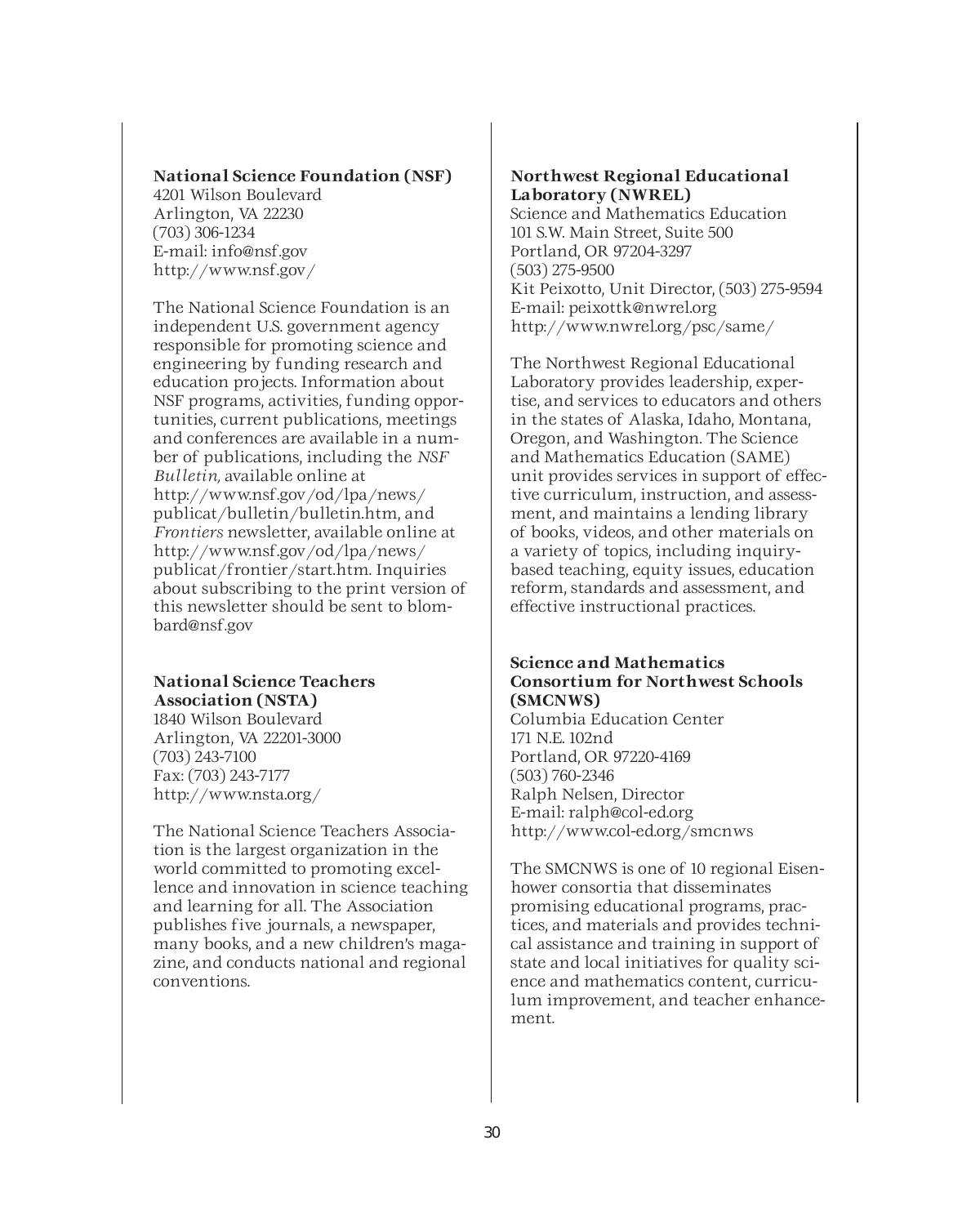### **National Science Foundation (NSF)**

4201 Wilson Boulevard Arlington, VA 22230 (703) 306-1234 E-mail: info@nsf.gov http://www.nsf.gov/

The National Science Foundation is an independent U.S. government agency responsible for promoting science and engineering by funding research and education projects. Information about NSF programs, activities, funding opportunities, current publications, meetings and conferences are available in a number of publications, including the *NSF Bulletin,* available online at http://www.nsf.gov/od/lpa/news/ publicat/bulletin/bulletin.htm, and *Frontiers* newsletter, available online at http://www.nsf.gov/od/lpa/news/ publicat/frontier/start.htm. Inquiries about subscribing to the print version of this newsletter should be sent to blombard@nsf.gov

### **National Science Teachers Association (NSTA)**

1840 Wilson Boulevard Arlington, VA 22201-3000 (703) 243-7100 Fax: (703) 243-7177 http://www.nsta.org/

The National Science Teachers Association is the largest organization in the world committed to promoting excellence and innovation in science teaching and learning for all. The Association publishes five journals, a newspaper, many books, and a new children's magazine, and conducts national and regional conventions.

#### **Northwest Regional Educational Laboratory (NWREL)**

Science and Mathematics Education 101 S.W. Main Street, Suite 500 Portland, OR 97204-3297 (503) 275-9500 Kit Peixotto, Unit Director, (503) 275-9594 E-mail: peixottk@nwrel.org http://www.nwrel.org/psc/same/

The Northwest Regional Educational Laboratory provides leadership, expertise, and services to educators and others in the states of Alaska, Idaho, Montana, Oregon, and Washington. The Science and Mathematics Education (SAME) unit provides services in support of effective curriculum, instruction, and assessment, and maintains a lending library of books, videos, and other materials on a variety of topics, including inquirybased teaching, equity issues, education reform, standards and assessment, and effective instructional practices.

### **Science and Mathematics Consortium for Northwest Schools (SMCNWS)**

Columbia Education Center 171 N.E. 102nd Portland, OR 97220-4169 (503) 760-2346 Ralph Nelsen, Director E-mail: ralph@col-ed.org http://www.col-ed.org/smcnws

The SMCNWS is one of 10 regional Eisenhower consortia that disseminates promising educational programs, practices, and materials and provides technical assistance and training in support of state and local initiatives for quality science and mathematics content, curriculum improvement, and teacher enhancement.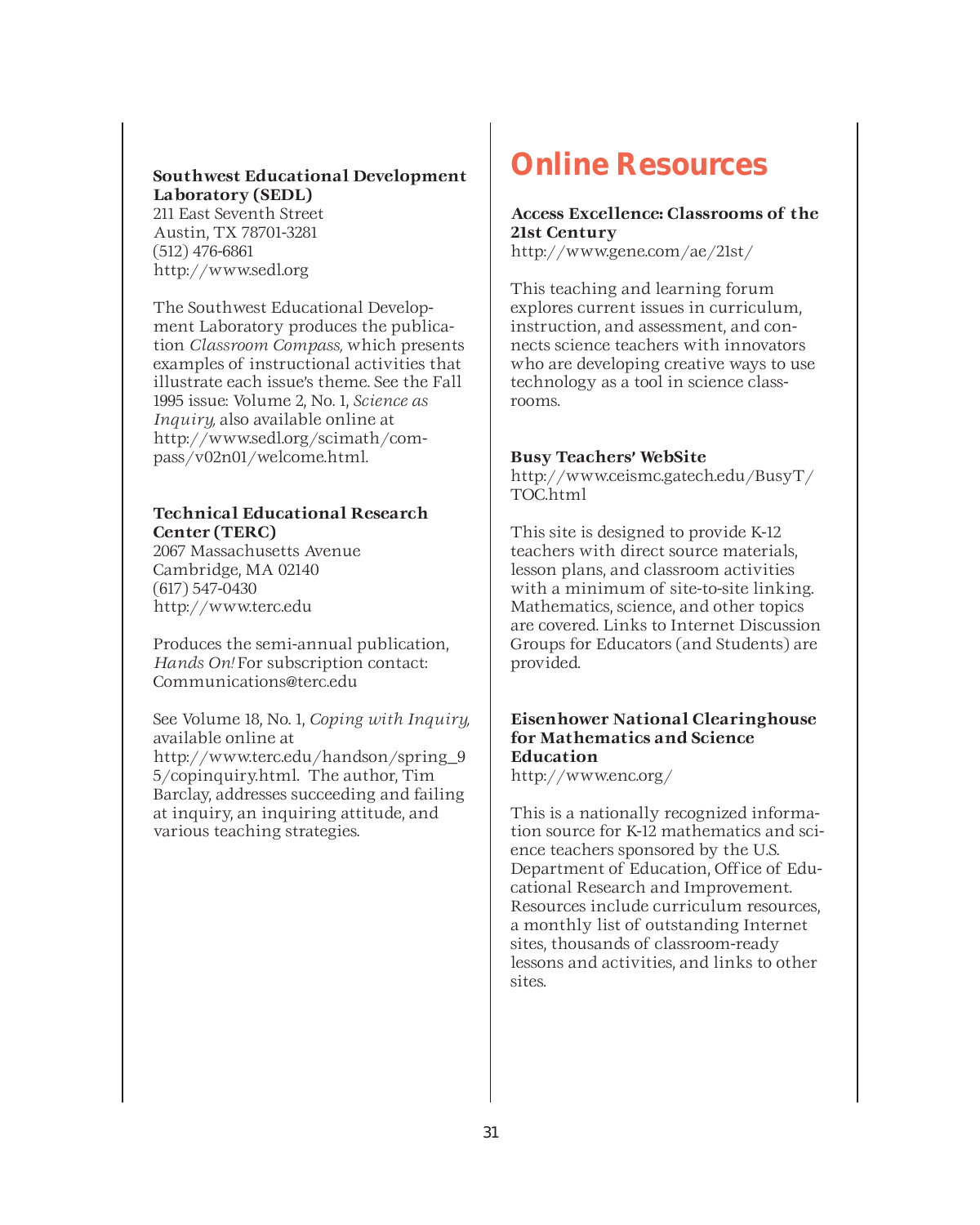### **Southwest Educational Development Laboratory (SEDL)**

211 East Seventh Street Austin, TX 78701-3281 (512) 476-6861 http://www.sedl.org

The Southwest Educational Development Laboratory produces the publication *Classroom Compass,* which presents examples of instructional activities that illustrate each issue's theme. See the Fall 1995 issue: Volume 2, No. 1, *Science as Inquiry,* also available online at http://www.sedl.org/scimath/compass/v02n01/welcome.html.

### **Technical Educational Research Center (TERC)**

2067 Massachusetts Avenue Cambridge, MA 02140 (617) 547-0430 http://www.terc.edu

Produces the semi-annual publication, *Hands On!* For subscription contact: Communications@terc.edu

See Volume 18, No. 1, *Coping with Inquiry,* available online at http://www.terc.edu/handson/spring\_9 5/copinquiry.html. The author, Tim Barclay, addresses succeeding and failing at inquiry, an inquiring attitude, and various teaching strategies.

### **Online Resources**

### **Access Excellence: Classrooms of the 21st Century**

http://www.gene.com/ae/21st/

This teaching and learning forum explores current issues in curriculum, instruction, and assessment, and connects science teachers with innovators who are developing creative ways to use technology as a tool in science classrooms.

### **Busy Teachers' WebSite**

http://www.ceismc.gatech.edu/BusyT/ TOC.html

This site is designed to provide K-12 teachers with direct source materials, lesson plans, and classroom activities with a minimum of site-to-site linking. Mathematics, science, and other topics are covered. Links to Internet Discussion Groups for Educators (and Students) are provided.

### **Eisenhower National Clearinghouse for Mathematics and Science Education**

http://www.enc.org/

This is a nationally recognized information source for K-12 mathematics and science teachers sponsored by the U.S. Department of Education, Office of Educational Research and Improvement. Resources include curriculum resources, a monthly list of outstanding Internet sites, thousands of classroom-ready lessons and activities, and links to other sites.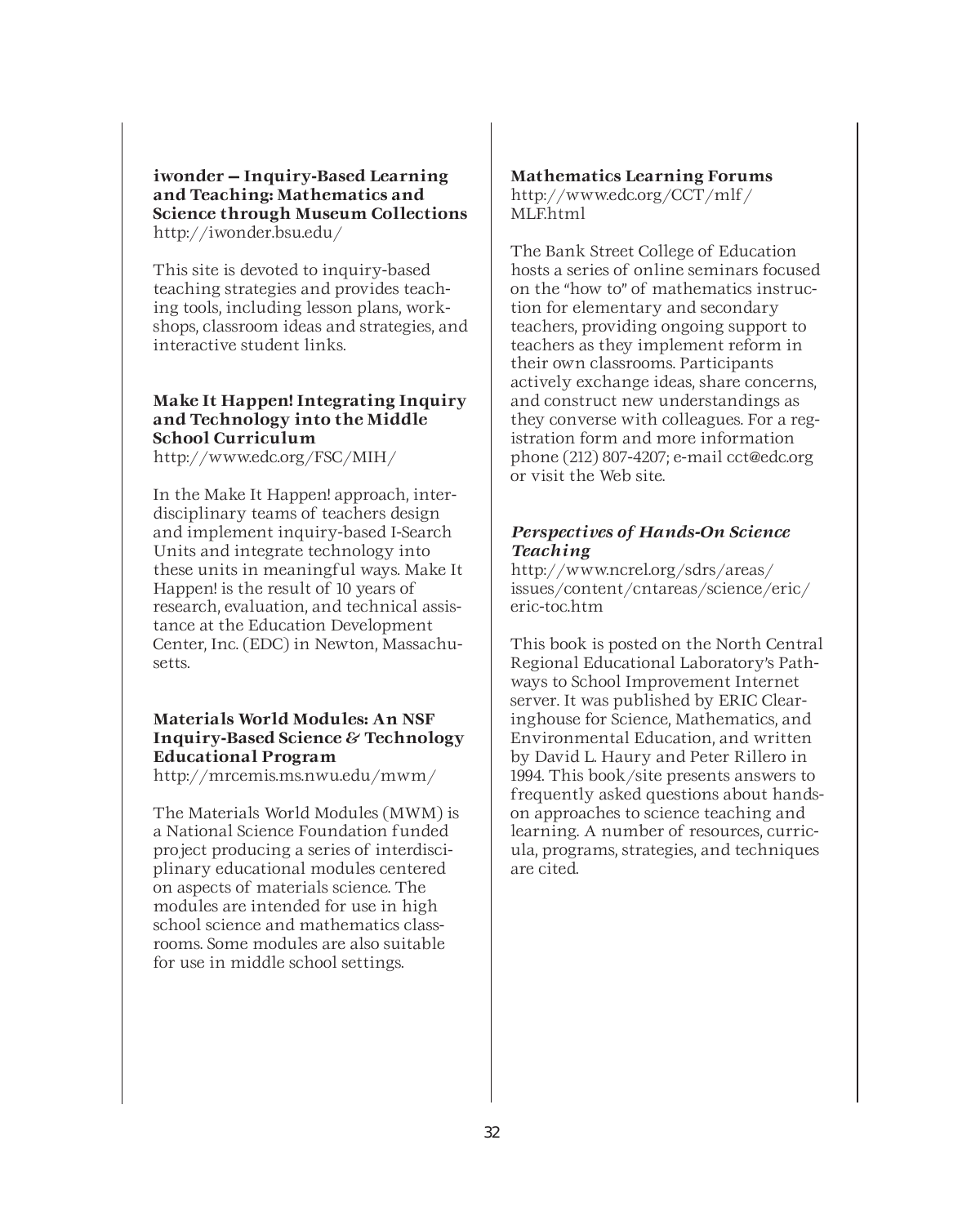**iwonder — Inquiry-Based Learning and Teaching: Mathematics and Science through Museum Collections** http://iwonder.bsu.edu/

This site is devoted to inquiry-based teaching strategies and provides teaching tools, including lesson plans, workshops, classroom ideas and strategies, and interactive student links.

### **Make It Happen! Integrating Inquiry and Technology into the Middle School Curriculum**

http://www.edc.org/FSC/MIH/

In the Make It Happen! approach, interdisciplinary teams of teachers design and implement inquiry-based I-Search Units and integrate technology into these units in meaningful ways. Make It Happen! is the result of 10 years of research, evaluation, and technical assistance at the Education Development Center, Inc. (EDC) in Newton, Massachusetts.

### **Materials World Modules: An NSF Inquiry-Based Science & Technology Educational Program**

http://mrcemis.ms.nwu.edu/mwm/

The Materials World Modules (MWM) is a National Science Foundation funded project producing a series of interdisciplinary educational modules centered on aspects of materials science. The modules are intended for use in high school science and mathematics classrooms. Some modules are also suitable for use in middle school settings.

### **Mathematics Learning Forums**

http://www.edc.org/CCT/mlf/ MLF.html

The Bank Street College of Education hosts a series of online seminars focused on the "how to" of mathematics instruction for elementary and secondary teachers, providing ongoing support to teachers as they implement reform in their own classrooms. Participants actively exchange ideas, share concerns, and construct new understandings as they converse with colleagues. For a registration form and more information phone (212) 807-4207; e-mail cct@edc.org or visit the Web site.

### *Perspectives of Hands-On Science Teaching*

http://www.ncrel.org/sdrs/areas/ issues/content/cntareas/science/eric/ eric-toc.htm

This book is posted on the North Central Regional Educational Laboratory's Pathways to School Improvement Internet server. It was published by ERIC Clearinghouse for Science, Mathematics, and Environmental Education, and written by David L. Haury and Peter Rillero in 1994. This book/site presents answers to frequently asked questions about handson approaches to science teaching and learning. A number of resources, curricula, programs, strategies, and techniques are cited.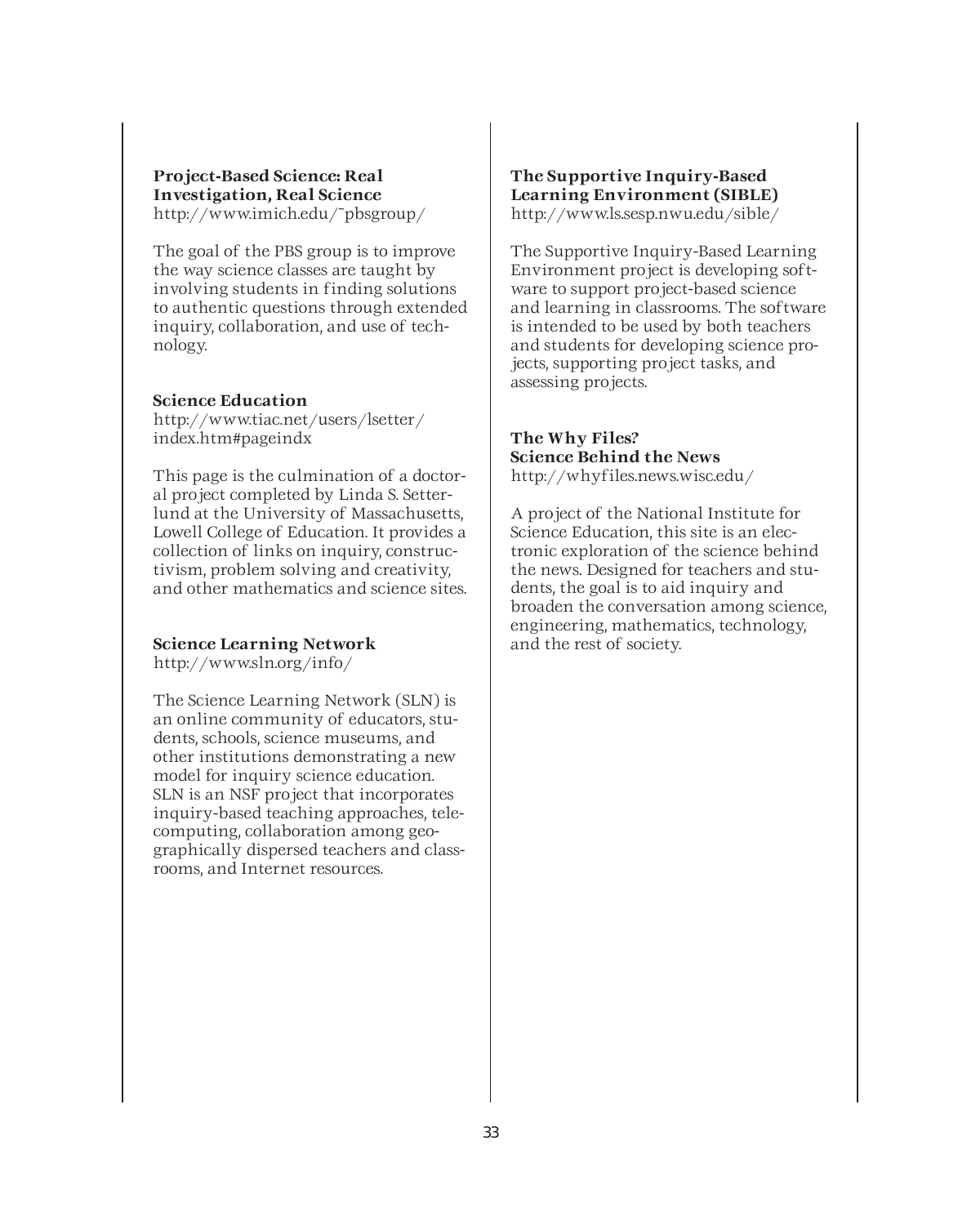#### **Project-Based Science: Real Investigation, Real Science** http://www.imich.edu/~pbsgroup/

The goal of the PBS group is to improve the way science classes are taught by involving students in finding solutions to authentic questions through extended inquiry, collaboration, and use of technology.

#### **Science Education**

http://www.tiac.net/users/lsetter/ index.htm#pageindx

This page is the culmination of a doctoral project completed by Linda S. Setterlund at the University of Massachusetts, Lowell College of Education. It provides a collection of links on inquiry, constructivism, problem solving and creativity, and other mathematics and science sites.

#### **Science Learning Network**

http://www.sln.org/info/

The Science Learning Network (SLN) is an online community of educators, students, schools, science museums, and other institutions demonstrating a new model for inquiry science education. SLN is an NSF project that incorporates inquiry-based teaching approaches, telecomputing, collaboration among geographically dispersed teachers and classrooms, and Internet resources.

#### **The Supportive Inquiry-Based Learning Environment (SIBLE)** http://www.ls.sesp.nwu.edu/sible/

The Supportive Inquiry-Based Learning Environment project is developing software to support project-based science and learning in classrooms. The software is intended to be used by both teachers and students for developing science projects, supporting project tasks, and assessing projects.

#### **The Why Files? Science Behind the News** http://whyfiles.news.wisc.edu/

A project of the National Institute for Science Education, this site is an electronic exploration of the science behind the news. Designed for teachers and students, the goal is to aid inquiry and broaden the conversation among science, engineering, mathematics, technology, and the rest of society.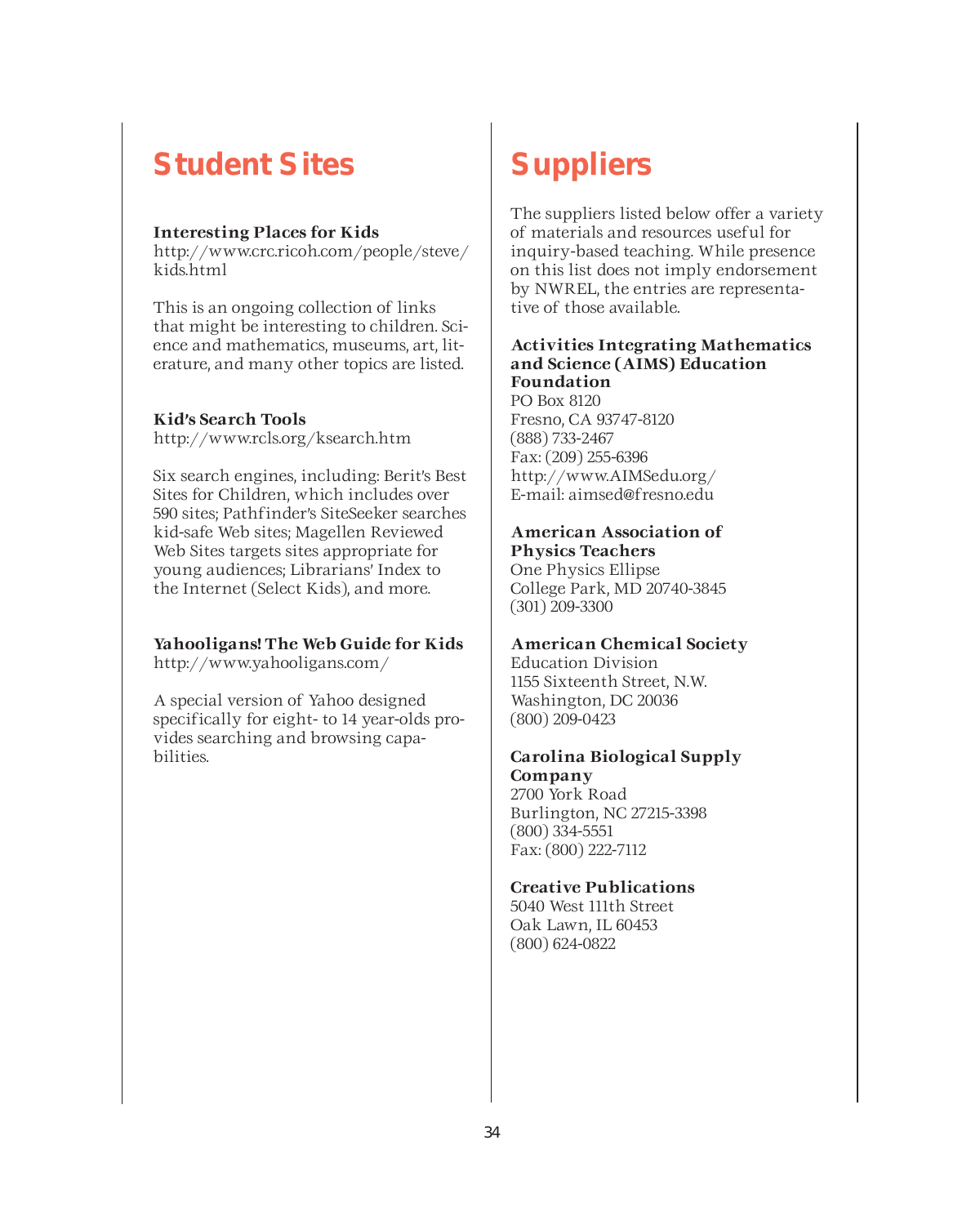### **Student Sites**

### **Interesting Places for Kids**

http://www.crc.ricoh.com/people/steve/ kids.html

This is an ongoing collection of links that might be interesting to children. Science and mathematics, museums, art, literature, and many other topics are listed.

#### **Kid's Search Tools**

http://www.rcls.org/ksearch.htm

Six search engines, including: Berit's Best Sites for Children, which includes over 590 sites; Pathfinder's SiteSeeker searches kid-safe Web sites; Magellen Reviewed Web Sites targets sites appropriate for young audiences; Librarians' Index to the Internet (Select Kids), and more.

### **Yahooligans! The Web Guide for Kids**

http://www.yahooligans.com/

A special version of Yahoo designed specifically for eight- to 14 year-olds provides searching and browsing capabilities.

### **Suppliers**

The suppliers listed below offer a variety of materials and resources useful for inquiry-based teaching. While presence on this list does not imply endorsement by NWREL, the entries are representative of those available.

#### **Activities Integrating Mathematics and Science (AIMS) Education Foundation**

PO Box 8120 Fresno, CA 93747-8120 (888) 733-2467 Fax: (209) 255-6396 http://www.AIMSedu.org/ E-mail: aimsed@fresno.edu

#### **American Association of Physics Teachers**

One Physics Ellipse College Park, MD 20740-3845 (301) 209-3300

### **American Chemical Society**

Education Division 1155 Sixteenth Street, N.W. Washington, DC 20036 (800) 209-0423

#### **Carolina Biological Supply Company**

2700 York Road Burlington, NC 27215-3398 (800) 334-5551 Fax: (800) 222-7112

### **Creative Publications**

5040 West 111th Street Oak Lawn, IL 60453 (800) 624-0822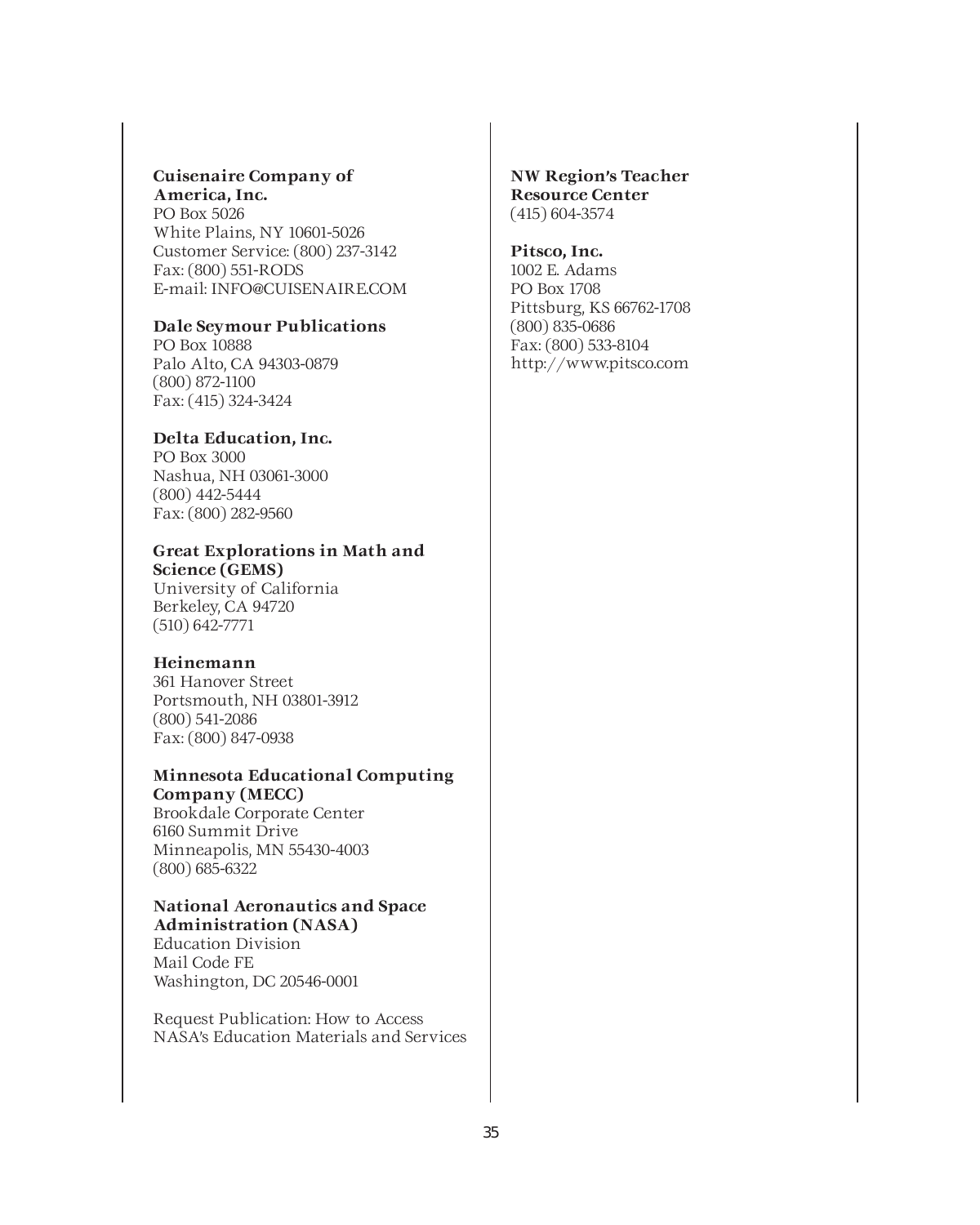#### **Cuisenaire Company of America, Inc.**

PO Box 5026 White Plains, NY 10601-5026 Customer Service: (800) 237-3142 Fax: (800) 551-RODS E-mail: INFO@CUISENAIRE.COM

#### **Dale Seymour Publications**

PO Box 10888 Palo Alto, CA 94303-0879 (800) 872-1100 Fax: (415) 324-3424

#### **Delta Education, Inc.**

PO Box 3000 Nashua, NH 03061-3000 (800) 442-5444 Fax: (800) 282-9560

### **Great Explorations in Math and Science (GEMS)**

University of California Berkeley, CA 94720 (510) 642-7771

### **Heinemann**

361 Hanover Street Portsmouth, NH 03801-3912 (800) 541-2086 Fax: (800) 847-0938

#### **Minnesota Educational Computing Company (MECC)**

Brookdale Corporate Center 6160 Summit Drive Minneapolis, MN 55430-4003 (800) 685-6322

#### **National Aeronautics and Space Administration (NASA)**

Education Division Mail Code FE Washington, DC 20546-0001

Request Publication: How to Access NASA's Education Materials and Services

#### **NW Region's Teacher Resource Center**  (415) 604-3574

#### **Pitsco, Inc.**

1002 E. Adams PO Box 1708 Pittsburg, KS 66762-1708 (800) 835-0686 Fax: (800) 533-8104 http://www.pitsco.com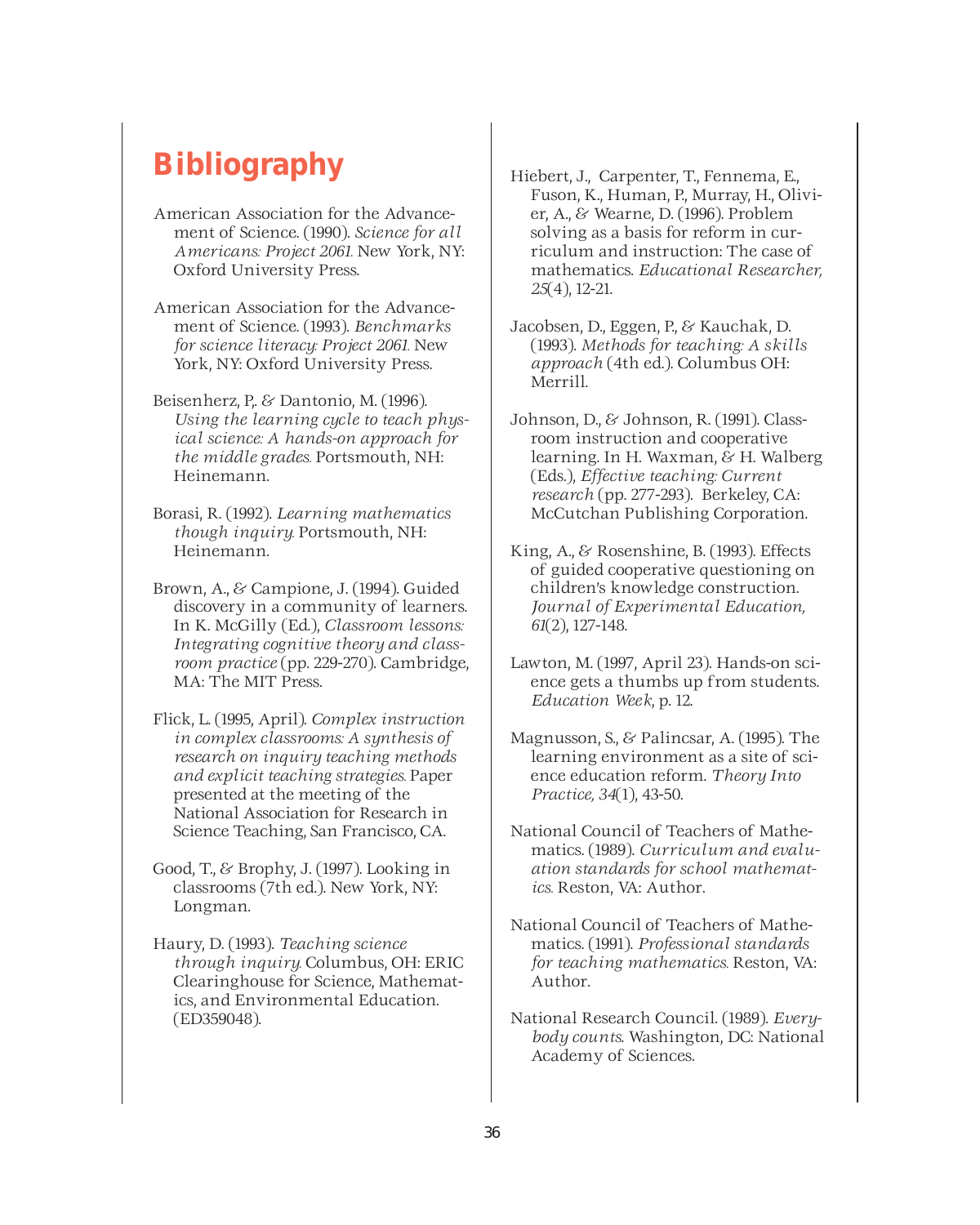### **Bibliography**

- American Association for the Advancement of Science. (1990). *Science for all Americans: Project 2061.* New York, NY: Oxford University Press.
- American Association for the Advancement of Science. (1993). *Benchmarks for science literacy: Project 2061.* New York, NY: Oxford University Press.
- Beisenherz, P. & Dantonio, M. (1996). *Using the learning cycle to teach physical science: A hands-on approach for the middle grades.* Portsmouth, NH: Heinemann.
- Borasi, R. (1992). *Learning mathematics though inquiry.* Portsmouth, NH: Heinemann.
- Brown, A., & Campione, J. (1994). Guided discovery in a community of learners. In K. McGilly (Ed.), *Classroom lessons: Integrating cognitive theory and classroom practice* (pp. 229-270). Cambridge, MA: The MIT Press.
- Flick, L. (1995, April). *Complex instruction in complex classrooms: A synthesis of research on inquiry teaching methods and explicit teaching strategies.* Paper presented at the meeting of the National Association for Research in Science Teaching, San Francisco, CA.
- Good, T., & Brophy, J. (1997). Looking in classrooms (7th ed.). New York, NY: Longman.
- Haury, D. (1993). *Teaching science through inquiry.* Columbus, OH: ERIC Clearinghouse for Science, Mathematics, and Environmental Education. (ED359048).
- Hiebert, J., Carpenter, T., Fennema, E., Fuson, K., Human, P., Murray, H., Olivier, A., & Wearne, D. (1996). Problem solving as a basis for reform in curriculum and instruction: The case of mathematics. *Educational Researcher, 25*(4), 12-21.
- Jacobsen, D., Eggen, P., & Kauchak, D. (1993). *Methods for teaching: A skills approach* (4th ed.). Columbus OH: Merrill.
- Johnson, D., & Johnson, R. (1991). Classroom instruction and cooperative learning. In H. Waxman, & H. Walberg (Eds.), *Effective teaching: Current research* (pp. 277-293). Berkeley, CA: McCutchan Publishing Corporation.
- King, A., & Rosenshine, B. (1993). Effects of guided cooperative questioning on children's knowledge construction. *Journal of Experimental Education, 61*(2), 127-148.
- Lawton, M. (1997, April 23). Hands-on science gets a thumbs up from students. *Education Week*, p. 12.
- Magnusson, S., & Palincsar, A. (1995). The learning environment as a site of science education reform. *Theory Into Practice, 34*(1), 43-50.
- National Council of Teachers of Mathematics. (1989). *Curriculum and evaluation standards for school mathematics.* Reston, VA: Author.
- National Council of Teachers of Mathematics. (1991). *Professional standards for teaching mathematics.* Reston, VA: Author.
- National Research Council. (1989). *Everybody counts*. Washington, DC: National Academy of Sciences.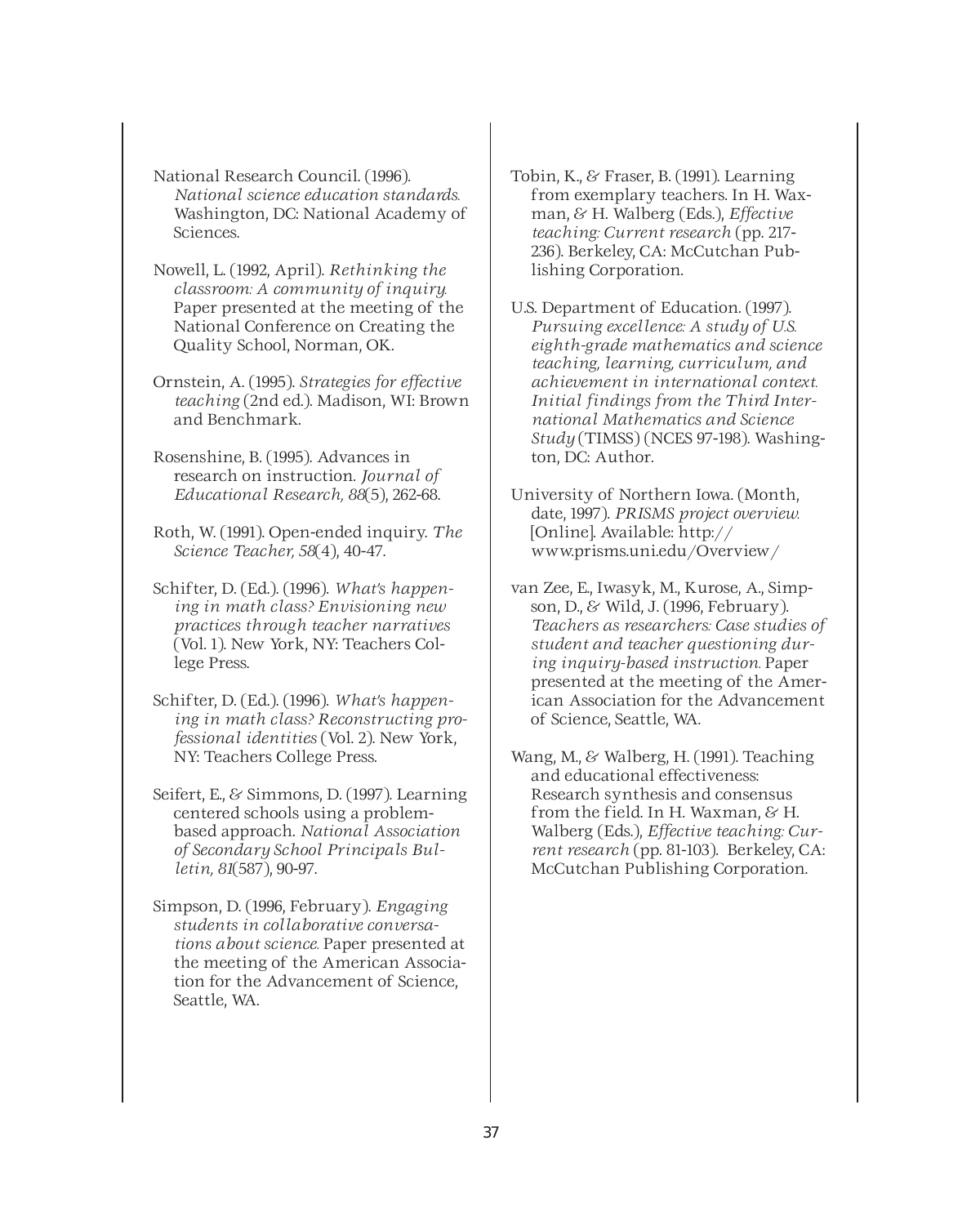National Research Council. (1996). *National science education standards.* Washington, DC: National Academy of Sciences.

- Nowell, L. (1992, April). *Rethinking the classroom: A community of inquiry.* Paper presented at the meeting of the National Conference on Creating the Quality School, Norman, OK.
- Ornstein, A. (1995). *Strategies for effective teaching* (2nd ed.). Madison, WI: Brown and Benchmark.
- Rosenshine, B. (1995). Advances in research on instruction. *Journal of Educational Research, 88*(5), 262-68.
- Roth, W. (1991). Open-ended inquiry. *The Science Teacher, 58*(4), 40-47.
- Schifter, D. (Ed.). (1996). *What's happening in math class? Envisioning new practices through teacher narratives* (Vol. 1). New York, NY: Teachers College Press.
- Schifter, D. (Ed.). (1996). *What's happening in math class? Reconstructing professional identities* (Vol. 2). New York, NY: Teachers College Press.
- Seifert, E., & Simmons, D. (1997). Learning centered schools using a problembased approach. *National Association of Secondary School Principals Bulletin, 81*(587), 90-97.
- Simpson, D. (1996, February). *Engaging students in collaborative conversations about science.* Paper presented at the meeting of the American Association for the Advancement of Science, Seattle, WA.
- Tobin, K., & Fraser, B. (1991). Learning from exemplary teachers. In H. Waxman, & H. Walberg (Eds.), *Effective teaching: Current research* (pp. 217- 236). Berkeley, CA: McCutchan Publishing Corporation.
- U.S. Department of Education. (1997). *Pursuing excellence: A study of U.S. eighth-grade mathematics and science teaching, learning, curriculum, and achievement in international context. Initial findings from the Third International Mathematics and Science Study* (TIMSS) (NCES 97-198). Washington, DC: Author.
- University of Northern Iowa. (Month, date, 1997). *PRISMS project overview.* [Online]. Available: http:// www.prisms.uni.edu/Overview/
- van Zee, E., Iwasyk, M., Kurose, A., Simpson, D., & Wild, J. (1996, February). *Teachers as researchers: Case studies of student and teacher questioning during inquiry-based instruction.* Paper presented at the meeting of the American Association for the Advancement of Science, Seattle, WA.
- Wang, M., & Walberg, H. (1991). Teaching and educational effectiveness: Research synthesis and consensus from the field. In H. Waxman, & H. Walberg (Eds.), *Effective teaching: Current research* (pp. 81-103). Berkeley, CA: McCutchan Publishing Corporation.